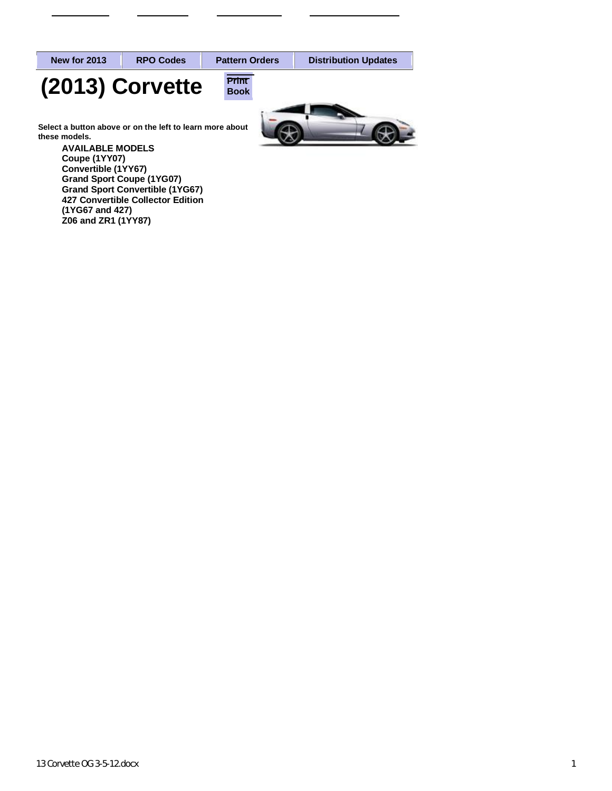**New for 2013 RPO Codes P[attern O](http://kite.dcim.com/NASApp/domestic/proddesc.jsp?year=2012&butID=1®ionID=1&divisionID=3&vehicleID=12943&type=0)rders Distribution Updates**



**Book** 



**Select a button above or on the left to learn more about these models.**

> **AVAILABLE MODELS Coupe (1YY07) Convertible (1YY67) Grand Sport Coupe (1YG07) Grand Sport Convertible (1YG67) 427 Convertible Collector Edition (1YG67 and 427) Z06 and ZR1 (1YY87)**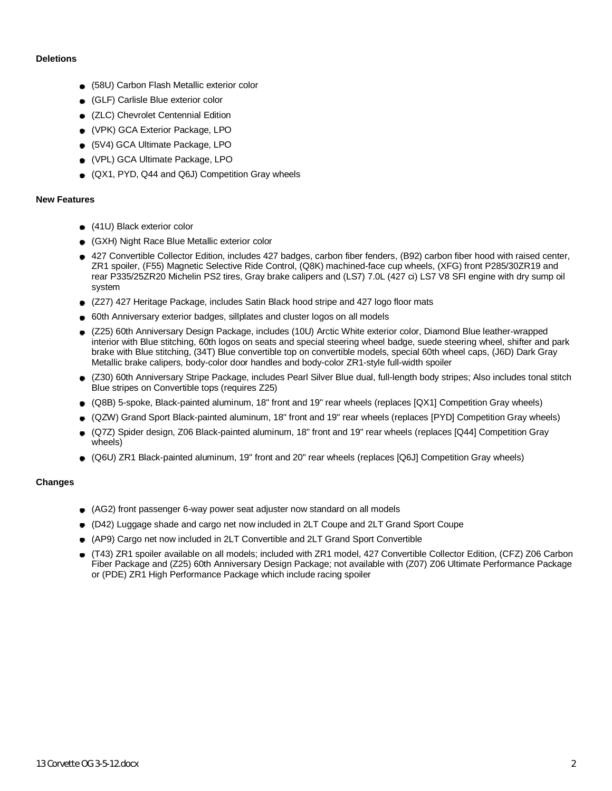#### **Deletions**

- (58U) Carbon Flash Metallic exterior color
- (GLF) Carlisle Blue exterior color
- (ZLC) Chevrolet Centennial Edition
- (VPK) GCA Exterior Package, LPO
- (5V4) GCA Ultimate Package, LPO
- (VPL) GCA Ultimate Package, LPO
- (QX1, PYD, Q44 and Q6J) Competition Gray wheels

### **New Features**

- (41U) Black exterior color
- (GXH) Night Race Blue Metallic exterior color
- 427 Convertible Collector Edition, includes 427 badges, carbon fiber fenders, (B92) carbon fiber hood with raised center, ZR1 spoiler, (F55) Magnetic Selective Ride Control, (Q8K) machined-face cup wheels, (XFG) front P285/30ZR19 and rear P335/25ZR20 Michelin PS2 tires, Gray brake calipers and (LS7) 7.0L (427 ci) LS7 V8 SFI engine with dry sump oil system
- (Z27) 427 Heritage Package, includes Satin Black hood stripe and 427 logo floor mats
- 60th Anniversary exterior badges, sillplates and cluster logos on all models
- (Z25) 60th Anniversary Design Package, includes (10U) Arctic White exterior color, Diamond Blue leather-wrapped interior with Blue stitching, 60th logos on seats and special steering wheel badge, suede steering wheel, shifter and park brake with Blue stitching, (34T) Blue convertible top on convertible models, special 60th wheel caps, (J6D) Dark Gray Metallic brake calipers, body-color door handles and body-color ZR1-style full-width spoiler
- (Z30) 60th Anniversary Stripe Package, includes Pearl Silver Blue dual, full-length body stripes; Also includes tonal stitch  $\bullet$ Blue stripes on Convertible tops (requires Z25)
- (Q8B) 5-spoke, Black-painted aluminum, 18" front and 19" rear wheels (replaces [QX1] Competition Gray wheels)
- (QZW) Grand Sport Black-painted aluminum, 18" front and 19" rear wheels (replaces [PYD] Competition Gray wheels)  $\bullet$
- (Q7Z) Spider design, Z06 Black-painted aluminum, 18" front and 19" rear wheels (replaces [Q44] Competition Gray wheels)
- (Q6U) ZR1 Black-painted aluminum, 19" front and 20" rear wheels (replaces [Q6J] Competition Gray wheels)

### **Changes**

- (AG2) front passenger 6-way power seat adjuster now standard on all models
- (D42) Luggage shade and cargo net now included in 2LT Coupe and 2LT Grand Sport Coupe
- (AP9) Cargo net now included in 2LT Convertible and 2LT Grand Sport Convertible
- (T43) ZR1 spoiler available on all models; included with ZR1 model, 427 Convertible Collector Edition, (CFZ) Z06 Carbon Fiber Package and (Z25) 60th Anniversary Design Package; not available with (Z07) Z06 Ultimate Performance Package or (PDE) ZR1 High Performance Package which include racing spoiler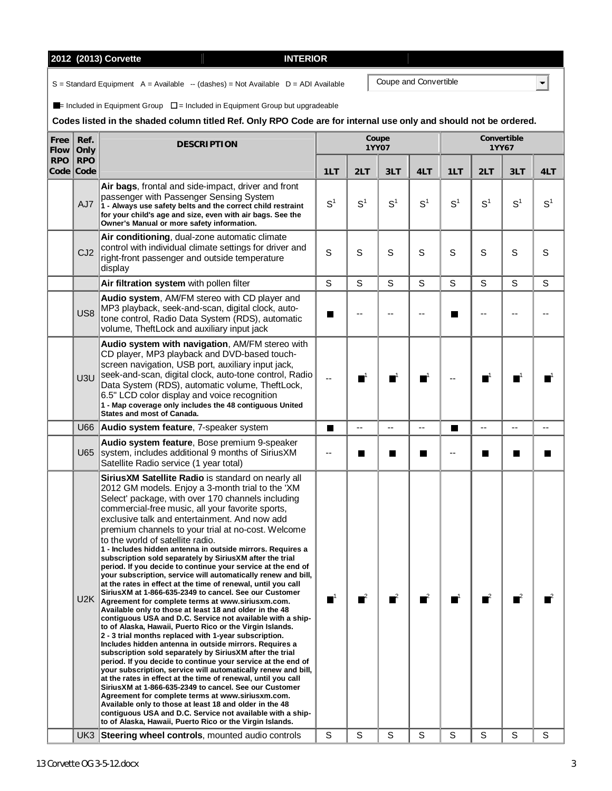$U2K$ 

|              |                         | 2012 (2013) Corvette<br><b>INTERIOR</b>                                                                                                                                                                                                                                                                                                                                                                     |                |                                            |                       |                  |                |                |                      |                |
|--------------|-------------------------|-------------------------------------------------------------------------------------------------------------------------------------------------------------------------------------------------------------------------------------------------------------------------------------------------------------------------------------------------------------------------------------------------------------|----------------|--------------------------------------------|-----------------------|------------------|----------------|----------------|----------------------|----------------|
|              |                         | $S =$ Standard Equipment A = Available -- (dashes) = Not Available D = ADI Available                                                                                                                                                                                                                                                                                                                        |                |                                            | Coupe and Convertible |                  |                |                |                      |                |
|              |                         | $\blacksquare$ = Included in Equipment Group $\square$ = Included in Equipment Group but upgradeable                                                                                                                                                                                                                                                                                                        |                |                                            |                       |                  |                |                |                      |                |
|              |                         | Codes listed in the shaded column titled Ref. Only RPO Code are for internal use only and should not be ordered.                                                                                                                                                                                                                                                                                            |                |                                            |                       |                  |                |                |                      |                |
| Free<br>Flow | Ref.<br>Only            | <b>DESCRIPTION</b>                                                                                                                                                                                                                                                                                                                                                                                          |                |                                            | Coupe<br><b>1YY07</b> |                  |                |                | Convertible<br>1YY67 |                |
| <b>RPO</b>   | <b>RPO</b><br>Code Code |                                                                                                                                                                                                                                                                                                                                                                                                             | 1LT            | 2LT                                        | 3LT                   | 4LT              | 1LT            | 2LT            | 3LT                  | 4LT            |
|              | AJ7                     | Air bags, frontal and side-impact, driver and front<br>passenger with Passenger Sensing System<br>1 - Always use safety belts and the correct child restraint<br>for your child's age and size, even with air bags. See the<br>Owner's Manual or more safety information.                                                                                                                                   | S <sup>1</sup> | S <sup>1</sup>                             | S <sup>1</sup>        | S <sup>1</sup>   | S <sup>1</sup> | S <sup>1</sup> | S <sup>1</sup>       | S <sup>1</sup> |
|              | CJ <sub>2</sub>         | Air conditioning, dual-zone automatic climate<br>control with individual climate settings for driver and<br>right-front passenger and outside temperature<br>display                                                                                                                                                                                                                                        | S              | S                                          | S                     | S                | S              | S              | S                    | S              |
|              |                         | Air filtration system with pollen filter                                                                                                                                                                                                                                                                                                                                                                    | S              | S                                          | S                     | S                | S              | S              | S                    | S              |
|              | US <sub>8</sub>         | Audio system, AM/FM stereo with CD player and<br>MP3 playback, seek-and-scan, digital clock, auto-<br>tone control, Radio Data System (RDS), automatic<br>volume, TheftLock and auxiliary input jack                                                                                                                                                                                                        | ш              | --                                         |                       | ۵.               | H              |                |                      |                |
|              | U3U                     | Audio system with navigation, AM/FM stereo with<br>CD player, MP3 playback and DVD-based touch-<br>screen navigation, USB port, auxiliary input jack,<br>seek-and-scan, digital clock, auto-tone control, Radio<br>Data System (RDS), automatic volume, TheftLock,<br>6.5" LCD color display and voice recognition<br>1 - Map coverage only includes the 48 contiguous United<br>States and most of Canada. |                | П                                          | ┓                     | $\blacksquare^1$ |                | ┓              | $\blacksquare$       |                |
|              | U66                     | Audio system feature, 7-speaker system                                                                                                                                                                                                                                                                                                                                                                      | $\blacksquare$ | $-$                                        | $-$                   | --               | П              | $-$            | --                   |                |
|              | U65                     | Audio system feature, Bose premium 9-speaker<br>system, includes additional 9 months of SiriusXM<br>Satellite Radio service (1 year total)                                                                                                                                                                                                                                                                  |                | <b>In the case of the case of the case</b> | H                     |                  |                |                | $\blacksquare$       |                |
|              |                         | Sirius XM Satellite Radio is standard on nearly all<br>2012 GM models. Enjoy a 3-month trial to the 'XM<br>Select' package, with over 170 channels including<br>commercial-free music, all your favorite sports,<br>exclusive talk and entertainment. And now add<br>premium channels to your trial at no-cost. Welcome<br>to the world of satellite radio.                                                 |                |                                            |                       |                  |                |                |                      |                |

**1 - Includes hidden antenna in outside mirrors. Requires a subscription sold separately by SiriusXM after the trial period. If you decide to continue your service at the end of your subscription, service will automatically renew and bill, at the rates in effect at the time of renewal, until you call SiriusXM at 1-866-635-2349 to cancel. See our Customer Agreement for complete terms at www.siriusxm.com. Available only to those at least 18 and older in the 48 contiguous USA and D.C. Service not available with a shipto of Alaska, Hawaii, Puerto Rico or the Virgin Islands. 2 - 3 trial months replaced with 1-year subscription. Includes hidden antenna in outside mirrors. Requires a subscription sold separately by SiriusXM after the trial period. If you decide to continue your service at the end of your subscription, service will automatically renew and bill, at the rates in effect at the time of renewal, until you call SiriusXM at 1-866-635-2349 to cancel. See our Customer Agreement for complete terms at www.siriusxm.com. Available only to those at least 18 and older in the 48 contiguous USA and D.C. Service not available with a shipto of Alaska, Hawaii, Puerto Rico or the Virgin Islands.** 

UK3 Steering wheel controls, mounted audio controls | S

**Free Flow**

1 2 2 2 2 2 2 2 2 2 2 2 2 2 2 2

S

S

S

S

S

S

S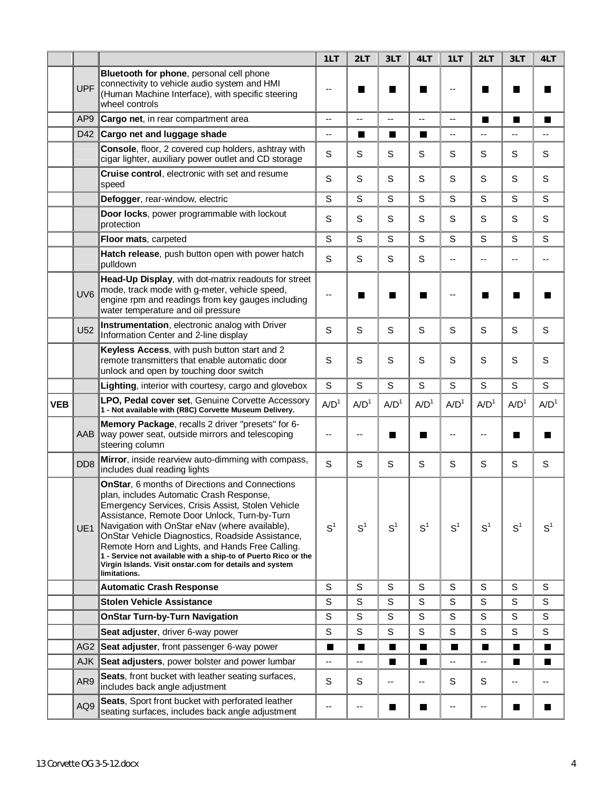|            |                 |                                                                                                                                                                                                                                                                                                                                                                                                                                                                                                       | 1LT              | 2LT              | 3LT                      | 4LT                      | 1LT                      | 2LT              | 3LT              | 4LT              |
|------------|-----------------|-------------------------------------------------------------------------------------------------------------------------------------------------------------------------------------------------------------------------------------------------------------------------------------------------------------------------------------------------------------------------------------------------------------------------------------------------------------------------------------------------------|------------------|------------------|--------------------------|--------------------------|--------------------------|------------------|------------------|------------------|
|            | <b>UPF</b>      | Bluetooth for phone, personal cell phone<br>connectivity to vehicle audio system and HMI<br>(Human Machine Interface), with specific steering<br>wheel controls                                                                                                                                                                                                                                                                                                                                       | --               | <b>Contract</b>  | I.                       | Ш                        | --                       | <b>I</b>         | ш                |                  |
|            | AP <sub>9</sub> | Cargo net, in rear compartment area                                                                                                                                                                                                                                                                                                                                                                                                                                                                   | --               | Ξ.               | $\overline{\phantom{a}}$ | $\overline{\phantom{a}}$ | $\overline{\phantom{a}}$ | П                | Ш                | ш                |
|            | D42             | Cargo net and luggage shade                                                                                                                                                                                                                                                                                                                                                                                                                                                                           | --               | П                | П                        | $\blacksquare$           | $-$                      | Ξ.               | --               |                  |
|            |                 | Console, floor, 2 covered cup holders, ashtray with<br>cigar lighter, auxiliary power outlet and CD storage                                                                                                                                                                                                                                                                                                                                                                                           | S                | S                | S                        | S                        | S                        | S                | S                | S                |
|            |                 | Cruise control, electronic with set and resume<br>speed                                                                                                                                                                                                                                                                                                                                                                                                                                               | S                | S                | S                        | $\mathbb S$              | S                        | S                | S                | S                |
|            |                 | Defogger, rear-window, electric                                                                                                                                                                                                                                                                                                                                                                                                                                                                       | S                | S                | S                        | S                        | S                        | S                | $\mathsf S$      | S                |
|            |                 | Door locks, power programmable with lockout<br>protection                                                                                                                                                                                                                                                                                                                                                                                                                                             | S                | S                | S                        | S                        | S                        | S                | S                | S                |
|            |                 | Floor mats, carpeted                                                                                                                                                                                                                                                                                                                                                                                                                                                                                  | S                | S                | S                        | S                        | S                        | S                | S                | S                |
|            |                 | Hatch release, push button open with power hatch<br>pulldown                                                                                                                                                                                                                                                                                                                                                                                                                                          | S                | S                | S                        | S                        | $-$                      | --               | --               | --               |
|            | UV <sub>6</sub> | Head-Up Display, with dot-matrix readouts for street<br>mode, track mode with g-meter, vehicle speed,<br>engine rpm and readings from key gauges including<br>water temperature and oil pressure                                                                                                                                                                                                                                                                                                      |                  | H                | П                        | H                        | ٠.                       |                  |                  |                  |
|            | <b>U52</b>      | Instrumentation, electronic analog with Driver<br>Information Center and 2-line display                                                                                                                                                                                                                                                                                                                                                                                                               | S                | S                | S                        | S                        | S                        | S                | S                | S                |
|            |                 | Keyless Access, with push button start and 2<br>remote transmitters that enable automatic door<br>unlock and open by touching door switch                                                                                                                                                                                                                                                                                                                                                             | S                | S                | S                        | S                        | S                        | S                | S                | S                |
|            |                 | Lighting, interior with courtesy, cargo and glovebox                                                                                                                                                                                                                                                                                                                                                                                                                                                  | $\mathsf S$      | $\mathsf S$      | S                        | $\mathbb S$              | $\mathsf S$              | S                | S                | S                |
| <b>VEB</b> |                 | LPO, Pedal cover set, Genuine Corvette Accessory<br>1 - Not available with (R8C) Corvette Museum Delivery.                                                                                                                                                                                                                                                                                                                                                                                            | A/D <sup>1</sup> | A/D <sup>1</sup> | A/D <sup>1</sup>         | A/D <sup>1</sup>         | A/D <sup>1</sup>         | A/D <sup>1</sup> | A/D <sup>1</sup> | A/D <sup>1</sup> |
|            | AAB             | Memory Package, recalls 2 driver "presets" for 6-<br>way power seat, outside mirrors and telescoping<br>steering column                                                                                                                                                                                                                                                                                                                                                                               |                  |                  | H                        |                          |                          |                  | Ш                |                  |
|            | DD <sub>8</sub> | Mirror, inside rearview auto-dimming with compass,<br>includes dual reading lights                                                                                                                                                                                                                                                                                                                                                                                                                    | S                | S                | S                        | S                        | S                        | S                | S                | S                |
|            | UE <sub>1</sub> | OnStar, 6 months of Directions and Connections<br>plan, includes Automatic Crash Response,<br>Emergency Services, Crisis Assist, Stolen Vehicle<br>Assistance, Remote Door Unlock, Turn-by-Turn<br>Navigation with OnStar eNav (where available),<br>OnStar Vehicle Diagnostics, Roadside Assistance,<br>Remote Horn and Lights, and Hands Free Calling.<br>1 - Service not available with a ship-to of Puerto Rico or the<br>Virgin Islands. Visit onstar.com for details and system<br>limitations. | S <sup>1</sup>   | S <sup>1</sup>   | S <sup>1</sup>           | S <sup>1</sup>           | $S^1$                    | S <sup>1</sup>   | S <sup>1</sup>   | S <sup>1</sup>   |
|            |                 | <b>Automatic Crash Response</b>                                                                                                                                                                                                                                                                                                                                                                                                                                                                       | S                | S                | S                        | S                        | S                        | S                | S                | S                |
|            |                 | <b>Stolen Vehicle Assistance</b>                                                                                                                                                                                                                                                                                                                                                                                                                                                                      | S                | S                | S                        | S                        | S                        | S                | S                | S                |
|            |                 | <b>OnStar Turn-by-Turn Navigation</b>                                                                                                                                                                                                                                                                                                                                                                                                                                                                 | S                | S                | S                        | $\mathbb S$              | S                        | S                | S                | S                |
|            |                 | Seat adjuster, driver 6-way power                                                                                                                                                                                                                                                                                                                                                                                                                                                                     | S                | S                | S                        | S                        | S                        | S                | S                | S                |
|            | AG <sub>2</sub> | Seat adjuster, front passenger 6-way power                                                                                                                                                                                                                                                                                                                                                                                                                                                            | П                | П                | П                        | П                        | П                        | П                | П                | П                |
|            | <b>AJK</b>      | Seat adjusters, power bolster and power lumbar                                                                                                                                                                                                                                                                                                                                                                                                                                                        | $-$              | $-$              | П                        | $\blacksquare$           | --                       | $-$              | П                | П                |
|            | AR9             | Seats, front bucket with leather seating surfaces,<br>includes back angle adjustment                                                                                                                                                                                                                                                                                                                                                                                                                  | S                | S                | ۰-                       | ۰.                       | S                        | S                | --               | --               |
|            | AQ9             | Seats, Sport front bucket with perforated leather<br>seating surfaces, includes back angle adjustment                                                                                                                                                                                                                                                                                                                                                                                                 |                  | --               | I.                       | H                        | --                       | --               | ш                | ш                |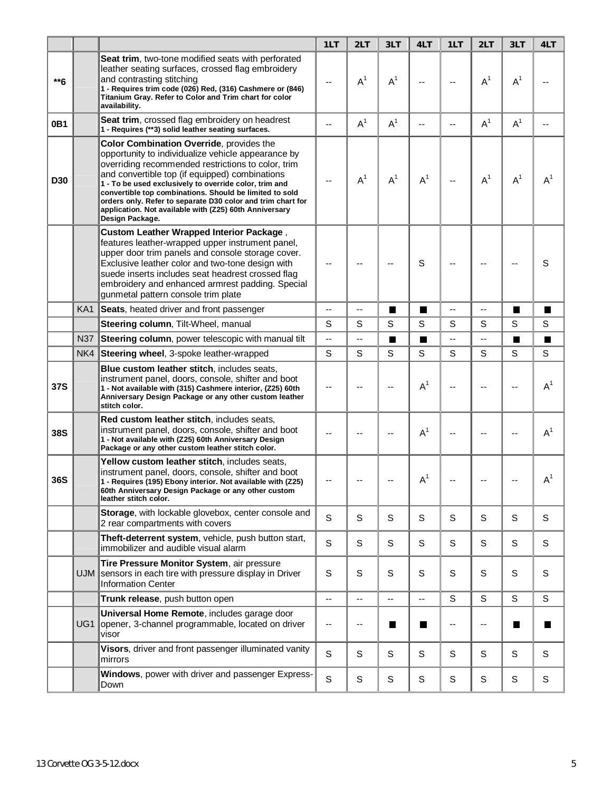|            |                 |                                                                                                                                                                                                                                                                                                                                                                                                                                                                         | 1LT                      | 2LT   | 3LT            | 4LT            | 1LT                      | 2LT         | 3LT                      | 4LT            |
|------------|-----------------|-------------------------------------------------------------------------------------------------------------------------------------------------------------------------------------------------------------------------------------------------------------------------------------------------------------------------------------------------------------------------------------------------------------------------------------------------------------------------|--------------------------|-------|----------------|----------------|--------------------------|-------------|--------------------------|----------------|
| $**6$      |                 | Seat trim, two-tone modified seats with perforated<br>leather seating surfaces, crossed flag embroidery<br>and contrasting stitching<br>1 - Requires trim code (026) Red, (316) Cashmere or (846)<br>Titanium Gray. Refer to Color and Trim chart for color<br>availability.                                                                                                                                                                                            |                          | $A^1$ | A <sup>1</sup> |                |                          | $A^1$       | $A^1$                    |                |
| 0B1        |                 | <b>Seat trim, crossed flag embroidery on headrest</b><br>1 - Requires (**3) solid leather seating surfaces.                                                                                                                                                                                                                                                                                                                                                             | $-$                      | $A^1$ | $A^1$          | $-$            | $\overline{\phantom{a}}$ | $A^1$       | $A^1$                    |                |
| D30        |                 | Color Combination Override, provides the<br>opportunity to individualize vehicle appearance by<br>overriding recommended restrictions to color, trim<br>and convertible top (if equipped) combinations<br>1 - To be used exclusively to override color, trim and<br>convertible top combinations. Should be limited to sold<br>orders only. Refer to separate D30 color and trim chart for<br>application. Not available with (Z25) 60th Anniversary<br>Design Package. |                          | $A^1$ | $A^1$          | $A^1$          | $\overline{\phantom{a}}$ | $A^1$       | $A^1$                    | A <sup>1</sup> |
|            |                 | <b>Custom Leather Wrapped Interior Package,</b><br>features leather-wrapped upper instrument panel,<br>upper door trim panels and console storage cover.<br>Exclusive leather color and two-tone design with<br>suede inserts includes seat headrest crossed flag<br>embroidery and enhanced armrest padding. Special<br>gunmetal pattern console trim plate                                                                                                            |                          |       |                | S              |                          |             |                          | S              |
|            | KA <sub>1</sub> | Seats, heated driver and front passenger                                                                                                                                                                                                                                                                                                                                                                                                                                | $\overline{\phantom{a}}$ | Ш,    | П              | П              | $\overline{\phantom{a}}$ | Ξ.          | П                        | П              |
|            |                 | Steering column, Tilt-Wheel, manual                                                                                                                                                                                                                                                                                                                                                                                                                                     | $\mathbb S$              | S     | S              | S              | S                        | S           | S                        | S              |
|            | <b>N37</b>      | Steering column, power telescopic with manual tilt                                                                                                                                                                                                                                                                                                                                                                                                                      | $\overline{\phantom{a}}$ | --    | П              | $\blacksquare$ | --                       | --          | П                        | $\blacksquare$ |
|            | NK4             | Steering wheel, 3-spoke leather-wrapped                                                                                                                                                                                                                                                                                                                                                                                                                                 | S                        | S     | S              | S              | S                        | S           | S                        | S              |
| 37S        |                 | Blue custom leather stitch, includes seats,<br>instrument panel, doors, console, shifter and boot<br>1 - Not available with (315) Cashmere interior, (Z25) 60th<br>Anniversary Design Package or any other custom leather<br>stitch color.                                                                                                                                                                                                                              | ٠.                       |       | --             | $A^1$          | ۵.                       |             | $\overline{\phantom{a}}$ | $A^1$          |
| <b>38S</b> |                 | Red custom leather stitch, includes seats,<br>instrument panel, doors, console, shifter and boot<br>1 - Not available with (Z25) 60th Anniversary Design<br>Package or any other custom leather stitch color.                                                                                                                                                                                                                                                           |                          |       | --             | A <sup>1</sup> | $\overline{\phantom{a}}$ |             | --                       | A <sup>1</sup> |
| 36S        |                 | Yellow custom leather stitch, includes seats,<br>instrument panel, doors, console, shifter and boot<br>1 - Requires (195) Ebony interior. Not available with (Z25)<br>60th Anniversary Design Package or any other custom<br>leather stitch color.                                                                                                                                                                                                                      |                          |       |                | $A^1$          |                          |             |                          | A <sup>1</sup> |
|            |                 | Storage, with lockable glovebox, center console and<br>2 rear compartments with covers                                                                                                                                                                                                                                                                                                                                                                                  | $\mathbf S$              | S     | S              | S              | S                        | S           | S                        | S              |
|            |                 | Theft-deterrent system, vehicle, push button start,<br>immobilizer and audible visual alarm                                                                                                                                                                                                                                                                                                                                                                             | $\mathsf S$              | S     | S              | S              | $\mathsf S$              | S           | S                        | S              |
|            | UJM.            | Tire Pressure Monitor System, air pressure<br>sensors in each tire with pressure display in Driver<br><b>Information Center</b>                                                                                                                                                                                                                                                                                                                                         | $\mathbb S$              | S     | S              | S              | $\mathsf S$              | S           | S                        | S              |
|            |                 | Trunk release, push button open                                                                                                                                                                                                                                                                                                                                                                                                                                         | $-$                      | --    | --             | Ξ.             | S                        | S           | S                        | $\mathbb S$    |
|            | UG1             | Universal Home Remote, includes garage door<br>opener, 3-channel programmable, located on driver<br>visor                                                                                                                                                                                                                                                                                                                                                               | --                       | --    | ш              | ш              | $-$                      | --          | I.                       |                |
|            |                 | Visors, driver and front passenger illuminated vanity<br>mirrors                                                                                                                                                                                                                                                                                                                                                                                                        | $\mathsf S$              | S     | S              | S              | S                        | S           | S                        | S              |
|            |                 | Windows, power with driver and passenger Express-<br>Down                                                                                                                                                                                                                                                                                                                                                                                                               | S                        | S     | S              | S              | S                        | $\mathsf S$ | S                        | S              |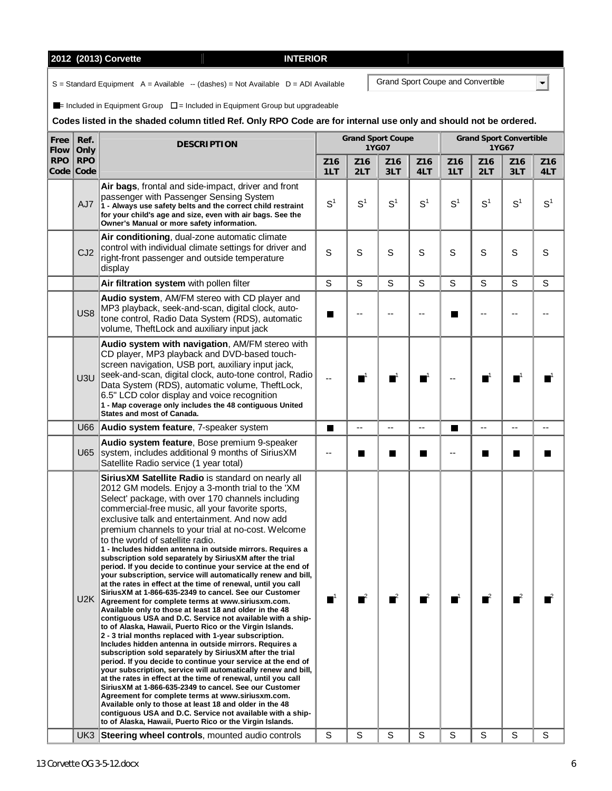$U2K$ 

|                     |                         | 2012 (2013) Corvette<br><b>INTERIOR</b>                                                                                                                                                                                                                                                                                                                                                                                                                                              |                        |                        |                                   |                        |            |                        |                                         |                      |
|---------------------|-------------------------|--------------------------------------------------------------------------------------------------------------------------------------------------------------------------------------------------------------------------------------------------------------------------------------------------------------------------------------------------------------------------------------------------------------------------------------------------------------------------------------|------------------------|------------------------|-----------------------------------|------------------------|------------|------------------------|-----------------------------------------|----------------------|
|                     |                         | $S =$ Standard Equipment A = Available -- (dashes) = Not Available D = ADI Available                                                                                                                                                                                                                                                                                                                                                                                                 |                        |                        | Grand Sport Coupe and Convertible |                        |            |                        |                                         |                      |
|                     |                         | $\blacksquare$ = Included in Equipment Group $\square$ = Included in Equipment Group but upgradeable<br>Codes listed in the shaded column titled Ref. Only RPO Code are for internal use only and should not be ordered.                                                                                                                                                                                                                                                             |                        |                        |                                   |                        |            |                        |                                         |                      |
| Free<br><b>Flow</b> | Ref.<br>Only            | <b>DESCRIPTION</b>                                                                                                                                                                                                                                                                                                                                                                                                                                                                   |                        |                        | <b>Grand Sport Coupe</b><br>1YG07 |                        |            |                        | <b>Grand Sport Convertible</b><br>1YG67 |                      |
| <b>RPO</b>          | <b>RPO</b><br>Code Code |                                                                                                                                                                                                                                                                                                                                                                                                                                                                                      | Z <sub>16</sub><br>1LT | Z <sub>16</sub><br>2LT | Z <sub>16</sub><br>3LT            | Z <sub>16</sub><br>4LT | Z16<br>1LT | Z <sub>16</sub><br>2LT | Z <sub>16</sub><br>3LT                  | Z <sub>1</sub><br>4l |
|                     | AJ7                     | Air bags, frontal and side-impact, driver and front<br>passenger with Passenger Sensing System<br>1 - Always use safety belts and the correct child restraint<br>for your child's age and size, even with air bags. See the<br>Owner's Manual or more safety information.                                                                                                                                                                                                            | S <sup>1</sup>         | S <sup>1</sup>         | S <sup>1</sup>                    | S <sup>1</sup>         | $S^1$      | S <sup>1</sup>         | S <sup>1</sup>                          | S                    |
|                     | CJ2                     | Air conditioning, dual-zone automatic climate<br>control with individual climate settings for driver and<br>right-front passenger and outside temperature<br>display                                                                                                                                                                                                                                                                                                                 | S                      | S                      | S                                 | S                      | S          | S                      | S                                       | S                    |
|                     |                         | Air filtration system with pollen filter                                                                                                                                                                                                                                                                                                                                                                                                                                             | S                      | S                      | S                                 | S                      | S          | S                      | S                                       | S                    |
|                     | US <sub>8</sub>         | Audio system, AM/FM stereo with CD player and<br>MP3 playback, seek-and-scan, digital clock, auto-<br>tone control, Radio Data System (RDS), automatic<br>volume, TheftLock and auxiliary input jack                                                                                                                                                                                                                                                                                 |                        |                        |                                   |                        |            |                        |                                         |                      |
|                     | U3U                     | Audio system with navigation, AM/FM stereo with<br>CD player, MP3 playback and DVD-based touch-<br>screen navigation, USB port, auxiliary input jack,<br>seek-and-scan, digital clock, auto-tone control, Radio<br>Data System (RDS), automatic volume, TheftLock,<br>6.5" LCD color display and voice recognition<br>1 - Map coverage only includes the 48 contiguous United<br>States and most of Canada.                                                                          |                        |                        |                                   | $\blacksquare^1$       |            |                        |                                         |                      |
|                     | U66                     | Audio system feature, 7-speaker system                                                                                                                                                                                                                                                                                                                                                                                                                                               | ш                      | --                     | $-$                               | --                     |            | $-1$                   | --                                      |                      |
|                     | U65                     | Audio system feature, Bose premium 9-speaker<br>system, includes additional 9 months of SiriusXM<br>Satellite Radio service (1 year total)                                                                                                                                                                                                                                                                                                                                           | --                     | ш                      | H                                 |                        |            |                        | ш                                       |                      |
|                     |                         | SiriusXM Satellite Radio is standard on nearly all<br>2012 GM models. Enjoy a 3-month trial to the 'XM<br>Select' package, with over 170 channels including<br>commercial-free music, all your favorite sports,<br>exclusive talk and entertainment. And now add<br>premium channels to your trial at no-cost. Welcome<br>to the world of satellite radio.<br>1 - Includes hidden antenna in outside mirrors. Requires a<br>subscription sold separately by SiriusXM after the trial |                        |                        |                                   |                        |            |                        |                                         |                      |

**Free Flow**

**period. If you decide to continue your service at the end of your subscription, service will automatically renew and bill, at the rates in effect at the time of renewal, until you call SiriusXM at 1-866-635-2349 to cancel. See our Customer Agreement for complete terms at www.siriusxm.com. Available only to those at least 18 and older in the 48 contiguous USA and D.C. Service not available with a shipto of Alaska, Hawaii, Puerto Rico or the Virgin Islands. 2 - 3 trial months replaced with 1-year subscription. Includes hidden antenna in outside mirrors. Requires a subscription sold separately by SiriusXM after the trial period. If you decide to continue your service at the end of your subscription, service will automatically renew and bill, at the rates in effect at the time of renewal, until you call SiriusXM at 1-866-635-2349 to cancel. See our Customer Agreement for complete terms at www.siriusxm.com. Available only to those at least 18 and older in the 48 contiguous USA and D.C. Service not available with a shipto of Alaska, Hawaii, Puerto Rico or the Virgin Islands.** 

UK3 Steering wheel controls, mounted audio controls | S

 $\blacksquare$ 

**Z16 4LT** 

S

--

 $\blacksquare$ 

> $S<sup>1</sup>$  $\mathsf{I}$  |  $\mathsf{S}^1$

 $\blacksquare^1$   $\blacksquare$   $\blacksquare^1$   $\blacksquare$   $\blacksquare^1$ 

1 2 2 2 2 2 2 2 2 2 2 2 2 2 2 2

S

S

S

S

S

S

S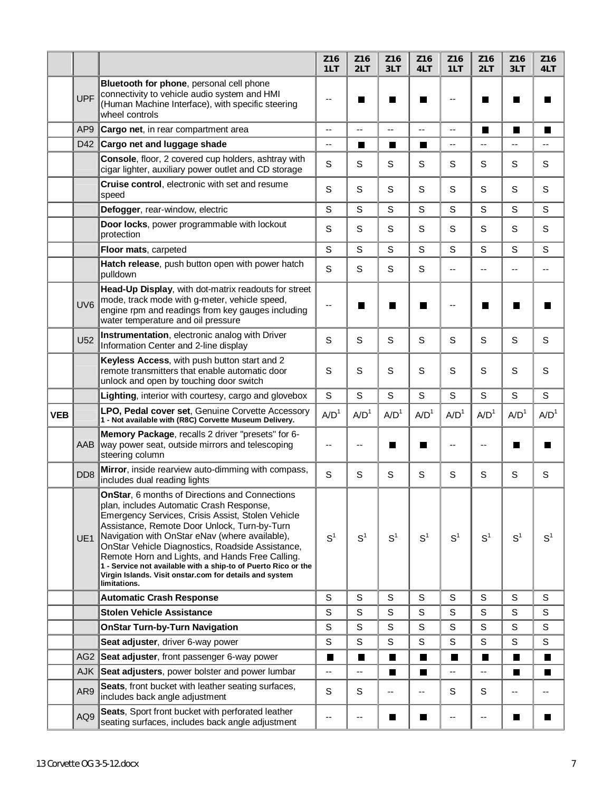|            |                  |                                                                                                                                                                                                                                                                                                                                                                                                                                                                                                       | Z16<br>1LT       | Z <sub>16</sub><br>2LT | Z16<br>3LT               | Z16<br>4LT       | Z16<br>1LT               | Z16<br>2LT                 | Z16<br>3LT       | Z <sub>16</sub><br>4LT |
|------------|------------------|-------------------------------------------------------------------------------------------------------------------------------------------------------------------------------------------------------------------------------------------------------------------------------------------------------------------------------------------------------------------------------------------------------------------------------------------------------------------------------------------------------|------------------|------------------------|--------------------------|------------------|--------------------------|----------------------------|------------------|------------------------|
|            | <b>UPF</b>       | Bluetooth for phone, personal cell phone<br>connectivity to vehicle audio system and HMI<br>(Human Machine Interface), with specific steering<br>wheel controls                                                                                                                                                                                                                                                                                                                                       |                  |                        |                          |                  |                          |                            |                  |                        |
|            | AP <sub>9</sub>  | Cargo net, in rear compartment area                                                                                                                                                                                                                                                                                                                                                                                                                                                                   | --               | $\qquad \qquad -$      | $\overline{\phantom{a}}$ | --               | $\overline{\phantom{a}}$ | П                          | H.               | I.                     |
|            | D42              | Cargo net and luggage shade                                                                                                                                                                                                                                                                                                                                                                                                                                                                           | --               | П                      | П                        | П                | --                       | Ξ.                         | --               | --                     |
|            |                  | Console, floor, 2 covered cup holders, ashtray with<br>cigar lighter, auxiliary power outlet and CD storage                                                                                                                                                                                                                                                                                                                                                                                           | S                | S                      | S                        | S                | S                        | S                          | S                | S                      |
|            |                  | Cruise control, electronic with set and resume<br>speed                                                                                                                                                                                                                                                                                                                                                                                                                                               | S                | $\mathbf S$            | S                        | S                | S                        | S                          | S                | S                      |
|            |                  | Defogger, rear-window, electric                                                                                                                                                                                                                                                                                                                                                                                                                                                                       | S                | S                      | S                        | S                | S                        | S                          | S                | S                      |
|            |                  | Door locks, power programmable with lockout<br>protection                                                                                                                                                                                                                                                                                                                                                                                                                                             | S                | S                      | S                        | S                | S                        | S                          | S                | S                      |
|            |                  | Floor mats, carpeted                                                                                                                                                                                                                                                                                                                                                                                                                                                                                  | S                | S                      | S                        | S                | S                        | S                          | S                | S                      |
|            |                  | Hatch release, push button open with power hatch<br>pulldown                                                                                                                                                                                                                                                                                                                                                                                                                                          | S                | S                      | S                        | S                | $-$                      | $-$                        | --               | --                     |
|            | UV <sub>6</sub>  | Head-Up Display, with dot-matrix readouts for street<br>mode, track mode with g-meter, vehicle speed,<br>engine rpm and readings from key gauges including<br>water temperature and oil pressure                                                                                                                                                                                                                                                                                                      | --               | H                      | <b>I</b>                 | Ш                | --                       | <b>In the Second State</b> |                  |                        |
|            | U <sub>52</sub>  | Instrumentation, electronic analog with Driver<br>Information Center and 2-line display                                                                                                                                                                                                                                                                                                                                                                                                               | S                | S                      | S                        | S                | S                        | S                          | S                | S                      |
|            |                  | Keyless Access, with push button start and 2<br>remote transmitters that enable automatic door<br>unlock and open by touching door switch                                                                                                                                                                                                                                                                                                                                                             | S                | S                      | S                        | S                | S                        | S                          | S                | S                      |
|            |                  | Lighting, interior with courtesy, cargo and glovebox                                                                                                                                                                                                                                                                                                                                                                                                                                                  | $\mathsf S$      | S                      | S                        |                  |                          |                            |                  |                        |
|            |                  |                                                                                                                                                                                                                                                                                                                                                                                                                                                                                                       |                  |                        |                          | S                | S                        | S                          | S                | S                      |
| <b>VEB</b> |                  | LPO, Pedal cover set, Genuine Corvette Accessory<br>1 - Not available with (R8C) Corvette Museum Delivery.                                                                                                                                                                                                                                                                                                                                                                                            | A/D <sup>1</sup> | A/D <sup>1</sup>       | A/D <sup>1</sup>         | A/D <sup>1</sup> | A/D <sup>1</sup>         | A/D <sup>1</sup>           | A/D <sup>1</sup> | A/D <sup>1</sup>       |
|            | AAB              | Memory Package, recalls 2 driver "presets" for 6-<br>way power seat, outside mirrors and telescoping<br>steering column                                                                                                                                                                                                                                                                                                                                                                               |                  |                        | I.                       | ×.               |                          |                            | H.               |                        |
|            | D <sub>D</sub> 8 | Mirror, inside rearview auto-dimming with compass,<br>includes dual reading lights                                                                                                                                                                                                                                                                                                                                                                                                                    | S                | S                      | S                        | S                | S                        | S                          | S                | S                      |
|            | UE1              | OnStar, 6 months of Directions and Connections<br>plan, includes Automatic Crash Response,<br>Emergency Services, Crisis Assist, Stolen Vehicle<br>Assistance, Remote Door Unlock, Turn-by-Turn<br>Navigation with OnStar eNav (where available),<br>OnStar Vehicle Diagnostics, Roadside Assistance,<br>Remote Horn and Lights, and Hands Free Calling.<br>1 - Service not available with a ship-to of Puerto Rico or the<br>Virgin Islands. Visit onstar.com for details and system<br>limitations. | S <sup>1</sup>   | S <sup>1</sup>         | S <sup>1</sup>           | S <sup>1</sup>   | $S^1$                    | S <sup>1</sup>             | S <sup>1</sup>   | S <sup>1</sup>         |
|            |                  | <b>Automatic Crash Response</b>                                                                                                                                                                                                                                                                                                                                                                                                                                                                       | S                | S                      | S                        | $\mathbb S$      | S                        | S                          | S                | S                      |
|            |                  | <b>Stolen Vehicle Assistance</b>                                                                                                                                                                                                                                                                                                                                                                                                                                                                      | $\mathbf S$      | $\mathsf S$            | $\mathbb S$              | $\mathbb S$      | S                        | S                          | S                | S                      |
|            |                  | <b>OnStar Turn-by-Turn Navigation</b>                                                                                                                                                                                                                                                                                                                                                                                                                                                                 | $\mathbb S$      | $\mathsf S$            | S                        | $\mathbb S$      | S                        | S                          | S                | S                      |
|            |                  | Seat adjuster, driver 6-way power                                                                                                                                                                                                                                                                                                                                                                                                                                                                     | S                | S                      | S                        | $\mathbb S$      | S                        | S                          | S                | S                      |
|            | AG <sub>2</sub>  | Seat adjuster, front passenger 6-way power                                                                                                                                                                                                                                                                                                                                                                                                                                                            | ш                | П                      | ш                        | Ш                | ш                        | П                          | ш                | ш                      |
|            | <b>AJK</b>       | Seat adjusters, power bolster and power lumbar                                                                                                                                                                                                                                                                                                                                                                                                                                                        | --               | --                     | П                        | $\blacksquare$   | $\overline{\phantom{a}}$ | --                         | H                | ш                      |
|            | AR9              | Seats, front bucket with leather seating surfaces,<br>includes back angle adjustment                                                                                                                                                                                                                                                                                                                                                                                                                  | S                | S                      | --                       | --               | S                        | S                          | --               | --                     |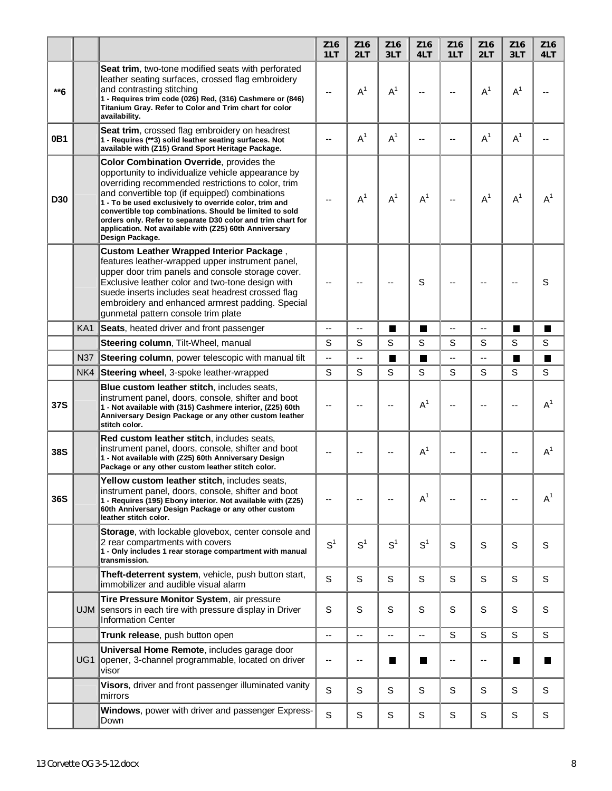|                 |                 |                                                                                                                                                                                                                                                                                                                                                                                                                                                                         | Z16<br>1LT               | Z <sub>16</sub><br>2LT | Z <sub>16</sub><br>3LT   | Z <sub>16</sub><br>4LT | Z16<br>1LT  | Z <sub>16</sub><br>2LT | Z16<br>3LT     | Z16<br>4LT     |
|-----------------|-----------------|-------------------------------------------------------------------------------------------------------------------------------------------------------------------------------------------------------------------------------------------------------------------------------------------------------------------------------------------------------------------------------------------------------------------------------------------------------------------------|--------------------------|------------------------|--------------------------|------------------------|-------------|------------------------|----------------|----------------|
| $**6$           |                 | Seat trim, two-tone modified seats with perforated<br>leather seating surfaces, crossed flag embroidery<br>and contrasting stitching<br>1 - Requires trim code (026) Red, (316) Cashmere or (846)<br>Titanium Gray. Refer to Color and Trim chart for color<br>availability.                                                                                                                                                                                            |                          | $A^1$                  | A <sup>1</sup>           | --                     | $-$         | $A^1$                  | $A^1$          |                |
| 0 <sub>B1</sub> |                 | Seat trim, crossed flag embroidery on headrest<br>1 - Requires (**3) solid leather seating surfaces. Not<br>available with (Z15) Grand Sport Heritage Package.                                                                                                                                                                                                                                                                                                          | $-$                      | $A^1$                  | $A^1$                    |                        | --          | $A^1$                  | $A^1$          |                |
| <b>D30</b>      |                 | Color Combination Override, provides the<br>opportunity to individualize vehicle appearance by<br>overriding recommended restrictions to color, trim<br>and convertible top (if equipped) combinations<br>1 - To be used exclusively to override color, trim and<br>convertible top combinations. Should be limited to sold<br>orders only. Refer to separate D30 color and trim chart for<br>application. Not available with (Z25) 60th Anniversary<br>Design Package. | --                       | $A^1$                  | $A^1$                    | $A^1$                  | $-$         | $A^1$                  | $A^1$          | $A^1$          |
|                 |                 | <b>Custom Leather Wrapped Interior Package,</b><br>features leather-wrapped upper instrument panel,<br>upper door trim panels and console storage cover.<br>Exclusive leather color and two-tone design with<br>suede inserts includes seat headrest crossed flag<br>embroidery and enhanced armrest padding. Special<br>gunmetal pattern console trim plate                                                                                                            |                          |                        | --                       | S                      |             |                        |                | S              |
|                 | KA <sub>1</sub> | Seats, heated driver and front passenger                                                                                                                                                                                                                                                                                                                                                                                                                                | $-$                      | Ш,                     | П                        | $\blacksquare$         | Ξ.          | ۰.                     | $\blacksquare$ | П              |
|                 |                 | <b>Steering column, Tilt-Wheel, manual</b>                                                                                                                                                                                                                                                                                                                                                                                                                              | S                        | S                      | S                        | S                      | S           | S                      | S              | S              |
|                 | <b>N37</b>      | Steering column, power telescopic with manual tilt                                                                                                                                                                                                                                                                                                                                                                                                                      | $\overline{\phantom{a}}$ | Ш,                     | П                        | П                      | Ξ.          | Ξ.                     | $\blacksquare$ | П              |
|                 | NK4             | Steering wheel, 3-spoke leather-wrapped                                                                                                                                                                                                                                                                                                                                                                                                                                 | $\mathbb S$              | S                      | S                        | S                      | S           | S                      | S              | S              |
| 37S             |                 | Blue custom leather stitch, includes seats,<br>instrument panel, doors, console, shifter and boot<br>1 - Not available with (315) Cashmere interior, (Z25) 60th<br>Anniversary Design Package or any other custom leather<br>stitch color.                                                                                                                                                                                                                              |                          |                        | --                       | $A^1$                  |             |                        |                | $A^1$          |
| 38S             |                 | Red custom leather stitch, includes seats,<br>instrument panel, doors, console, shifter and boot<br>1 - Not available with (Z25) 60th Anniversary Design<br>Package or any other custom leather stitch color.                                                                                                                                                                                                                                                           | --                       |                        | --                       | $A^1$                  |             |                        | --             | A <sup>1</sup> |
| <b>36S</b>      |                 | Yellow custom leather stitch, includes seats,<br>instrument panel, doors, console, shifter and boot<br>1 - Requires (195) Ebony interior. Not available with (Z25)<br>60th Anniversary Design Package or any other custom<br>leather stitch color.                                                                                                                                                                                                                      | $-$                      |                        | $\overline{\phantom{a}}$ | $A^1$                  | $-$         |                        | --             | $A^1$          |
|                 |                 | Storage, with lockable glovebox, center console and<br>2 rear compartments with covers<br>1 - Only includes 1 rear storage compartment with manual<br>transmission.                                                                                                                                                                                                                                                                                                     | S <sup>1</sup>           | S <sup>1</sup>         | S <sup>1</sup>           | S <sup>1</sup>         | S           | S                      | S              | S              |
|                 |                 | Theft-deterrent system, vehicle, push button start,<br>immobilizer and audible visual alarm                                                                                                                                                                                                                                                                                                                                                                             | S                        | S                      | S                        | S                      | S           | S                      | S              | S              |
|                 | <b>UJM</b>      | Tire Pressure Monitor System, air pressure<br>sensors in each tire with pressure display in Driver<br><b>Information Center</b>                                                                                                                                                                                                                                                                                                                                         | S                        | S                      | S                        | S                      | $\mathbb S$ | S                      | S              | S              |
|                 |                 | Trunk release, push button open                                                                                                                                                                                                                                                                                                                                                                                                                                         | --                       | --                     | --                       | --                     | $\mathbf S$ | S                      | S              | S              |
|                 | UG1             | Universal Home Remote, includes garage door<br>opener, 3-channel programmable, located on driver<br>visor                                                                                                                                                                                                                                                                                                                                                               | --                       | --                     | <b>The Second Second</b> | Ш                      | --          | --                     | H              | H              |
|                 |                 | Visors, driver and front passenger illuminated vanity<br>mirrors                                                                                                                                                                                                                                                                                                                                                                                                        | S                        | S                      | S                        | S                      | S           | S                      | S              | S              |
|                 |                 | Windows, power with driver and passenger Express-<br>Down                                                                                                                                                                                                                                                                                                                                                                                                               | S                        | S                      | S                        | S                      | S           | S                      | S              | S              |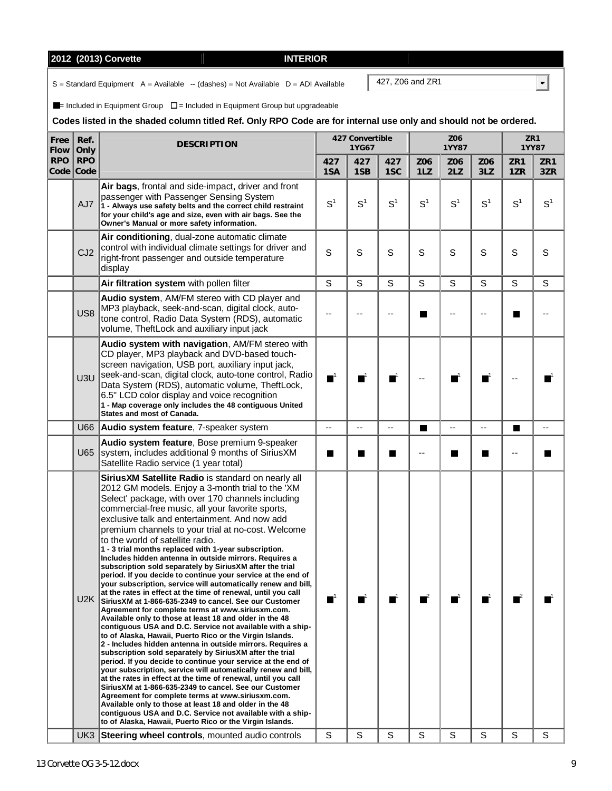|                         |                 | 2012 (2013) Corvette<br><b>INTERIOR</b>                                                                                                                                                                                                                                                                                                                                       |                  |                          |                  |                |  |
|-------------------------|-----------------|-------------------------------------------------------------------------------------------------------------------------------------------------------------------------------------------------------------------------------------------------------------------------------------------------------------------------------------------------------------------------------|------------------|--------------------------|------------------|----------------|--|
|                         |                 | $S =$ Standard Equipment A = Available -- (dashes) = Not Available D = ADI Available                                                                                                                                                                                                                                                                                          |                  |                          | 427, Z06 and ZR1 |                |  |
|                         |                 | $\blacksquare$ Included in Equipment Group $\square$ = Included in Equipment Group but upgradeable<br>Codes listed in the shaded column titled Ref. Only RPO Code are for internal use only and s                                                                                                                                                                             |                  |                          |                  |                |  |
| Free<br>Flow            | Ref.<br>Only    | <b>DESCRIPTION</b>                                                                                                                                                                                                                                                                                                                                                            |                  | 427 Convertible<br>1YG67 |                  |                |  |
| <b>RPO</b><br>Code Code | <b>RPO</b>      |                                                                                                                                                                                                                                                                                                                                                                               | 427<br>1SA       | 427<br>1SB               | 427<br>1SC       | Z06<br>1LZ     |  |
|                         | AJ7             | Air bags, frontal and side-impact, driver and front<br>passenger with Passenger Sensing System<br>1 - Always use safety belts and the correct child restraint<br>for your child's age and size, even with air bags. See the<br>Owner's Manual or more safety information.                                                                                                     | $S^1$            | $S^1$                    | S <sup>1</sup>   | S <sup>1</sup> |  |
|                         | CJ <sub>2</sub> | Air conditioning, dual-zone automatic climate<br>control with individual climate settings for driver and<br>right-front passenger and outside temperature<br>display                                                                                                                                                                                                          | S                | S                        | S                | S              |  |
|                         |                 | Air filtration system with pollen filter                                                                                                                                                                                                                                                                                                                                      | S                | S                        | S                | S              |  |
|                         | US <sub>8</sub> | <b>Audio system, AM/FM stereo with CD player and</b><br>MP3 playback, seek-and-scan, digital clock, auto-<br>tone control, Radio Data System (RDS), automatic<br>volume, TheftLock and auxiliary input jack                                                                                                                                                                   |                  |                          |                  |                |  |
|                         | U3U             | Audio system with navigation, AM/FM stereo with<br>CD player, MP3 playback and DVD-based touch-<br>screen navigation, USB port, auxiliary input jack,<br>seek-and-scan, digital clock, auto-tone control, Radio<br>Data System (RDS), automatic volume, TheftLock,<br>6.5" LCD color display and voice recognition<br>1 - Man coverage only includes the 48 contiguous United | $\blacksquare^1$ |                          |                  |                |  |

## only and should not be ordered.

| Flow       | Only                    | <b>DESURIPTIUN</b>                                                                                                                                                                                                                                                                                                                                                                                                                                                                                                                                                                                                                                                                                                                                                                                                                                                                                                                                                                                                                                                                                                                                                                                                                                                                                                                                                                                                                                                                                                                                                                                                                                                                   |                  | 1YG67          |                |                | 1YY87          |                  | 1YY87          |                |
|------------|-------------------------|--------------------------------------------------------------------------------------------------------------------------------------------------------------------------------------------------------------------------------------------------------------------------------------------------------------------------------------------------------------------------------------------------------------------------------------------------------------------------------------------------------------------------------------------------------------------------------------------------------------------------------------------------------------------------------------------------------------------------------------------------------------------------------------------------------------------------------------------------------------------------------------------------------------------------------------------------------------------------------------------------------------------------------------------------------------------------------------------------------------------------------------------------------------------------------------------------------------------------------------------------------------------------------------------------------------------------------------------------------------------------------------------------------------------------------------------------------------------------------------------------------------------------------------------------------------------------------------------------------------------------------------------------------------------------------------|------------------|----------------|----------------|----------------|----------------|------------------|----------------|----------------|
| <b>RPO</b> | <b>RPO</b><br>Code Code |                                                                                                                                                                                                                                                                                                                                                                                                                                                                                                                                                                                                                                                                                                                                                                                                                                                                                                                                                                                                                                                                                                                                                                                                                                                                                                                                                                                                                                                                                                                                                                                                                                                                                      | 427<br>1SA       | 427<br>1SB     | 427<br>1SC     | Z06<br>1LZ     | Z06<br>2LZ     | Z06<br>3LZ       | ZR1<br>1ZR     | ZR1<br>3ZR     |
|            | AJ7                     | Air bags, frontal and side-impact, driver and front<br>passenger with Passenger Sensing System<br>1 - Always use safety belts and the correct child restraint<br>for your child's age and size, even with air bags. See the<br>Owner's Manual or more safety information.                                                                                                                                                                                                                                                                                                                                                                                                                                                                                                                                                                                                                                                                                                                                                                                                                                                                                                                                                                                                                                                                                                                                                                                                                                                                                                                                                                                                            | S <sup>1</sup>   | S <sup>1</sup> | S <sup>1</sup> | S <sup>1</sup> | S <sup>1</sup> | S <sup>1</sup>   | S <sup>1</sup> | S <sup>1</sup> |
|            | CJ2                     | Air conditioning, dual-zone automatic climate<br>control with individual climate settings for driver and<br>right-front passenger and outside temperature<br>display                                                                                                                                                                                                                                                                                                                                                                                                                                                                                                                                                                                                                                                                                                                                                                                                                                                                                                                                                                                                                                                                                                                                                                                                                                                                                                                                                                                                                                                                                                                 | S                | S              | S              | S              | S              | S                | S              | S              |
|            |                         | Air filtration system with pollen filter                                                                                                                                                                                                                                                                                                                                                                                                                                                                                                                                                                                                                                                                                                                                                                                                                                                                                                                                                                                                                                                                                                                                                                                                                                                                                                                                                                                                                                                                                                                                                                                                                                             | S                | S              | S              | S              | S              | S                | S              | S              |
|            | US <sub>8</sub>         | Audio system, AM/FM stereo with CD player and<br>MP3 playback, seek-and-scan, digital clock, auto-<br>tone control, Radio Data System (RDS), automatic<br>volume, TheftLock and auxiliary input jack                                                                                                                                                                                                                                                                                                                                                                                                                                                                                                                                                                                                                                                                                                                                                                                                                                                                                                                                                                                                                                                                                                                                                                                                                                                                                                                                                                                                                                                                                 |                  |                |                |                |                |                  |                |                |
|            | U3U                     | Audio system with navigation, AM/FM stereo with<br>CD player, MP3 playback and DVD-based touch-<br>screen navigation, USB port, auxiliary input jack,<br>seek-and-scan, digital clock, auto-tone control, Radio<br>Data System (RDS), automatic volume, TheftLock,<br>6.5" LCD color display and voice recognition<br>1 - Map coverage only includes the 48 contiguous United<br>States and most of Canada.                                                                                                                                                                                                                                                                                                                                                                                                                                                                                                                                                                                                                                                                                                                                                                                                                                                                                                                                                                                                                                                                                                                                                                                                                                                                          | $\blacksquare^1$ | ПΪ             |                |                |                | $\blacksquare^1$ |                |                |
|            | U66                     | Audio system feature, 7-speaker system                                                                                                                                                                                                                                                                                                                                                                                                                                                                                                                                                                                                                                                                                                                                                                                                                                                                                                                                                                                                                                                                                                                                                                                                                                                                                                                                                                                                                                                                                                                                                                                                                                               | --               |                |                | П              |                | --               | H              |                |
|            | U65                     | Audio system feature, Bose premium 9-speaker<br>system, includes additional 9 months of SiriusXM<br>Satellite Radio service (1 year total)                                                                                                                                                                                                                                                                                                                                                                                                                                                                                                                                                                                                                                                                                                                                                                                                                                                                                                                                                                                                                                                                                                                                                                                                                                                                                                                                                                                                                                                                                                                                           | ш                | H              | a l            | --             | п              | П                | --             |                |
|            |                         | SiriusXM Satellite Radio is standard on nearly all<br>2012 GM models. Enjoy a 3-month trial to the 'XM<br>Select' package, with over 170 channels including<br>commercial-free music, all your favorite sports,<br>exclusive talk and entertainment. And now add<br>premium channels to your trial at no-cost. Welcome<br>to the world of satellite radio.<br>1 - 3 trial months replaced with 1-year subscription.<br>Includes hidden antenna in outside mirrors. Requires a<br>subscription sold separately by SiriusXM after the trial<br>period. If you decide to continue your service at the end of<br>your subscription, service will automatically renew and bill,<br>at the rates in effect at the time of renewal, until you call<br>U2K SiriusXM at 1-866-635-2349 to cancel. See our Customer<br>Agreement for complete terms at www.siriusxm.com.<br>Available only to those at least 18 and older in the 48<br>contiguous USA and D.C. Service not available with a ship-<br>to of Alaska, Hawaii, Puerto Rico or the Virgin Islands.<br>2 - Includes hidden antenna in outside mirrors. Requires a<br>subscription sold separately by SiriusXM after the trial<br>period. If you decide to continue your service at the end of<br>your subscription, service will automatically renew and bill,<br>at the rates in effect at the time of renewal, until you call<br>Sirius XM at 1-866-635-2349 to cancel. See our Customer<br>Agreement for complete terms at www.siriusxm.com.<br>Available only to those at least 18 and older in the 48<br>contiguous USA and D.C. Service not available with a ship-<br>to of Alaska, Hawaii, Puerto Rico or the Virgin Islands. | т                | п              |                |                |                | ш                |                |                |
|            |                         | UK3 Steering wheel controls, mounted audio controls                                                                                                                                                                                                                                                                                                                                                                                                                                                                                                                                                                                                                                                                                                                                                                                                                                                                                                                                                                                                                                                                                                                                                                                                                                                                                                                                                                                                                                                                                                                                                                                                                                  | S                | S              | S              | S              | S              | S                | S              | S              |

 $\overline{\mathbf{E}}$ 

**ZR1** 

**Z06**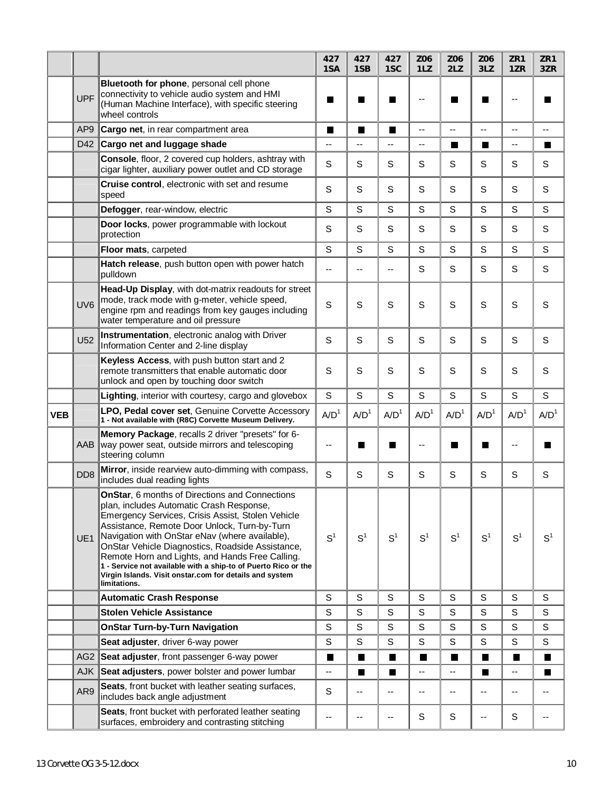|            |                 |                                                                                                                                                                                                                                                                                                                                                                                                                                                                                                       | 427<br>1SA               | 427<br>1SB        | 427<br>1SC               | Z06<br>1LZ       | Z06<br>2LZ       | Z06<br>3LZ       | ZR1<br>1ZR       | ZR1<br>3ZR       |
|------------|-----------------|-------------------------------------------------------------------------------------------------------------------------------------------------------------------------------------------------------------------------------------------------------------------------------------------------------------------------------------------------------------------------------------------------------------------------------------------------------------------------------------------------------|--------------------------|-------------------|--------------------------|------------------|------------------|------------------|------------------|------------------|
|            | <b>UPF</b>      | Bluetooth for phone, personal cell phone<br>connectivity to vehicle audio system and HMI<br>(Human Machine Interface), with specific steering<br>wheel controls                                                                                                                                                                                                                                                                                                                                       |                          |                   |                          |                  |                  |                  |                  |                  |
|            | AP <sub>9</sub> | Cargo net, in rear compartment area                                                                                                                                                                                                                                                                                                                                                                                                                                                                   | П                        | П                 | П                        | --               | --               | $-$              | --               | --               |
|            | D42             | Cargo net and luggage shade                                                                                                                                                                                                                                                                                                                                                                                                                                                                           | --                       | $\qquad \qquad -$ | $\overline{\phantom{a}}$ | --               | П                | П                | --               | $\blacksquare$   |
|            |                 | Console, floor, 2 covered cup holders, ashtray with<br>cigar lighter, auxiliary power outlet and CD storage                                                                                                                                                                                                                                                                                                                                                                                           | S                        | S                 | S                        | S                | S                | S                | S                | S                |
|            |                 | Cruise control, electronic with set and resume<br>speed                                                                                                                                                                                                                                                                                                                                                                                                                                               | S                        | S                 | S                        | S                | S                | S                | S                | $\mathbf S$      |
|            |                 | Defogger, rear-window, electric                                                                                                                                                                                                                                                                                                                                                                                                                                                                       | S                        | S                 | S                        | S                | S                | S                | S                | $\mathbf S$      |
|            |                 | Door locks, power programmable with lockout<br>protection                                                                                                                                                                                                                                                                                                                                                                                                                                             | S                        | S                 | S                        | S                | S                | S                | S                | $\mathbf S$      |
|            |                 | Floor mats, carpeted                                                                                                                                                                                                                                                                                                                                                                                                                                                                                  | S                        | S                 | S                        | S                | S                | S                | S                | $\mathbf S$      |
|            |                 | Hatch release, push button open with power hatch<br>pulldown                                                                                                                                                                                                                                                                                                                                                                                                                                          | $\overline{\phantom{a}}$ | --                | $\overline{\phantom{a}}$ | S                | S                | S                | S                | S                |
|            | UV <sub>6</sub> | Head-Up Display, with dot-matrix readouts for street<br>mode, track mode with q-meter, vehicle speed,<br>engine rpm and readings from key gauges including<br>water temperature and oil pressure                                                                                                                                                                                                                                                                                                      | S                        | S                 | S                        | S                | S                | S                | S                | S                |
|            | U <sub>52</sub> | Instrumentation, electronic analog with Driver<br>Information Center and 2-line display                                                                                                                                                                                                                                                                                                                                                                                                               | S                        | S                 | S                        | S                | S                | S                | S                | S                |
|            |                 | Keyless Access, with push button start and 2<br>remote transmitters that enable automatic door<br>unlock and open by touching door switch                                                                                                                                                                                                                                                                                                                                                             | S                        | S                 | S                        | S                | S                | S                | S                | $\mathbf S$      |
|            |                 |                                                                                                                                                                                                                                                                                                                                                                                                                                                                                                       |                          |                   |                          |                  |                  |                  |                  |                  |
|            |                 | Lighting, interior with courtesy, cargo and glovebox                                                                                                                                                                                                                                                                                                                                                                                                                                                  | S                        | S                 | S                        | S                | S                | S                | S                | S                |
| <b>VEB</b> |                 | LPO, Pedal cover set, Genuine Corvette Accessory<br>1 - Not available with (R8C) Corvette Museum Delivery.                                                                                                                                                                                                                                                                                                                                                                                            | A/D <sup>1</sup>         | A/D <sup>1</sup>  | A/D <sup>1</sup>         | A/D <sup>1</sup> | A/D <sup>1</sup> | A/D <sup>1</sup> | A/D <sup>1</sup> | A/D <sup>1</sup> |
|            | AAB             | Memory Package, recalls 2 driver "presets" for 6-<br>way power seat, outside mirrors and telescoping<br>steering column                                                                                                                                                                                                                                                                                                                                                                               | --                       | a s               | ш                        |                  |                  |                  | --               |                  |
|            | DD <sub>8</sub> | Mirror, inside rearview auto-dimming with compass,<br>includes dual reading lights                                                                                                                                                                                                                                                                                                                                                                                                                    | S                        | S                 | S                        | S                | S                | S                | S                | S                |
|            | UE1             | OnStar, 6 months of Directions and Connections<br>plan, includes Automatic Crash Response,<br>Emergency Services, Crisis Assist, Stolen Vehicle<br>Assistance, Remote Door Unlock, Turn-by-Turn<br>Navigation with OnStar eNav (where available),<br>OnStar Vehicle Diagnostics, Roadside Assistance,<br>Remote Horn and Lights, and Hands Free Calling.<br>1 - Service not available with a ship-to of Puerto Rico or the<br>Virgin Islands. Visit onstar.com for details and system<br>limitations. | S <sup>1</sup>           | S <sup>1</sup>    | S <sup>1</sup>           | $S^1$            | S <sup>1</sup>   | S <sup>1</sup>   | S <sup>1</sup>   | S <sup>1</sup>   |
|            |                 | <b>Automatic Crash Response</b>                                                                                                                                                                                                                                                                                                                                                                                                                                                                       | S                        | $\mathsf S$       | S                        | S                | S                | S                | $\mathsf S$      | $\mathbb S$      |
|            |                 | <b>Stolen Vehicle Assistance</b>                                                                                                                                                                                                                                                                                                                                                                                                                                                                      | $\mathbb S$              | S                 | $\mathsf S$              | $\mathbf S$      | S                | S                | $\mathsf S$      | S                |
|            |                 | <b>OnStar Turn-by-Turn Navigation</b>                                                                                                                                                                                                                                                                                                                                                                                                                                                                 | S                        | $\mathsf S$       | S                        | S                | S                | S                | S                | $\mathbb S$      |
|            |                 | Seat adjuster, driver 6-way power                                                                                                                                                                                                                                                                                                                                                                                                                                                                     | S                        | S                 | S                        | S                | S                | S                | S                | S                |
|            | AG <sub>2</sub> | Seat adjuster, front passenger 6-way power                                                                                                                                                                                                                                                                                                                                                                                                                                                            | Ш                        | Ш                 | ш                        | П                | П                | ш                | Ш                | ш                |
|            | <b>AJK</b>      | Seat adjusters, power bolster and power lumbar                                                                                                                                                                                                                                                                                                                                                                                                                                                        | --                       | П                 | H.                       | --               | --               | H.               | --               | a s              |
|            | AR9             | Seats, front bucket with leather seating surfaces,<br>includes back angle adjustment                                                                                                                                                                                                                                                                                                                                                                                                                  | S                        | --                | --                       | --               | --               | --               | --               | --               |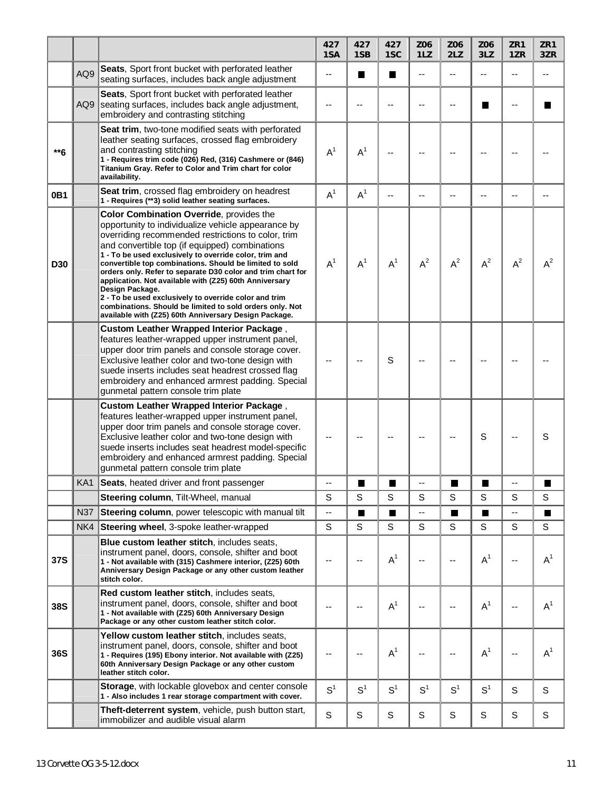|            |            |                                                                                                                                                                                                                                                                                                                                                                                                                                                                                                                                                                                                                                                       | 427<br>1SA     | 427<br>1SB     | 427<br>1SC     | Z06<br>1LZ               | Z06<br>2LZ     | Z06<br>3LZ                 | ZR1<br>1ZR | ZR1<br>3ZR     |
|------------|------------|-------------------------------------------------------------------------------------------------------------------------------------------------------------------------------------------------------------------------------------------------------------------------------------------------------------------------------------------------------------------------------------------------------------------------------------------------------------------------------------------------------------------------------------------------------------------------------------------------------------------------------------------------------|----------------|----------------|----------------|--------------------------|----------------|----------------------------|------------|----------------|
|            | AQ9        | Seats, Sport front bucket with perforated leather<br>seating surfaces, includes back angle adjustment                                                                                                                                                                                                                                                                                                                                                                                                                                                                                                                                                 | $-$            | H              | H              | $\overline{\phantom{a}}$ | $-$            | --                         | --         | $-$            |
|            | AQ9        | Seats, Sport front bucket with perforated leather<br>seating surfaces, includes back angle adjustment,<br>embroidery and contrasting stitching                                                                                                                                                                                                                                                                                                                                                                                                                                                                                                        | --             |                | --             | --                       |                | <b>In the Second State</b> | --         |                |
| **6        |            | Seat trim, two-tone modified seats with perforated<br>leather seating surfaces, crossed flag embroidery<br>and contrasting stitching<br>1 - Requires trim code (026) Red, (316) Cashmere or (846)<br>Titanium Gray. Refer to Color and Trim chart for color<br>availability.                                                                                                                                                                                                                                                                                                                                                                          | $A^1$          | A <sup>1</sup> | --             |                          |                |                            |            |                |
| 0B1        |            | Seat trim, crossed flag embroidery on headrest<br>1 - Requires (**3) solid leather seating surfaces.                                                                                                                                                                                                                                                                                                                                                                                                                                                                                                                                                  | $A^1$          | $A^1$          | $-$            |                          | --             | --                         | --         |                |
| <b>D30</b> |            | Color Combination Override, provides the<br>opportunity to individualize vehicle appearance by<br>overriding recommended restrictions to color, trim<br>and convertible top (if equipped) combinations<br>1 - To be used exclusively to override color, trim and<br>convertible top combinations. Should be limited to sold<br>orders only. Refer to separate D30 color and trim chart for<br>application. Not available with (Z25) 60th Anniversary<br>Design Package.<br>2 - To be used exclusively to override color and trim<br>combinations. Should be limited to sold orders only. Not<br>available with (Z25) 60th Anniversary Design Package. | $A^1$          | A <sup>1</sup> | $A^1$          | $A^2$                    | $A^2$          | $A^2$                      | $A^2$      | $A^2$          |
|            |            | <b>Custom Leather Wrapped Interior Package,</b><br>features leather-wrapped upper instrument panel,<br>upper door trim panels and console storage cover.<br>Exclusive leather color and two-tone design with<br>suede inserts includes seat headrest crossed flag<br>embroidery and enhanced armrest padding. Special<br>gunmetal pattern console trim plate                                                                                                                                                                                                                                                                                          |                |                | S              |                          |                |                            |            |                |
|            |            | <b>Custom Leather Wrapped Interior Package,</b><br>features leather-wrapped upper instrument panel,<br>upper door trim panels and console storage cover.<br>Exclusive leather color and two-tone design with<br>suede inserts includes seat headrest model-specific<br>embroidery and enhanced armrest padding. Special<br>gunmetal pattern console trim plate                                                                                                                                                                                                                                                                                        |                |                |                |                          |                | S                          |            | S              |
|            |            | KA1 Seats, heated driver and front passenger                                                                                                                                                                                                                                                                                                                                                                                                                                                                                                                                                                                                          |                | ٠              | ▅              |                          |                |                            |            |                |
|            |            | Steering column, Tilt-Wheel, manual                                                                                                                                                                                                                                                                                                                                                                                                                                                                                                                                                                                                                   | S              | S              | S              | S                        | S              | S                          | S          | S              |
|            | <b>N37</b> | Steering column, power telescopic with manual tilt                                                                                                                                                                                                                                                                                                                                                                                                                                                                                                                                                                                                    | --             | П              | П              | Ξ.                       | П              | $\blacksquare$             | --         | $\blacksquare$ |
|            | NK4        | Steering wheel, 3-spoke leather-wrapped                                                                                                                                                                                                                                                                                                                                                                                                                                                                                                                                                                                                               | S              | S              | S              | S                        | S              | S                          | S          | S              |
| 37S        |            | Blue custom leather stitch, includes seats,<br>instrument panel, doors, console, shifter and boot<br>1 - Not available with (315) Cashmere interior, (Z25) 60th<br>Anniversary Design Package or any other custom leather<br>stitch color.                                                                                                                                                                                                                                                                                                                                                                                                            | --             | --             | A <sup>1</sup> | --                       | --             | $A^1$                      | --         | A <sup>1</sup> |
| 38S        |            | Red custom leather stitch, includes seats,<br>instrument panel, doors, console, shifter and boot<br>1 - Not available with (Z25) 60th Anniversary Design<br>Package or any other custom leather stitch color.                                                                                                                                                                                                                                                                                                                                                                                                                                         | --             |                | A <sup>1</sup> |                          |                | $A^1$                      | --         | A <sup>1</sup> |
| 36S        |            | Yellow custom leather stitch, includes seats,<br>instrument panel, doors, console, shifter and boot<br>1 - Requires (195) Ebony interior. Not available with (Z25)<br>60th Anniversary Design Package or any other custom<br>leather stitch color.                                                                                                                                                                                                                                                                                                                                                                                                    | --             |                | A <sup>1</sup> |                          | --             | $A^1$                      | --         | A <sup>1</sup> |
|            |            | Storage, with lockable glovebox and center console<br>1 - Also includes 1 rear storage compartment with cover.                                                                                                                                                                                                                                                                                                                                                                                                                                                                                                                                        | S <sup>1</sup> | S <sup>1</sup> | S <sup>1</sup> | S <sup>1</sup>           | S <sup>1</sup> | S <sup>1</sup>             | S          | S              |
|            |            | Theft-deterrent system, vehicle, push button start,<br>immobilizer and audible visual alarm                                                                                                                                                                                                                                                                                                                                                                                                                                                                                                                                                           | S              | S              | S              | $\mathsf S$              | S              | S                          | S          | S              |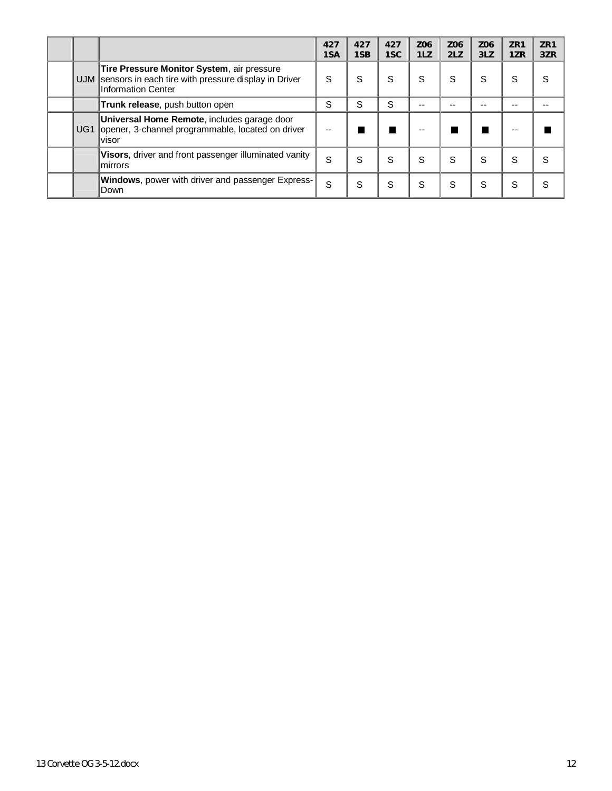|                 |                                                                                                                          | 427<br>1SA | 427<br>1SB | 427<br>1SC | Z06<br>1LZ | Z06<br>2LZ | Z06<br>3LZ | ZR <sub>1</sub><br>1ZR | ZR1<br>3ZR |
|-----------------|--------------------------------------------------------------------------------------------------------------------------|------------|------------|------------|------------|------------|------------|------------------------|------------|
| UJM             | Tire Pressure Monitor System, air pressure<br>sensors in each tire with pressure display in Driver<br>Information Center | S          | S          | S          | S          | S          | S          | S                      | S          |
|                 | Trunk release, push button open                                                                                          | S          | S          | S          | --         | --         | --         | --                     | --         |
| UG <sub>1</sub> | Universal Home Remote, includes garage door<br>opener, 3-channel programmable, located on driver<br>visor                |            |            |            | --         |            |            | --                     |            |
|                 | Visors, driver and front passenger illuminated vanity<br>mirrors                                                         | S          | S          | S          | S          | S          | S          | S                      | S          |
|                 | <b>Windows</b> , power with driver and passenger Express-<br>Down                                                        | S          | S          | S          | S          | S          | S          | S                      | S          |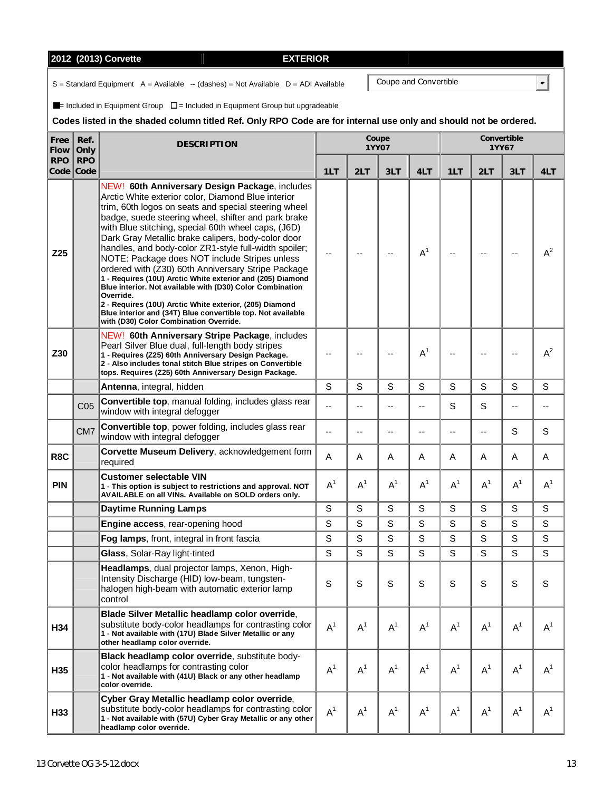# **2012 (2013) Corvette EXTERIOR**

 $S =$  Standard Equipment  $A =$  Available  $-$  (dashes) = Not Available  $D =$  ADI Available

 $\blacksquare$ = Included in Equipment Group  $\square$  = Included in Equipment Group but upgradeable

# **Codes listed in the shaded column titled Ref. Only RPO Code are for internal use only and should not be ordered.**

| Free<br>Flow | Ref.<br>Only            | <b>DESCRIPTION</b>                                                                                                                                                                                                                                                                                                                                                                                                                                                                                                                                                                                                                                                                                                                                                                                           |       |                | Coupe<br>1YY07 |       | Convertible<br>1YY67 |       |       |             |  |
|--------------|-------------------------|--------------------------------------------------------------------------------------------------------------------------------------------------------------------------------------------------------------------------------------------------------------------------------------------------------------------------------------------------------------------------------------------------------------------------------------------------------------------------------------------------------------------------------------------------------------------------------------------------------------------------------------------------------------------------------------------------------------------------------------------------------------------------------------------------------------|-------|----------------|----------------|-------|----------------------|-------|-------|-------------|--|
| <b>RPO</b>   | <b>RPO</b><br>Code Code |                                                                                                                                                                                                                                                                                                                                                                                                                                                                                                                                                                                                                                                                                                                                                                                                              | 1LT   | 2LT            | 3LT            | 4LT   | 1LT                  | 2LT   | 3LT   | 4LT         |  |
| Z25          |                         | NEW! 60th Anniversary Design Package, includes<br>Arctic White exterior color, Diamond Blue interior<br>trim, 60th logos on seats and special steering wheel<br>badge, suede steering wheel, shifter and park brake<br>with Blue stitching, special 60th wheel caps, (J6D)<br>Dark Gray Metallic brake calipers, body-color door<br>handles, and body-color ZR1-style full-width spoiler;<br>NOTE: Package does NOT include Stripes unless<br>ordered with (Z30) 60th Anniversary Stripe Package<br>1 - Requires (10U) Arctic White exterior and (205) Diamond<br>Blue interior. Not available with (D30) Color Combination<br>Override.<br>2 - Requires (10U) Arctic White exterior, (205) Diamond<br>Blue interior and (34T) Blue convertible top. Not available<br>with (D30) Color Combination Override. |       |                |                | $A^1$ |                      |       | --    | $A^2$       |  |
| Z30          |                         | NEW! 60th Anniversary Stripe Package, includes<br>Pearl Silver Blue dual, full-length body stripes<br>1 - Requires (Z25) 60th Anniversary Design Package.<br>2 - Also includes tonal stitch Blue stripes on Convertible<br>tops. Requires (Z25) 60th Anniversary Design Package.                                                                                                                                                                                                                                                                                                                                                                                                                                                                                                                             |       |                |                | $A^1$ |                      |       | --    | $A^2$       |  |
|              |                         | Antenna, integral, hidden                                                                                                                                                                                                                                                                                                                                                                                                                                                                                                                                                                                                                                                                                                                                                                                    | S     | S              | S              | S     | S                    | S     | S     | S           |  |
|              | C <sub>05</sub>         | Convertible top, manual folding, includes glass rear<br>window with integral defogger                                                                                                                                                                                                                                                                                                                                                                                                                                                                                                                                                                                                                                                                                                                        |       | --             | $-$            | --    | S                    | S     | --    |             |  |
|              | CM <sub>7</sub>         | Convertible top, power folding, includes glass rear<br>window with integral defogger                                                                                                                                                                                                                                                                                                                                                                                                                                                                                                                                                                                                                                                                                                                         |       | $-$            | $-$            | $-$   |                      | --    | S     | S           |  |
| R8C          |                         | Corvette Museum Delivery, acknowledgement form<br>required                                                                                                                                                                                                                                                                                                                                                                                                                                                                                                                                                                                                                                                                                                                                                   | A     | Α              | A              | Α     | A                    | A     | A     | Α           |  |
| <b>PIN</b>   |                         | <b>Customer selectable VIN</b><br>1 - This option is subject to restrictions and approval. NOT<br>AVAILABLE on all VINs. Available on SOLD orders only.                                                                                                                                                                                                                                                                                                                                                                                                                                                                                                                                                                                                                                                      | $A^1$ | $A^1$          | $A^1$          | $A^1$ | $A^1$                | $A^1$ | $A^1$ | $A^1$       |  |
|              |                         | <b>Daytime Running Lamps</b>                                                                                                                                                                                                                                                                                                                                                                                                                                                                                                                                                                                                                                                                                                                                                                                 | S     | S              | S              | S     | S                    | S     | S     | $\mathbf S$ |  |
|              |                         | Engine access, rear-opening hood                                                                                                                                                                                                                                                                                                                                                                                                                                                                                                                                                                                                                                                                                                                                                                             | S     | S              | S              | S     | S                    | S     | S     | $\mathbb S$ |  |
|              |                         | Fog lamps, front, integral in front fascia                                                                                                                                                                                                                                                                                                                                                                                                                                                                                                                                                                                                                                                                                                                                                                   | S     | S              | S              | S     | S                    | S     | S     | $\mathbf S$ |  |
|              |                         | Glass, Solar-Ray light-tinted                                                                                                                                                                                                                                                                                                                                                                                                                                                                                                                                                                                                                                                                                                                                                                                | S     | S              | S              | S     | S                    | S     | S     | $\mathbf S$ |  |
|              |                         | Headlamps, dual projector lamps, Xenon, High-<br>Intensity Discharge (HID) low-beam, tungsten-<br>halogen high-beam with automatic exterior lamp<br>control                                                                                                                                                                                                                                                                                                                                                                                                                                                                                                                                                                                                                                                  | S     | S              | S              | S     | S                    | S     | S     | S           |  |
| H34          |                         | Blade Silver Metallic headlamp color override,<br>substitute body-color headlamps for contrasting color<br>1 - Not available with (17U) Blade Silver Metallic or any<br>other headlamp color override.                                                                                                                                                                                                                                                                                                                                                                                                                                                                                                                                                                                                       | $A^1$ | $A^1$          | $A^1$          | $A^1$ | $A^1$                | $A^1$ | $A^1$ | $A^1$       |  |
| H35          |                         | Black headlamp color override, substitute body-<br>color headlamps for contrasting color<br>1 - Not available with (41U) Black or any other headlamp<br>color override.                                                                                                                                                                                                                                                                                                                                                                                                                                                                                                                                                                                                                                      | $A^1$ | $A^1$          | $A^1$          | $A^1$ | $A^1$                | $A^1$ | $A^1$ | $A^1$       |  |
| H33          |                         | Cyber Gray Metallic headlamp color override,<br>substitute body-color headlamps for contrasting color<br>1 - Not available with (57U) Cyber Gray Metallic or any other<br>headlamp color override.                                                                                                                                                                                                                                                                                                                                                                                                                                                                                                                                                                                                           | $A^1$ | A <sup>1</sup> | $A^1$          | $A^1$ | $A^1$                | $A^1$ | $A^1$ | $A^1$       |  |

Coupe and Convertible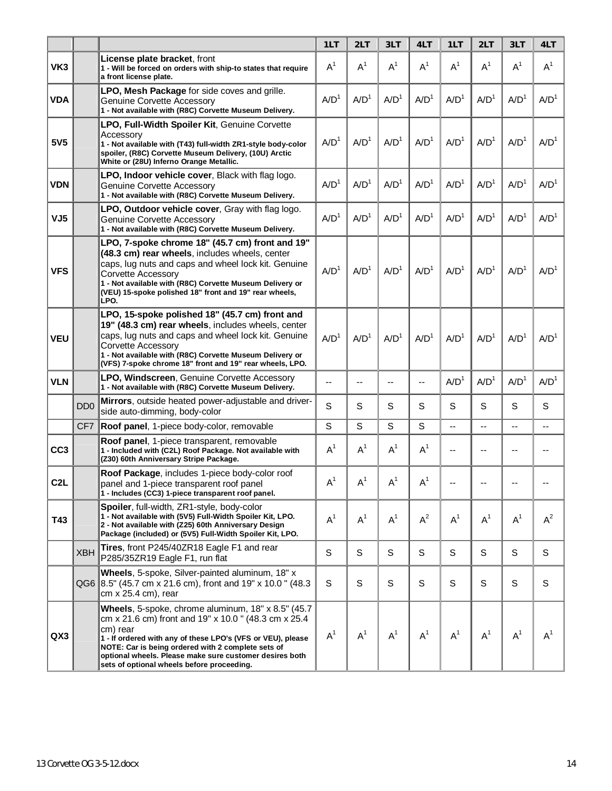|                  |                             |                                                                                                                                                                                                                                                                                                                                                      | 1LT              | 2LT              | 3LT              | 4LT              | 1LT              | 2LT              | 3LT              | 4LT              |
|------------------|-----------------------------|------------------------------------------------------------------------------------------------------------------------------------------------------------------------------------------------------------------------------------------------------------------------------------------------------------------------------------------------------|------------------|------------------|------------------|------------------|------------------|------------------|------------------|------------------|
| VK3              |                             | <b>License plate bracket, front</b><br>1 - Will be forced on orders with ship-to states that require<br>a front license plate.                                                                                                                                                                                                                       | A <sup>1</sup>   | $A^1$            | A <sup>1</sup>   | $A^1$            | A <sup>1</sup>   | $A^1$            | $A^1$            | A <sup>1</sup>   |
| <b>VDA</b>       |                             | <b>LPO, Mesh Package</b> for side coves and grille.<br>Genuine Corvette Accessory<br>1 - Not available with (R8C) Corvette Museum Delivery.                                                                                                                                                                                                          | A/D <sup>1</sup> | A/D <sup>1</sup> | A/D <sup>1</sup> | A/D <sup>1</sup> | A/D <sup>1</sup> | A/D <sup>1</sup> | A/D <sup>1</sup> | A/D <sup>1</sup> |
| 5V <sub>5</sub>  |                             | LPO, Full-Width Spoiler Kit, Genuine Corvette<br>Accessory<br>1 - Not available with (T43) full-width ZR1-style body-color<br>spoiler, (R8C) Corvette Museum Delivery, (10U) Arctic<br>White or (28U) Inferno Orange Metallic.                                                                                                                       | A/D <sup>1</sup> | A/D <sup>1</sup> | A/D <sup>1</sup> | A/D <sup>1</sup> | A/D <sup>1</sup> | A/D <sup>1</sup> | A/D <sup>1</sup> | A/D <sup>1</sup> |
| <b>VDN</b>       |                             | <b>LPO, Indoor vehicle cover, Black with flag logo.</b><br><b>Genuine Corvette Accessory</b><br>1 - Not available with (R8C) Corvette Museum Delivery.                                                                                                                                                                                               | A/D <sup>1</sup> | A/D <sup>1</sup> | A/D <sup>1</sup> | A/D <sup>1</sup> | A/D <sup>1</sup> | A/D <sup>1</sup> | A/D <sup>1</sup> | A/D <sup>1</sup> |
| VJ5              |                             | LPO, Outdoor vehicle cover, Gray with flag logo.<br>Genuine Corvette Accessory<br>1 - Not available with (R8C) Corvette Museum Delivery.                                                                                                                                                                                                             | A/D <sup>1</sup> | A/D <sup>1</sup> | A/D <sup>1</sup> | A/D <sup>1</sup> | A/D <sup>1</sup> | A/D <sup>1</sup> | A/D <sup>1</sup> | A/D <sup>1</sup> |
| <b>VFS</b>       |                             | LPO, 7-spoke chrome 18" (45.7 cm) front and 19"<br>(48.3 cm) rear wheels, includes wheels, center<br>caps, lug nuts and caps and wheel lock kit. Genuine<br>Corvette Accessory<br>1 - Not available with (R8C) Corvette Museum Delivery or<br>(VEU) 15-spoke polished 18" front and 19" rear wheels,<br>LPO.                                         | A/D <sup>1</sup> | A/D <sup>1</sup> | A/D <sup>1</sup> | A/D <sup>1</sup> | A/D <sup>1</sup> | A/D <sup>1</sup> | A/D <sup>1</sup> | A/D <sup>1</sup> |
| <b>VEU</b>       |                             | LPO, 15-spoke polished 18" (45.7 cm) front and<br>19" (48.3 cm) rear wheels, includes wheels, center<br>caps, lug nuts and caps and wheel lock kit. Genuine<br>Corvette Accessory<br>1 - Not available with (R8C) Corvette Museum Delivery or<br>(VFS) 7-spoke chrome 18" front and 19" rear wheels, LPO.                                            | A/D <sup>1</sup> | A/D <sup>1</sup> | A/D <sup>1</sup> | A/D <sup>1</sup> | A/D <sup>1</sup> | A/D <sup>1</sup> | A/D <sup>1</sup> | A/D <sup>1</sup> |
| <b>VLN</b>       |                             | <b>LPO, Windscreen, Genuine Corvette Accessory</b><br>1 - Not available with (R8C) Corvette Museum Delivery.                                                                                                                                                                                                                                         | $-$              | --               | --               | $-$              | A/D <sup>1</sup> | A/D <sup>1</sup> | A/D <sup>1</sup> | A/D <sup>1</sup> |
|                  | D <sub>D</sub> <sub>0</sub> | Mirrors, outside heated power-adjustable and driver-<br>side auto-dimming, body-color                                                                                                                                                                                                                                                                | S                | S                | S                | S                | S                | S                | S                | S                |
|                  | CF7                         | Roof panel, 1-piece body-color, removable                                                                                                                                                                                                                                                                                                            | S                | S                | S                | S                | --               | Ξ.               | --               | --               |
| CC <sub>3</sub>  |                             | Roof panel, 1-piece transparent, removable<br>1 - Included with (C2L) Roof Package. Not available with<br>(Z30) 60th Anniversary Stripe Package.                                                                                                                                                                                                     | $A^1$            | $A^1$            | $A^1$            | $A^1$            | $-$              | --               | --               | --               |
| C <sub>2</sub> L |                             | Roof Package, includes 1-piece body-color roof<br>panel and 1-piece transparent roof panel<br>1 - Includes (CC3) 1-piece transparent roof panel.                                                                                                                                                                                                     | $\mathsf{A}^1$   | $\mathsf{A}^1$   | $A^1$            | $A^1$            |                  |                  |                  |                  |
| T43              |                             | Spoiler, full-width, ZR1-style, body-color<br>1 - Not available with (5V5) Full-Width Spoiler Kit, LPO.<br>2 - Not available with (Z25) 60th Anniversary Design<br>Package (included) or (5V5) Full-Width Spoiler Kit, LPO.                                                                                                                          | A <sup>1</sup>   | $A^1$            | A <sup>1</sup>   | $A^2$            | $A^1$            | A <sup>1</sup>   | $A^1$            | $A^2$            |
|                  | <b>XBH</b>                  | Tires, front P245/40ZR18 Eagle F1 and rear<br>P285/35ZR19 Eagle F1, run flat                                                                                                                                                                                                                                                                         | $\mathbb S$      | S                | S                | S                | $\mathsf S$      | S                | S                | S                |
|                  |                             | Wheels, 5-spoke, Silver-painted aluminum, 18" x<br>QG6 8.5" (45.7 cm x 21.6 cm), front and 19" x 10.0 " (48.3<br>cm x 25.4 cm), rear                                                                                                                                                                                                                 | S                | S                | S                | S                | S                | S                | S                | S                |
| QX3              |                             | Wheels, 5-spoke, chrome aluminum, 18" x 8.5" (45.7)<br>cm x 21.6 cm) front and 19" x 10.0" (48.3 cm x 25.4<br>cm) rear<br>1 - If ordered with any of these LPO's (VFS or VEU), please<br>NOTE: Car is being ordered with 2 complete sets of<br>optional wheels. Please make sure customer desires both<br>sets of optional wheels before proceeding. | $A^1$            | $A^1$            | $A^1$            | $\mathsf{A}^1$   | $A^1$            | $A^1$            | $A^1$            | $A^1$            |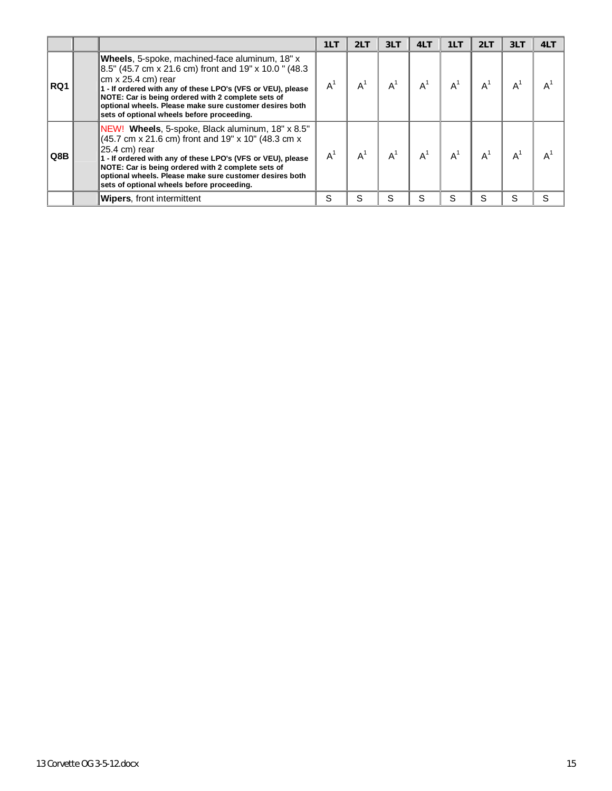|     |                                                                                                                                                                                                                                                                                                                                                                                 | 1LT | 2LT   | 3LT   | 4LT   | 1LT                       | 2LT | 3LT   | 4LT |
|-----|---------------------------------------------------------------------------------------------------------------------------------------------------------------------------------------------------------------------------------------------------------------------------------------------------------------------------------------------------------------------------------|-----|-------|-------|-------|---------------------------|-----|-------|-----|
| RQ1 | Wheels, 5-spoke, machined-face aluminum, 18" x<br>8.5" (45.7 cm x 21.6 cm) front and 19" x 10.0 " (48.3<br>∥cm x 25.4 cm) rear<br>1 - If ordered with any of these LPO's (VFS or VEU), please<br>NOTE: Car is being ordered with 2 complete sets of<br>optional wheels. Please make sure customer desires both<br>sets of optional wheels before proceeding.                    | A   | $A^1$ | $A^1$ | $A^1$ | $\mathsf{A}^{\mathsf{c}}$ |     | $A^1$ |     |
| Q8B | NEW! Wheels, 5-spoke, Black aluminum, 18" x 8.5"<br>$(45.7 \text{ cm} \times 21.6 \text{ cm})$ front and 19" x 10" (48.3 cm x)<br>  25.4 cm) rear<br>1 - If ordered with any of these LPO's (VFS or VEU), please<br>NOTE: Car is being ordered with 2 complete sets of<br>optional wheels. Please make sure customer desires both<br>sets of optional wheels before proceeding. | А   | AÍ    | $A^1$ | $A^1$ | $\mathsf{A}$              |     | $A^1$ |     |
|     | <b>Wipers</b> , front intermittent                                                                                                                                                                                                                                                                                                                                              | S   | S.    | S     | S     | S                         | S.  | S.    | S   |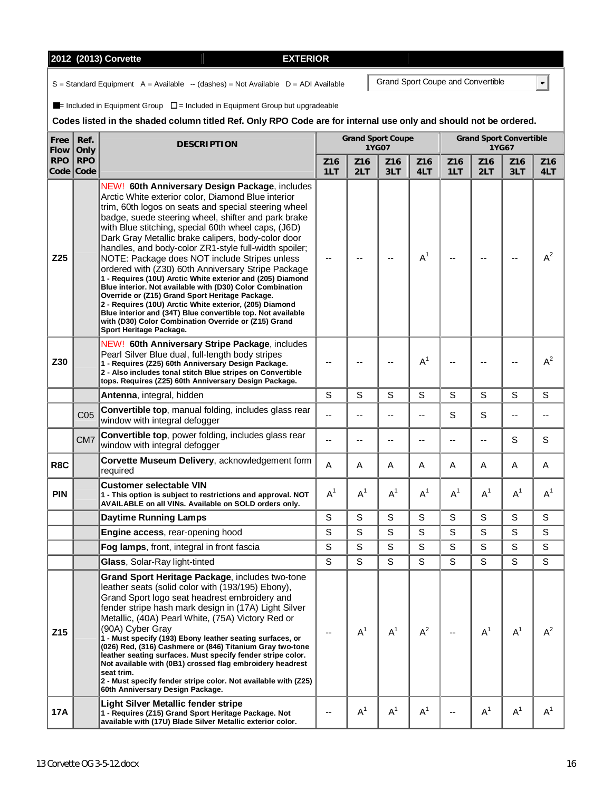# **2012 (2013) Corvette EXTERIOR**

 $S =$  Standard Equipment  $A =$  Available  $-$  (dashes) = Not Available  $D =$  ADI Available

 $\blacksquare$ = Included in Equipment Group  $\square$  = Included in Equipment Group but upgradeable

# **Codes listed in the shaded column titled Ref. Only RPO Code are for internal use only and should not be ordered.**

| Free<br><b>Flow</b> | Ref.<br>Only            | <b>DESCRIPTION</b>                                                                                                                                                                                                                                                                                                                                                                                                                                                                                                                                                                                                                                                                                                                                                                                                                                                                          |             | <b>Grand Sport Coupe</b> | 1YG07      |                |                        |             | <b>Grand Sport Convertible</b><br>1YG67 |                        |
|---------------------|-------------------------|---------------------------------------------------------------------------------------------------------------------------------------------------------------------------------------------------------------------------------------------------------------------------------------------------------------------------------------------------------------------------------------------------------------------------------------------------------------------------------------------------------------------------------------------------------------------------------------------------------------------------------------------------------------------------------------------------------------------------------------------------------------------------------------------------------------------------------------------------------------------------------------------|-------------|--------------------------|------------|----------------|------------------------|-------------|-----------------------------------------|------------------------|
| <b>RPO</b>          | <b>RPO</b><br>Code Code |                                                                                                                                                                                                                                                                                                                                                                                                                                                                                                                                                                                                                                                                                                                                                                                                                                                                                             | Z16<br>1LT  | Z16<br>2LT               | Z16<br>3LT | Z16<br>4LT     | Z <sub>16</sub><br>1LT | Z16<br>2LT  | Z <sub>16</sub><br>3LT                  | Z <sub>16</sub><br>4LT |
| Z25                 |                         | NEW! 60th Anniversary Design Package, includes<br>Arctic White exterior color, Diamond Blue interior<br>trim, 60th logos on seats and special steering wheel<br>badge, suede steering wheel, shifter and park brake<br>with Blue stitching, special 60th wheel caps, (J6D)<br>Dark Gray Metallic brake calipers, body-color door<br>handles, and body-color ZR1-style full-width spoiler;<br>NOTE: Package does NOT include Stripes unless<br>ordered with (Z30) 60th Anniversary Stripe Package<br>1 - Requires (10U) Arctic White exterior and (205) Diamond<br>Blue interior. Not available with (D30) Color Combination<br>Override or (Z15) Grand Sport Heritage Package.<br>2 - Requires (10U) Arctic White exterior, (205) Diamond<br>Blue interior and (34T) Blue convertible top. Not available<br>with (D30) Color Combination Override or (Z15) Grand<br>Sport Heritage Package. |             |                          |            | A <sup>1</sup> |                        |             |                                         | $A^2$                  |
| Z30                 |                         | NEW! 60th Anniversary Stripe Package, includes<br>Pearl Silver Blue dual, full-length body stripes<br>1 - Requires (Z25) 60th Anniversary Design Package.<br>2 - Also includes tonal stitch Blue stripes on Convertible<br>tops. Requires (Z25) 60th Anniversary Design Package.                                                                                                                                                                                                                                                                                                                                                                                                                                                                                                                                                                                                            |             |                          |            | $A^1$          |                        |             |                                         | $A^2$                  |
|                     |                         | Antenna, integral, hidden                                                                                                                                                                                                                                                                                                                                                                                                                                                                                                                                                                                                                                                                                                                                                                                                                                                                   | S           | S                        | S          | S              | S                      | S           | S                                       | S                      |
|                     | CO <sub>5</sub>         | Convertible top, manual folding, includes glass rear<br>window with integral defogger                                                                                                                                                                                                                                                                                                                                                                                                                                                                                                                                                                                                                                                                                                                                                                                                       |             |                          |            | --             | S                      | S           |                                         |                        |
|                     | CM <sub>7</sub>         | Convertible top, power folding, includes glass rear<br>window with integral defogger                                                                                                                                                                                                                                                                                                                                                                                                                                                                                                                                                                                                                                                                                                                                                                                                        |             |                          |            |                |                        |             | S                                       | S                      |
| R8C                 |                         | Corvette Museum Delivery, acknowledgement form<br>required                                                                                                                                                                                                                                                                                                                                                                                                                                                                                                                                                                                                                                                                                                                                                                                                                                  | A           | Α                        | A          | Α              | A                      | A           | A                                       | Α                      |
| <b>PIN</b>          |                         | <b>Customer selectable VIN</b><br>1 - This option is subject to restrictions and approval. NOT<br>AVAILABLE on all VINs. Available on SOLD orders only.                                                                                                                                                                                                                                                                                                                                                                                                                                                                                                                                                                                                                                                                                                                                     | $A^1$       | $A^1$                    | $A^1$      | $A^1$          | $A^1$                  | $A^1$       | $A^1$                                   | $A^1$                  |
|                     |                         | <b>Daytime Running Lamps</b>                                                                                                                                                                                                                                                                                                                                                                                                                                                                                                                                                                                                                                                                                                                                                                                                                                                                | $\mathbf S$ | S                        | S          | S              | S                      | S           | S                                       | S                      |
|                     |                         | <b>Engine access, rear-opening hood</b>                                                                                                                                                                                                                                                                                                                                                                                                                                                                                                                                                                                                                                                                                                                                                                                                                                                     | S           | S                        | S          | S              | S                      | S           | $\mathsf S$                             | S                      |
|                     |                         | Fog lamps, front, integral in front fascia                                                                                                                                                                                                                                                                                                                                                                                                                                                                                                                                                                                                                                                                                                                                                                                                                                                  | S           | S                        | S          | $\mathbf S$    | S                      | S           | S                                       | S                      |
|                     |                         | Glass, Solar-Ray light-tinted                                                                                                                                                                                                                                                                                                                                                                                                                                                                                                                                                                                                                                                                                                                                                                                                                                                               | S           | S                        | S          | $\mathbf S$    | S                      | $\mathbf S$ | S                                       | S                      |
| Z <sub>15</sub>     |                         | Grand Sport Heritage Package, includes two-tone<br>leather seats (solid color with (193/195) Ebony),<br>Grand Sport logo seat headrest embroidery and<br>fender stripe hash mark design in (17A) Light Silver<br>Metallic, (40A) Pearl White, (75A) Victory Red or<br>(90A) Cyber Gray<br>1 - Must specify (193) Ebony leather seating surfaces, or<br>(026) Red, (316) Cashmere or (846) Titanium Gray two-tone<br>leather seating surfaces. Must specify fender stripe color.<br>Not available with (0B1) crossed flag embroidery headrest<br>seat trim.<br>2 - Must specify fender stripe color. Not available with (Z25)<br>60th Anniversary Design Package.                                                                                                                                                                                                                            |             | $A^1$                    | $A^1$      | $A^2$          |                        | $A^1$       | $A^1$                                   | $A^2$                  |
| 17A                 |                         | Light Silver Metallic fender stripe<br>1 - Requires (Z15) Grand Sport Heritage Package. Not<br>available with (17U) Blade Silver Metallic exterior color.                                                                                                                                                                                                                                                                                                                                                                                                                                                                                                                                                                                                                                                                                                                                   | $-$         | $A^1$                    | $A^1$      | $A^1$          |                        | $A^1$       | $A^1$                                   | $A^1$                  |

Grand Sport Coupe and Convertible

 $\blacksquare$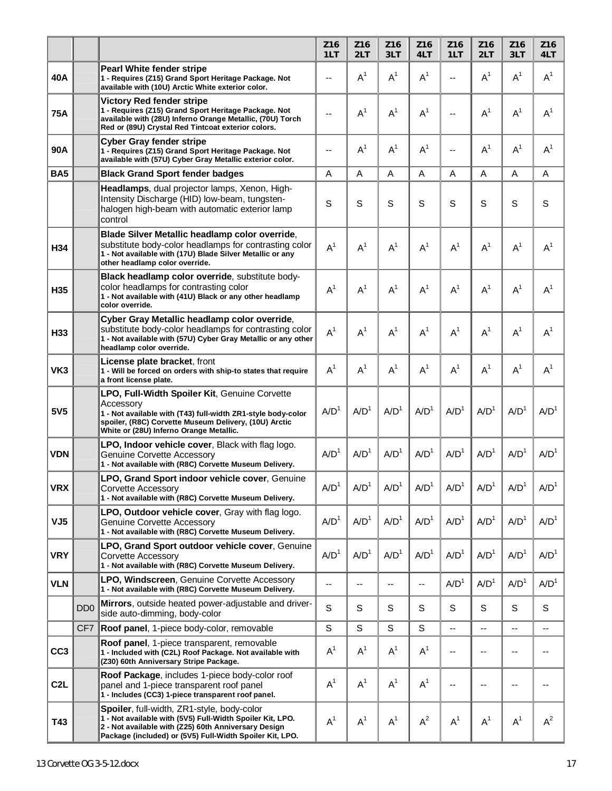|                  |                             |                                                                                                                                                                                                                                | Z <sub>16</sub><br>1LT | Z <sub>16</sub><br>2LT | Z <sub>16</sub><br>3LT   | Z16<br>4LT        | Z16<br>1LT               | Z <sub>16</sub><br>2LT | Z16<br>3LT       | Z <sub>16</sub><br>4LT |
|------------------|-----------------------------|--------------------------------------------------------------------------------------------------------------------------------------------------------------------------------------------------------------------------------|------------------------|------------------------|--------------------------|-------------------|--------------------------|------------------------|------------------|------------------------|
| 40A              |                             | <b>Pearl White fender stripe</b><br>1 - Requires (Z15) Grand Sport Heritage Package. Not<br>available with (10U) Arctic White exterior color.                                                                                  | ٠.                     | $A^1$                  | $A^1$                    | $A^1$             | --                       | $A^1$                  | $A^1$            | A <sup>1</sup>         |
| <b>75A</b>       |                             | <b>Victory Red fender stripe</b><br>1 - Requires (Z15) Grand Sport Heritage Package. Not<br>available with (28U) Inferno Orange Metallic, (70U) Torch<br>Red or (89U) Crystal Red Tintcoat exterior colors.                    | ٠.                     | A <sup>1</sup>         | $A^1$                    | $A^1$             | $-$                      | $A^1$                  | $A^1$            | $A^1$                  |
| 90A              |                             | <b>Cyber Gray fender stripe</b><br>1 - Requires (Z15) Grand Sport Heritage Package. Not<br>available with (57U) Cyber Gray Metallic exterior color.                                                                            | --                     | $A^1$                  | $A^1$                    | $A^1$             | $\overline{a}$           | $A^1$                  | $A^1$            | $A^1$                  |
| <b>BA5</b>       |                             | <b>Black Grand Sport fender badges</b>                                                                                                                                                                                         | A                      | Α                      | A                        | A                 | A                        | A                      | A                | A                      |
|                  |                             | Headlamps, dual projector lamps, Xenon, High-<br>Intensity Discharge (HID) low-beam, tungsten-<br>halogen high-beam with automatic exterior lamp<br>control                                                                    | S                      | S                      | S                        | S                 | S                        | S                      | S                | S                      |
| H34              |                             | Blade Silver Metallic headlamp color override,<br>substitute body-color headlamps for contrasting color<br>1 - Not available with (17U) Blade Silver Metallic or any<br>other headlamp color override.                         | $A^1$                  | $A^1$                  | A <sup>1</sup>           | $A^1$             | A <sup>1</sup>           | $A^1$                  | $A^1$            | $A^1$                  |
| H35              |                             | Black headlamp color override, substitute body-<br>color headlamps for contrasting color<br>1 - Not available with (41U) Black or any other headlamp<br>color override.                                                        | $A^1$                  | $A^1$                  | $A^1$                    | $A^1$             | $A^1$                    | $A^1$                  | $A^1$            | $A^1$                  |
| H33              |                             | Cyber Gray Metallic headlamp color override,<br>substitute body-color headlamps for contrasting color<br>1 - Not available with (57U) Cyber Gray Metallic or any other<br>headlamp color override.                             | $A^1$                  | $A^1$                  | A <sup>1</sup>           | $A^1$             | $A^1$                    | $A^1$                  | $A^1$            | $A^1$                  |
| VK3              |                             | License plate bracket, front<br>1 - Will be forced on orders with ship-to states that require<br>a front license plate.                                                                                                        | $A^1$                  | $A^1$                  | $A^1$                    | $A^1$             | $A^1$                    | $A^1$                  | $A^1$            | $A^1$                  |
| 5V5              |                             | LPO, Full-Width Spoiler Kit, Genuine Corvette<br>Accessory<br>1 - Not available with (T43) full-width ZR1-style body-color<br>spoiler, (R8C) Corvette Museum Delivery, (10U) Arctic<br>White or (28U) Inferno Orange Metallic. | A/D <sup>1</sup>       | A/D <sup>1</sup>       | A/D <sup>1</sup>         | A/D <sup>1</sup>  | A/D <sup>1</sup>         | A/D <sup>1</sup>       | A/D <sup>1</sup> | A/D <sup>1</sup>       |
| <b>VDN</b>       |                             | LPO, Indoor vehicle cover, Black with flag logo.<br><b>Genuine Corvette Accessory</b><br>1 - Not available with (R8C) Corvette Museum Delivery.                                                                                | A/D <sup>1</sup>       | A/D <sup>1</sup>       | A/D <sup>1</sup>         | A/D <sup>1</sup>  | A/D <sup>1</sup>         | A/D <sup>1</sup>       | A/D <sup>1</sup> | A/D <sup>1</sup>       |
| <b>VRX</b>       |                             | LPO, Grand Sport indoor vehicle cover, Genuine<br>Corvette Accessory<br>1 - Not available with (R8C) Corvette Museum Delivery.                                                                                                 | A/D <sup>1</sup>       | A/D <sup>1</sup>       | A/D <sup>1</sup>         | A/D <sup>1</sup>  | A/D <sup>1</sup>         | A/D <sup>1</sup>       | A/D <sup>1</sup> | A/D <sup>1</sup>       |
| VJ <sub>5</sub>  |                             | <b>LPO, Outdoor vehicle cover</b> , Gray with flag logo.<br>Genuine Corvette Accessory<br>1 - Not available with (R8C) Corvette Museum Delivery.                                                                               | A/D <sup>1</sup>       | A/D <sup>1</sup>       | A/D <sup>1</sup>         | A/D <sup>1</sup>  | A/D <sup>1</sup>         | A/D <sup>1</sup>       | A/D <sup>1</sup> | A/D <sup>1</sup>       |
| <b>VRY</b>       |                             | LPO, Grand Sport outdoor vehicle cover, Genuine<br>Corvette Accessory<br>1 - Not available with (R8C) Corvette Museum Delivery.                                                                                                | A/D <sup>1</sup>       | A/D <sup>1</sup>       | A/D <sup>1</sup>         | A/D <sup>1</sup>  | A/D <sup>1</sup>         | A/D <sup>1</sup>       | A/D <sup>1</sup> | A/D <sup>1</sup>       |
| <b>VLN</b>       |                             | LPO, Windscreen, Genuine Corvette Accessory<br>1 - Not available with (R8C) Corvette Museum Delivery.                                                                                                                          | --                     | --                     | $\overline{\phantom{a}}$ | $\qquad \qquad -$ | A/D <sup>1</sup>         | A/D <sup>1</sup>       | A/D <sup>1</sup> | A/D <sup>1</sup>       |
|                  | D <sub>D</sub> <sub>0</sub> | Mirrors, outside heated power-adjustable and driver-<br>side auto-dimming, body-color                                                                                                                                          | S                      | S                      | S                        | S                 | S                        | S                      | S                | S                      |
|                  | CF <sub>7</sub>             | Roof panel, 1-piece body-color, removable                                                                                                                                                                                      | S                      | S                      | S                        | S                 | $\overline{\phantom{a}}$ | $-$                    | --               | --                     |
| CC <sub>3</sub>  |                             | Roof panel, 1-piece transparent, removable<br>1 - Included with (C2L) Roof Package. Not available with<br>(Z30) 60th Anniversary Stripe Package.                                                                               | $A^1$                  | $A^1$                  | A <sup>1</sup>           | $A^1$             | $\overline{\phantom{a}}$ |                        | --               | --                     |
| C <sub>2</sub> L |                             | Roof Package, includes 1-piece body-color roof<br>panel and 1-piece transparent roof panel<br>1 - Includes (CC3) 1-piece transparent roof panel.                                                                               | $A^1$                  | $A^1$                  | A <sup>1</sup>           | $A^1$             | --                       | --                     | --               | --                     |
| T43              |                             | Spoiler, full-width, ZR1-style, body-color<br>1 - Not available with (5V5) Full-Width Spoiler Kit, LPO.<br>2 - Not available with (Z25) 60th Anniversary Design<br>Package (included) or (5V5) Full-Width Spoiler Kit, LPO.    | A <sup>1</sup>         | $A^1$                  | $A^1$                    | $A^2$             | $A^1$                    | $A^1$                  | $A^1$            | $A^2$                  |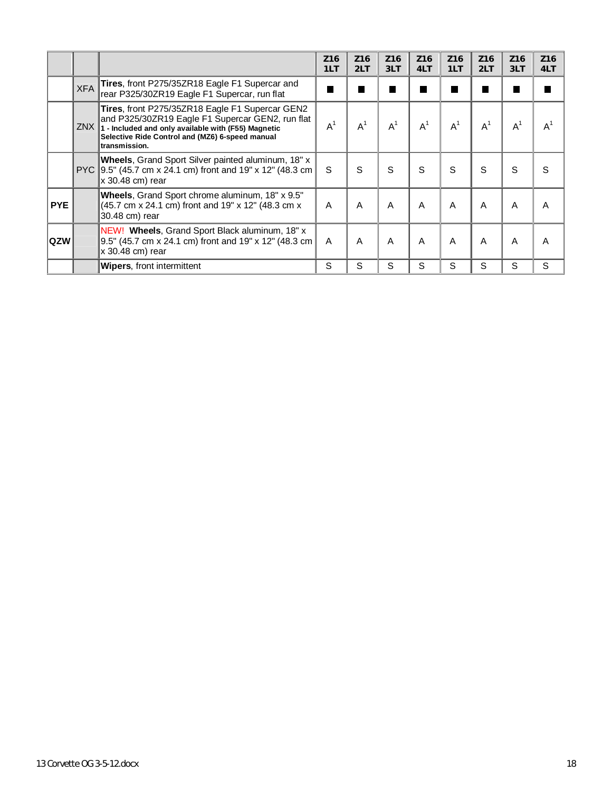|            |            |                                                                                                                                                                                                                                    | Z <sub>16</sub><br>1LT | Z <sub>16</sub><br>2LT | Z <sub>16</sub><br>3LT | Z <sub>16</sub><br>4LT | Z <sub>16</sub><br>1LT | Z <sub>16</sub><br>2LT | Z <sub>16</sub><br>3LT | Z <sub>16</sub><br>4LT |
|------------|------------|------------------------------------------------------------------------------------------------------------------------------------------------------------------------------------------------------------------------------------|------------------------|------------------------|------------------------|------------------------|------------------------|------------------------|------------------------|------------------------|
|            | <b>XFA</b> | <b>Tires, front P275/35ZR18 Eagle F1 Supercar and</b><br>rear P325/30ZR19 Eagle F1 Supercar, run flat                                                                                                                              |                        |                        |                        |                        |                        |                        |                        |                        |
|            |            | Tires, front P275/35ZR18 Eagle F1 Supercar GEN2<br>and P325/30ZR19 Eagle F1 Supercar GEN2, run flat<br>ZNX 1 - Included and only available with (F55) Magnetic<br>Selective Ride Control and (MZ6) 6-speed manual<br>transmission. | $A^1$                  | A <sup>1</sup>         | $A^1$                  | $A^1$                  | $A^1$                  | $A^1$                  | $A^1$                  |                        |
|            |            | <b>Wheels, Grand Sport Silver painted aluminum, 18" x</b><br>PYC 9.5" (45.7 cm x 24.1 cm) front and 19" x 12" (48.3 cm<br>∥x 30.48 cm) rear                                                                                        | S                      | S                      | S                      | S                      | S                      | S                      | S                      | S                      |
| <b>PYE</b> |            | Wheels, Grand Sport chrome aluminum, 18" x 9.5"<br>$\left  (45.7 \text{ cm} \times 24.1 \text{ cm}) \right $ front and 19" x 12" (48.3 cm x<br>30.48 cm) rear                                                                      | A                      | A                      | A                      | A                      | A                      | A                      | A                      | A                      |
| ∣QZW       |            | NEW! Wheels, Grand Sport Black aluminum, 18" x<br>$\parallel$ 9.5" (45.7 cm x 24.1 cm) front and 19" x 12" (48.3 cm $\parallel$<br>∥x 30.48 cm) rear                                                                               | A                      | A                      | A                      | A                      | A                      | A                      | A                      | Α                      |
|            |            | <b>Wipers, front intermittent</b>                                                                                                                                                                                                  | S                      | S                      | S                      | S                      | S                      | S                      | S                      | S                      |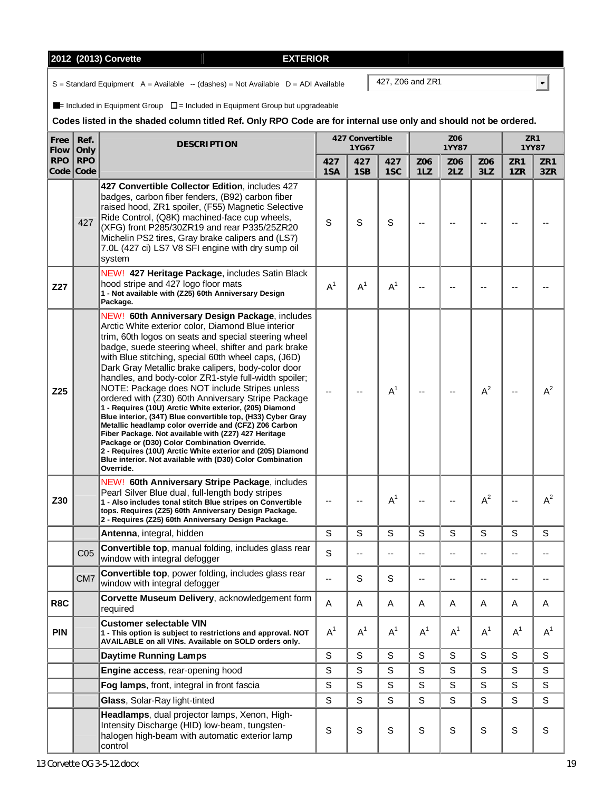# **2012 (2013) Corvette EXTERIOR**

 $S =$  Standard Equipment  $A =$  Available  $-$  (dashes) = Not Available  $D =$  ADI Available

 $\blacksquare$ = Included in Equipment Group  $\square$  = Included in Equipment Group but upgradeable

### **Codes listed in the shaded column titled Ref. Only RPO Code are for internal use only and should not be ordered.**

| Free<br>Flow | Ref.<br>Only            | <b>DESCRIPTION</b>                                                                                                                                                                                                                                                                                                                                                                                                                                                                                                                                                                                                                                                                                                                                                                                                                                                                                                                  |             | 427 Convertible<br>1YG67 |                |             | Z06<br><b>1YY87</b> |             |             | ZR1<br><b>1YY87</b>    |
|--------------|-------------------------|-------------------------------------------------------------------------------------------------------------------------------------------------------------------------------------------------------------------------------------------------------------------------------------------------------------------------------------------------------------------------------------------------------------------------------------------------------------------------------------------------------------------------------------------------------------------------------------------------------------------------------------------------------------------------------------------------------------------------------------------------------------------------------------------------------------------------------------------------------------------------------------------------------------------------------------|-------------|--------------------------|----------------|-------------|---------------------|-------------|-------------|------------------------|
| <b>RPO</b>   | <b>RPO</b><br>Code Code |                                                                                                                                                                                                                                                                                                                                                                                                                                                                                                                                                                                                                                                                                                                                                                                                                                                                                                                                     | 427<br>1SA  | 427<br>1SB               | 427<br>1SC     | Z06<br>1LZ  | Z06<br>2LZ          | Z06<br>3LZ  | ZR1<br>1ZR  | ZR <sub>1</sub><br>3ZR |
|              | 427                     | 427 Convertible Collector Edition, includes 427<br>badges, carbon fiber fenders, (B92) carbon fiber<br>raised hood, ZR1 spoiler, (F55) Magnetic Selective<br>Ride Control, (Q8K) machined-face cup wheels,<br>(XFG) front P285/30ZR19 and rear P335/25ZR20<br>Michelin PS2 tires, Gray brake calipers and (LS7)<br>7.0L (427 ci) LS7 V8 SFI engine with dry sump oil<br>system                                                                                                                                                                                                                                                                                                                                                                                                                                                                                                                                                      | S           | S                        | S              |             |                     |             |             |                        |
| Z27          |                         | NEW! 427 Heritage Package, includes Satin Black<br>hood stripe and 427 logo floor mats<br>1 - Not available with (Z25) 60th Anniversary Design<br>Package.                                                                                                                                                                                                                                                                                                                                                                                                                                                                                                                                                                                                                                                                                                                                                                          | $A^1$       | $A^1$                    | $A^1$          |             |                     |             |             |                        |
| Z25          |                         | NEW! 60th Anniversary Design Package, includes<br>Arctic White exterior color, Diamond Blue interior<br>trim, 60th logos on seats and special steering wheel<br>badge, suede steering wheel, shifter and park brake<br>with Blue stitching, special 60th wheel caps, (J6D)<br>Dark Gray Metallic brake calipers, body-color door<br>handles, and body-color ZR1-style full-width spoiler;<br>NOTE: Package does NOT include Stripes unless<br>ordered with (Z30) 60th Anniversary Stripe Package<br>1 - Requires (10U) Arctic White exterior, (205) Diamond<br>Blue interior, (34T) Blue convertible top, (H33) Cyber Gray<br>Metallic headlamp color override and (CFZ) Z06 Carbon<br>Fiber Package. Not available with (Z27) 427 Heritage<br>Package or (D30) Color Combination Override.<br>2 - Requires (10U) Arctic White exterior and (205) Diamond<br>Blue interior. Not available with (D30) Color Combination<br>Override. |             |                          | A <sup>1</sup> |             |                     | $A^2$       |             | $A^2$                  |
| Z30          |                         | NEW! 60th Anniversary Stripe Package, includes<br>Pearl Silver Blue dual, full-length body stripes<br>1 - Also includes tonal stitch Blue stripes on Convertible<br>tops. Requires (Z25) 60th Anniversary Design Package.<br>2 - Requires (Z25) 60th Anniversary Design Package.                                                                                                                                                                                                                                                                                                                                                                                                                                                                                                                                                                                                                                                    |             | --                       | $A^1$          | $-$         |                     | $A^2$       | $-$         | $A^2$                  |
|              |                         | Antenna, integral, hidden                                                                                                                                                                                                                                                                                                                                                                                                                                                                                                                                                                                                                                                                                                                                                                                                                                                                                                           | S           | S                        | S              | S           | S                   | S           | S           | $\mathsf S$            |
|              | C <sub>05</sub>         | Convertible top, manual folding, includes glass rear<br>window with integral defogger                                                                                                                                                                                                                                                                                                                                                                                                                                                                                                                                                                                                                                                                                                                                                                                                                                               | S           | --                       | --             | --          |                     | --          | $- -$       |                        |
|              | CM7                     | Convertible top, power folding, includes glass rear<br>window with integral defogger                                                                                                                                                                                                                                                                                                                                                                                                                                                                                                                                                                                                                                                                                                                                                                                                                                                |             | S                        | S              |             |                     |             |             |                        |
| R8C          |                         | Corvette Museum Delivery, acknowledgement form<br>required                                                                                                                                                                                                                                                                                                                                                                                                                                                                                                                                                                                                                                                                                                                                                                                                                                                                          | A           | A                        | Α              | A           | A                   | A           | A           | A                      |
| <b>PIN</b>   |                         | <b>Customer selectable VIN</b><br>1 - This option is subject to restrictions and approval. NOT<br>AVAILABLE on all VINs. Available on SOLD orders only.                                                                                                                                                                                                                                                                                                                                                                                                                                                                                                                                                                                                                                                                                                                                                                             | $A^1$       | $A^1$                    | $A^1$          | $A^1$       | $A^1$               | $A^1$       | $A^1$       | $A^1$                  |
|              |                         | <b>Daytime Running Lamps</b>                                                                                                                                                                                                                                                                                                                                                                                                                                                                                                                                                                                                                                                                                                                                                                                                                                                                                                        | S           | S                        | S              | $\mathbb S$ | $\mathsf S$         | $\mathbf S$ | S           | $\mathbb S$            |
|              |                         | Engine access, rear-opening hood                                                                                                                                                                                                                                                                                                                                                                                                                                                                                                                                                                                                                                                                                                                                                                                                                                                                                                    | S           | $\mathbf S$              | $\mathbf S$    | $\mathsf S$ | $\mathsf S$         | S           | $\mathsf S$ | $\mathsf S$            |
|              |                         | Fog lamps, front, integral in front fascia                                                                                                                                                                                                                                                                                                                                                                                                                                                                                                                                                                                                                                                                                                                                                                                                                                                                                          | $\mathsf S$ | S                        | S              | $\mathsf S$ | $\mathsf S$         | S           | S           | $\mathbb S$            |
|              |                         | Glass, Solar-Ray light-tinted                                                                                                                                                                                                                                                                                                                                                                                                                                                                                                                                                                                                                                                                                                                                                                                                                                                                                                       | $\mathsf S$ | S                        | S              | S           | S                   | S           | S           | $\mathsf{S}$           |
|              |                         | Headlamps, dual projector lamps, Xenon, High-<br>Intensity Discharge (HID) low-beam, tungsten-<br>halogen high-beam with automatic exterior lamp<br>control                                                                                                                                                                                                                                                                                                                                                                                                                                                                                                                                                                                                                                                                                                                                                                         | $\mathsf S$ | $\mathsf S$              | $\mathsf S$    | $\mathsf S$ | $\mathbb S$         | $\mathbf S$ | $\mathbf S$ | $\mathbf S$            |

427, Z06 and ZR1

 $\overline{\mathbf{F}}$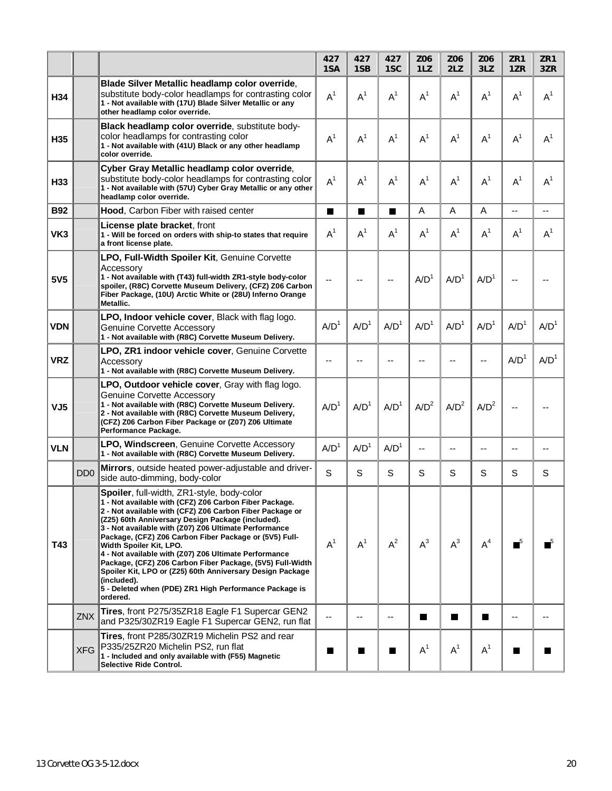|                 |                             |                                                                                                                                                                                                                                                                                                                                                                                                                                                                                                                                                                                                                                              | 427<br>1SA       | 427<br>1SB       | 427<br>1SC       | Z06<br>1LZ       | Z06<br>2LZ       | Z06<br>3LZ       | ZR1<br>1ZR       | ZR1<br>3ZR       |
|-----------------|-----------------------------|----------------------------------------------------------------------------------------------------------------------------------------------------------------------------------------------------------------------------------------------------------------------------------------------------------------------------------------------------------------------------------------------------------------------------------------------------------------------------------------------------------------------------------------------------------------------------------------------------------------------------------------------|------------------|------------------|------------------|------------------|------------------|------------------|------------------|------------------|
| H34             |                             | Blade Silver Metallic headlamp color override,<br>substitute body-color headlamps for contrasting color<br>1 - Not available with (17U) Blade Silver Metallic or any<br>other headlamp color override.                                                                                                                                                                                                                                                                                                                                                                                                                                       | $A^1$            | $A^1$            | $A^1$            | $A^1$            | $A^1$            | $A^1$            | $A^1$            | A <sup>1</sup>   |
| H <sub>35</sub> |                             | Black headlamp color override, substitute body-<br>color headlamps for contrasting color<br>1 - Not available with (41U) Black or any other headlamp<br>color override.                                                                                                                                                                                                                                                                                                                                                                                                                                                                      | $A^1$            | $A^1$            | $A^1$            | $A^1$            | $A^1$            | $A^1$            | $A^1$            | A <sup>1</sup>   |
| H33             |                             | Cyber Gray Metallic headlamp color override,<br>substitute body-color headlamps for contrasting color<br>1 - Not available with (57U) Cyber Gray Metallic or any other<br>headlamp color override.                                                                                                                                                                                                                                                                                                                                                                                                                                           | $A^1$            | $A^1$            | $A^1$            | $A^1$            | $A^1$            | $A^1$            | $A^1$            | $A^1$            |
| <b>B92</b>      |                             | Hood, Carbon Fiber with raised center                                                                                                                                                                                                                                                                                                                                                                                                                                                                                                                                                                                                        | H.               | $\blacksquare$   | ш                | Α                | A                | A                | $-$              | $-$              |
| VK3             |                             | License plate bracket, front<br>1 - Will be forced on orders with ship-to states that require<br>a front license plate.                                                                                                                                                                                                                                                                                                                                                                                                                                                                                                                      | $A^1$            | A <sup>1</sup>   | $A^1$            | $A^1$            | A <sup>1</sup>   | A <sup>1</sup>   | A <sup>1</sup>   | $A^1$            |
| 5V5             |                             | LPO, Full-Width Spoiler Kit, Genuine Corvette<br>Accessory<br>1 - Not available with (T43) full-width ZR1-style body-color<br>spoiler, (R8C) Corvette Museum Delivery, (CFZ) Z06 Carbon<br>Fiber Package, (10U) Arctic White or (28U) Inferno Orange<br>Metallic.                                                                                                                                                                                                                                                                                                                                                                            |                  |                  | --               | A/D <sup>1</sup> | A/D <sup>1</sup> | A/D <sup>1</sup> | --               |                  |
| <b>VDN</b>      |                             | LPO, Indoor vehicle cover, Black with flag logo.<br><b>Genuine Corvette Accessory</b><br>1 - Not available with (R8C) Corvette Museum Delivery.                                                                                                                                                                                                                                                                                                                                                                                                                                                                                              | A/D <sup>1</sup> | A/D <sup>1</sup> | A/D <sup>1</sup> | A/D <sup>1</sup> | A/D <sup>1</sup> | A/D <sup>1</sup> | A/D <sup>1</sup> | A/D <sup>1</sup> |
| <b>VRZ</b>      |                             | LPO, ZR1 indoor vehicle cover, Genuine Corvette<br>Accessory<br>1 - Not available with (R8C) Corvette Museum Delivery.                                                                                                                                                                                                                                                                                                                                                                                                                                                                                                                       |                  |                  |                  |                  |                  |                  | A/D <sup>1</sup> | A/D <sup>1</sup> |
| VJ <sub>5</sub> |                             | LPO, Outdoor vehicle cover, Gray with flag logo.<br>Genuine Corvette Accessory<br>1 - Not available with (R8C) Corvette Museum Delivery.<br>2 - Not available with (R8C) Corvette Museum Delivery,<br>(CFZ) Z06 Carbon Fiber Package or (Z07) Z06 Ultimate<br>Performance Package.                                                                                                                                                                                                                                                                                                                                                           | A/D <sup>1</sup> | A/D <sup>1</sup> | A/D <sup>1</sup> | A/D <sup>2</sup> | A/D <sup>2</sup> | $A/D^2$          |                  |                  |
| <b>VLN</b>      |                             | LPO, Windscreen, Genuine Corvette Accessory<br>1 - Not available with (R8C) Corvette Museum Delivery.                                                                                                                                                                                                                                                                                                                                                                                                                                                                                                                                        | A/D <sup>1</sup> | A/D <sup>1</sup> | A/D <sup>1</sup> | --               | $-$              | $-$              | $-$              | --               |
|                 | D <sub>D</sub> <sub>0</sub> | Mirrors, outside heated power-adjustable and driver-<br>side auto-dimming, body-color                                                                                                                                                                                                                                                                                                                                                                                                                                                                                                                                                        | S                | S                | S                | S                | S                | S                | S                | S                |
| T43             |                             | Spoiler, full-width, ZR1-style, body-color<br>1 - Not available with (CFZ) Z06 Carbon Fiber Package.<br>2 - Not available with (CFZ) Z06 Carbon Fiber Package or<br>(Z25) 60th Anniversary Design Package (included).<br>3 - Not available with (Z07) Z06 Ultimate Performance<br>Package, (CFZ) Z06 Carbon Fiber Package or (5V5) Full-<br>Width Spoiler Kit, LPO.<br>4 - Not available with (Z07) Z06 Ultimate Performance<br>Package, (CFZ) Z06 Carbon Fiber Package, (5V5) Full-Width<br>Spoiler Kit, LPO or (Z25) 60th Anniversary Design Package<br>∣(included).<br>5 - Deleted when (PDE) ZR1 High Performance Package is<br>ordered. | $A^1$            | $A^1$            | $A^2$            | $A^3$            | $A^3$            | A <sup>4</sup>   | $\blacksquare^5$ |                  |
|                 | ZNX                         | Tires, front P275/35ZR18 Eagle F1 Supercar GEN2<br>and P325/30ZR19 Eagle F1 Supercar GEN2, run flat                                                                                                                                                                                                                                                                                                                                                                                                                                                                                                                                          |                  | --               | --               | П                | Ш                | П                | --               |                  |
|                 | <b>XFG</b>                  | Tires, front P285/30ZR19 Michelin PS2 and rear<br>P335/25ZR20 Michelin PS2, run flat<br>1 - Included and only available with (F55) Magnetic<br>Selective Ride Control.                                                                                                                                                                                                                                                                                                                                                                                                                                                                       | H                | a l              | ш                | $A^1$            | $A^1$            | $A^1$            | ш                |                  |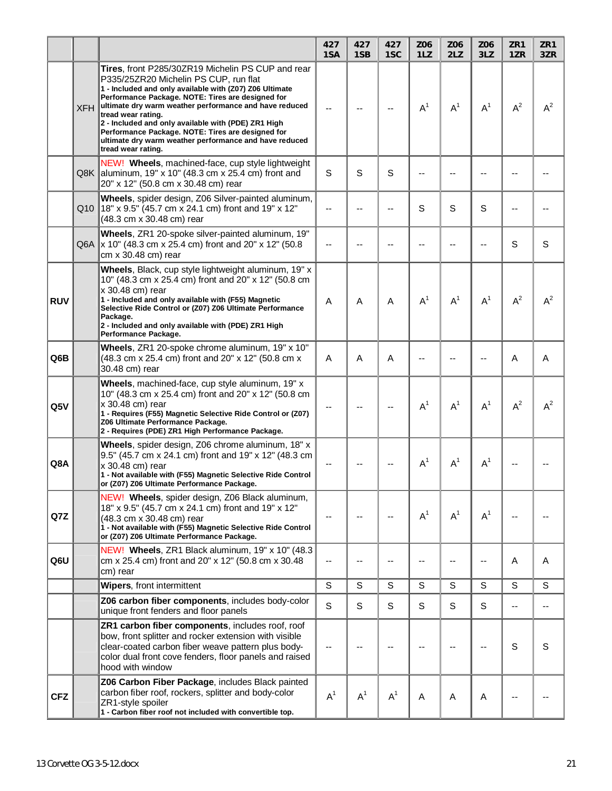|            |            |                                                                                                                                                                                                                                                                                                                                                                                                                                                                                        | 427<br>1SA   | 427<br>1SB | 427<br>1SC     | Z06<br>1LZ     | Z06<br>2LZ               | Z06<br>3LZ | ZR1<br>1ZR | ZR1<br>3ZR |
|------------|------------|----------------------------------------------------------------------------------------------------------------------------------------------------------------------------------------------------------------------------------------------------------------------------------------------------------------------------------------------------------------------------------------------------------------------------------------------------------------------------------------|--------------|------------|----------------|----------------|--------------------------|------------|------------|------------|
|            | <b>XFH</b> | Tires, front P285/30ZR19 Michelin PS CUP and rear<br>P335/25ZR20 Michelin PS CUP, run flat<br>1 - Included and only available with (Z07) Z06 Ultimate<br>Performance Package. NOTE: Tires are designed for<br>ultimate dry warm weather performance and have reduced<br>tread wear rating.<br>2 - Included and only available with (PDE) ZR1 High<br>Performance Package. NOTE: Tires are designed for<br>ultimate dry warm weather performance and have reduced<br>tread wear rating. |              |            |                | $A^1$          | $A^1$                    | $A^1$      | $A^2$      | $A^2$      |
|            |            | NEW! Wheels, machined-face, cup style lightweight<br>Q8K aluminum, 19" x 10" (48.3 cm x 25.4 cm) front and<br>20" x 12" (50.8 cm x 30.48 cm) rear                                                                                                                                                                                                                                                                                                                                      | S            | S          | S              |                |                          |            |            |            |
|            |            | Wheels, spider design, Z06 Silver-painted aluminum,<br>Q10 18" x 9.5" (45.7 cm x 24.1 cm) front and 19" x 12"<br>(48.3 cm x 30.48 cm) rear                                                                                                                                                                                                                                                                                                                                             |              |            | --             | S              | S                        | S          |            |            |
|            |            | Wheels, ZR1 20-spoke silver-painted aluminum, 19"<br>Q6A  x 10" (48.3 cm x 25.4 cm) front and 20" x 12" (50.8<br>cm x 30.48 cm) rear                                                                                                                                                                                                                                                                                                                                                   |              |            | --             |                |                          |            | S          | S          |
| <b>RUV</b> |            | Wheels, Black, cup style lightweight aluminum, 19" x<br>10" (48.3 cm x 25.4 cm) front and 20" x 12" (50.8 cm<br>x 30.48 cm) rear<br>1 - Included and only available with (F55) Magnetic<br>Selective Ride Control or (Z07) Z06 Ultimate Performance<br>Package.<br>2 - Included and only available with (PDE) ZR1 High<br>Performance Package.                                                                                                                                         | A            | A          | Α              | A <sup>1</sup> | $A^1$                    | $A^1$      | $A^2$      | $A^2$      |
| Q6B        |            | Wheels, ZR1 20-spoke chrome aluminum, 19" x 10"<br>(48.3 cm x 25.4 cm) front and 20" x 12" (50.8 cm x<br>30.48 cm) rear                                                                                                                                                                                                                                                                                                                                                                | A            | A          | A              |                |                          |            | A          | A          |
| Q5V        |            | Wheels, machined-face, cup style aluminum, 19" x<br>10" (48.3 cm x 25.4 cm) front and 20" x 12" (50.8 cm<br>x 30.48 cm) rear<br>1 - Requires (F55) Magnetic Selective Ride Control or (Z07)<br>Z06 Ultimate Performance Package.<br>2 - Requires (PDE) ZR1 High Performance Package.                                                                                                                                                                                                   |              |            |                | A <sup>1</sup> | $A^1$                    | $A^1$      | $A^2$      | $A^2$      |
| Q8A        |            | Wheels, spider design, Z06 chrome aluminum, 18" x<br>9.5" (45.7 cm x 24.1 cm) front and 19" x 12" (48.3 cm<br> x 30.48 cm) rear<br>1 - Not available with (F55) Magnetic Selective Ride Control<br>or (Z07) Z06 Ultimate Performance Package.                                                                                                                                                                                                                                          |              |            |                | $A^1$          | $A^1$                    | $A^1$      |            |            |
| Q7Z        |            | NEW! Wheels, spider design, Z06 Black aluminum,<br>18" x 9.5" (45.7 cm x 24.1 cm) front and 19" x 12"<br>(48.3 cm x 30.48 cm) rear<br>1 - Not available with (F55) Magnetic Selective Ride Control<br>or (Z07) Z06 Ultimate Performance Package.                                                                                                                                                                                                                                       |              |            | --             | A <sup>1</sup> | $A^1$                    | $A^1$      | --         |            |
| Q6U        |            | NEW! Wheels, ZR1 Black aluminum, 19" x 10" (48.3)<br>cm x 25.4 cm) front and 20" x 12" (50.8 cm x 30.48<br>cm) rear                                                                                                                                                                                                                                                                                                                                                                    | --           |            | --             | ٠.             | $\overline{\phantom{a}}$ | --         | Α          | A          |
|            |            | Wipers, front intermittent                                                                                                                                                                                                                                                                                                                                                                                                                                                             | $\mathsf S$  | S          | S              | S              | S                        | S          | S          | S          |
|            |            | Z06 carbon fiber components, includes body-color<br>unique front fenders and floor panels                                                                                                                                                                                                                                                                                                                                                                                              | $\mathsf{s}$ | S          | S              | S              | S                        | S          | --         | $-$        |
|            |            | ZR1 carbon fiber components, includes roof, roof<br>bow, front splitter and rocker extension with visible<br>clear-coated carbon fiber weave pattern plus body-<br>color dual front cove fenders, floor panels and raised<br>hood with window                                                                                                                                                                                                                                          |              |            | --             |                |                          |            | S          | S          |
| <b>CFZ</b> |            | Z06 Carbon Fiber Package, includes Black painted<br>carbon fiber roof, rockers, splitter and body-color<br>ZR1-style spoiler<br>1 - Carbon fiber roof not included with convertible top.                                                                                                                                                                                                                                                                                               | $A^1$        | $A^1$      | A <sup>1</sup> | A              | Α                        | A          | --         |            |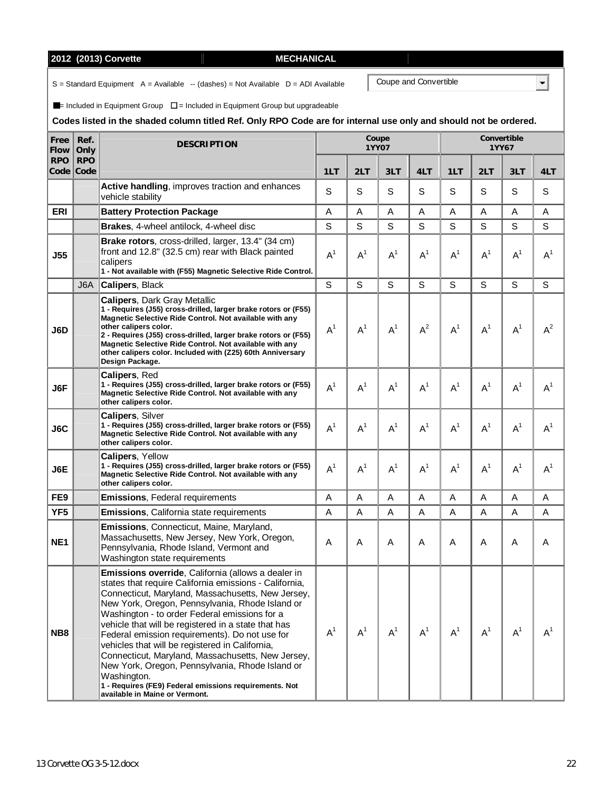| 2012 (2013) Corvette |  |
|----------------------|--|
|----------------------|--|

 $S =$  Standard Equipment  $A =$  Available  $-$  (dashes) = Not Available  $D =$  ADI Available

 $\blacksquare$ = Included in Equipment Group  $\square$  = Included in Equipment Group but upgradeable

# **Codes listed in the shaded column titled Ref. Only RPO Code are for internal use only and should not be ordered.**

**2012 (2013) Corvette MECHANICAL** 

| Free<br><b>Flow</b> | Ref.<br>Only            | <b>DESCRIPTION</b>                                                                                                                                                                                                                                                                                                                                                                                                                                                                                                                                                                                                                                   |                |       | Coupe<br>1YY07 |       |             | Convertible | 1YY67 |                |
|---------------------|-------------------------|------------------------------------------------------------------------------------------------------------------------------------------------------------------------------------------------------------------------------------------------------------------------------------------------------------------------------------------------------------------------------------------------------------------------------------------------------------------------------------------------------------------------------------------------------------------------------------------------------------------------------------------------------|----------------|-------|----------------|-------|-------------|-------------|-------|----------------|
| <b>RPO</b>          | <b>RPO</b><br>Code Code |                                                                                                                                                                                                                                                                                                                                                                                                                                                                                                                                                                                                                                                      | 1LT            | 2LT   | 3LT            | 4LT   | 1LT         | 2LT         | 3LT   | 4LT            |
|                     |                         | Active handling, improves traction and enhances<br>vehicle stability                                                                                                                                                                                                                                                                                                                                                                                                                                                                                                                                                                                 | S              | S     | S              | S     | S           | S           | S     | S              |
| <b>ERI</b>          |                         | <b>Battery Protection Package</b>                                                                                                                                                                                                                                                                                                                                                                                                                                                                                                                                                                                                                    | A              | A     | A              | A     | A           | A           | A     | A              |
|                     |                         | Brakes, 4-wheel antilock, 4-wheel disc                                                                                                                                                                                                                                                                                                                                                                                                                                                                                                                                                                                                               | S              | S     | $\mathbf S$    | S     | $\mathsf S$ | S           | S     | S              |
| <b>J55</b>          |                         | Brake rotors, cross-drilled, larger, 13.4" (34 cm)<br>front and 12.8" (32.5 cm) rear with Black painted<br>calipers<br>1 - Not available with (F55) Magnetic Selective Ride Control.                                                                                                                                                                                                                                                                                                                                                                                                                                                                 | A <sup>1</sup> | $A^1$ | $A^1$          | $A^1$ | $A^1$       | $A^1$       | $A^1$ | A <sup>1</sup> |
|                     | J <sub>6</sub> A        | Calipers, Black                                                                                                                                                                                                                                                                                                                                                                                                                                                                                                                                                                                                                                      | S              | S     | $\mathbf S$    | S     | S           | S           | S     | S              |
| J6D                 |                         | <b>Calipers, Dark Gray Metallic</b><br>1 - Requires (J55) cross-drilled, larger brake rotors or (F55)<br>Magnetic Selective Ride Control. Not available with any<br>other calipers color.<br>2 - Requires (J55) cross-drilled, larger brake rotors or (F55)<br>Magnetic Selective Ride Control. Not available with any<br>other calipers color. Included with (Z25) 60th Anniversary<br>Design Package.                                                                                                                                                                                                                                              | $A^1$          | $A^1$ | $A^1$          | $A^2$ | $A^1$       | $A^1$       | $A^1$ | $A^2$          |
| J6F                 |                         | <b>Calipers, Red</b><br>1 - Requires (J55) cross-drilled, larger brake rotors or (F55)<br>Magnetic Selective Ride Control. Not available with any<br>other calipers color.                                                                                                                                                                                                                                                                                                                                                                                                                                                                           | $A^1$          | $A^1$ | $A^1$          | $A^1$ | $A^1$       | $A^1$       | $A^1$ | $A^1$          |
| J6C                 |                         | <b>Calipers, Silver</b><br>1 - Requires (J55) cross-drilled, larger brake rotors or (F55)<br>Magnetic Selective Ride Control. Not available with any<br>other calipers color.                                                                                                                                                                                                                                                                                                                                                                                                                                                                        | $A^1$          | $A^1$ | $A^1$          | $A^1$ | $A^1$       | $A^1$       | $A^1$ | A <sup>1</sup> |
| J6E                 |                         | Calipers, Yellow<br>1 - Requires (J55) cross-drilled, larger brake rotors or (F55)<br>Magnetic Selective Ride Control. Not available with any<br>other calipers color.                                                                                                                                                                                                                                                                                                                                                                                                                                                                               | $A^1$          | $A^1$ | $A^1$          | $A^1$ | $A^1$       | $A^1$       | $A^1$ | $A^1$          |
| FE <sub>9</sub>     |                         | <b>Emissions, Federal requirements</b>                                                                                                                                                                                                                                                                                                                                                                                                                                                                                                                                                                                                               | A              | A     | A              | A     | A           | A           | A     | A              |
| YF <sub>5</sub>     |                         | <b>Emissions, California state requirements</b>                                                                                                                                                                                                                                                                                                                                                                                                                                                                                                                                                                                                      | A              | A     | A              | Α     | A           | A           | A     | A              |
| NE <sub>1</sub>     |                         | <b>Emissions, Connecticut, Maine, Maryland,</b><br>Massachusetts, New Jersey, New York, Oregon,<br>Pennsylvania, Rhode Island, Vermont and<br>Washington state requirements                                                                                                                                                                                                                                                                                                                                                                                                                                                                          | A              | A     | A              | Α     | A           | A           | A     | A              |
| NB8                 |                         | Emissions override, California (allows a dealer in<br>states that require California emissions - California,<br>Connecticut, Maryland, Massachusetts, New Jersey,<br>New York, Oregon, Pennsylvania, Rhode Island or<br>Washington - to order Federal emissions for a<br>vehicle that will be registered in a state that has<br>Federal emission requirements). Do not use for<br>vehicles that will be registered in California,<br>Connecticut, Maryland, Massachusetts, New Jersey,<br>New York, Oregon, Pennsylvania, Rhode Island or<br>Washington.<br>1 - Requires (FE9) Federal emissions requirements. Not<br>available in Maine or Vermont. | $A^1$          | $A^1$ | $A^1$          | $A^1$ | $A^1$       | $A^1$       | $A^1$ | $A^1$          |

Coupe and Convertible

 $\overline{\Xi}$ 

| Coupe and Conve |  |
|-----------------|--|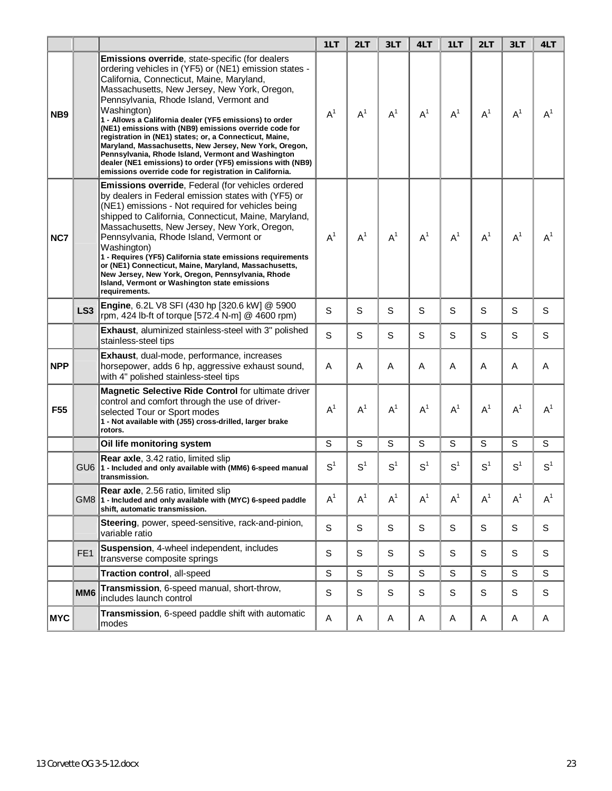|                 |                 |                                                                                                                                                                                                                                                                                                                                                                                                                                                                                                                                                                                                                                                                                          | 1LT            | 2LT            | 3LT            | 4LT            | 1LT            | 2LT            | 3LT            | 4LT            |
|-----------------|-----------------|------------------------------------------------------------------------------------------------------------------------------------------------------------------------------------------------------------------------------------------------------------------------------------------------------------------------------------------------------------------------------------------------------------------------------------------------------------------------------------------------------------------------------------------------------------------------------------------------------------------------------------------------------------------------------------------|----------------|----------------|----------------|----------------|----------------|----------------|----------------|----------------|
| NB <sub>9</sub> |                 | Emissions override, state-specific (for dealers<br>ordering vehicles in (YF5) or (NE1) emission states -<br>California, Connecticut, Maine, Maryland,<br>Massachusetts, New Jersey, New York, Oregon,<br>Pennsylvania, Rhode Island, Vermont and<br>Washington)<br>1 - Allows a California dealer (YF5 emissions) to order<br>(NE1) emissions with (NB9) emissions override code for<br>registration in (NE1) states; or, a Connecticut, Maine,<br>Maryland, Massachusetts, New Jersey, New York, Oregon,<br>Pennsylvania, Rhode Island, Vermont and Washington<br>dealer (NE1 emissions) to order (YF5) emissions with (NB9)<br>emissions override code for registration in California. | $A^1$          | $A^1$          | $A^1$          | $A^1$          | $A^1$          | $A^1$          | $A^1$          | $A^1$          |
| NC7             |                 | <b>Emissions override, Federal (for vehicles ordered)</b><br>by dealers in Federal emission states with (YF5) or<br>(NE1) emissions - Not required for vehicles being<br>shipped to California, Connecticut, Maine, Maryland,<br>Massachusetts, New Jersey, New York, Oregon,<br>Pennsylvania, Rhode Island, Vermont or<br>Washington)<br>1 - Requires (YF5) California state emissions requirements<br>or (NE1) Connecticut, Maine, Maryland, Massachusetts,<br>New Jersey, New York, Oregon, Pennsylvania, Rhode<br>Island, Vermont or Washington state emissions<br>requirements.                                                                                                     | $A^1$          | $A^1$          | $A^1$          | A <sup>1</sup> | $A^1$          | $A^1$          | $A^1$          | $A^1$          |
|                 | LS <sub>3</sub> | Engine, 6.2L V8 SFI (430 hp [320.6 kW] @ 5900<br>rpm, 424 lb-ft of torque [572.4 N-m] @ 4600 rpm)                                                                                                                                                                                                                                                                                                                                                                                                                                                                                                                                                                                        | S              | S              | S              | S              | S              | S              | S              | S              |
|                 |                 | Exhaust, aluminized stainless-steel with 3" polished<br>stainless-steel tips                                                                                                                                                                                                                                                                                                                                                                                                                                                                                                                                                                                                             | S              | S              | S              | S              | S              | S              | S              | S              |
| <b>NPP</b>      |                 | Exhaust, dual-mode, performance, increases<br>horsepower, adds 6 hp, aggressive exhaust sound,<br>with 4" polished stainless-steel tips                                                                                                                                                                                                                                                                                                                                                                                                                                                                                                                                                  | A              | A              | A              | A              | A              | A              | A              | Α              |
| F <sub>55</sub> |                 | <b>Magnetic Selective Ride Control for ultimate driver</b><br>control and comfort through the use of driver-<br>selected Tour or Sport modes<br>1 - Not available with (J55) cross-drilled, larger brake<br>rotors.                                                                                                                                                                                                                                                                                                                                                                                                                                                                      | $A^1$          | $A^1$          | $A^1$          | $A^1$          | $A^1$          | $A^1$          | $A^1$          | A <sup>1</sup> |
|                 |                 | Oil life monitoring system                                                                                                                                                                                                                                                                                                                                                                                                                                                                                                                                                                                                                                                               | S              | S              | S              | S              | S              | S              | S              | S              |
|                 |                 | <b>Rear axle, 3.42 ratio, limited slip</b><br>GU6 1 - Included and only available with (MM6) 6-speed manual<br>transmission.                                                                                                                                                                                                                                                                                                                                                                                                                                                                                                                                                             | S <sup>1</sup> | S <sup>1</sup> | S <sup>1</sup> | $S^1$          | S <sup>1</sup> | S <sup>1</sup> | S <sup>1</sup> | S <sup>1</sup> |
|                 |                 | Rear axle, 2.56 ratio, limited slip<br>GM8 1 - Included and only available with (MYC) 6-speed paddle<br>shift, automatic transmission.                                                                                                                                                                                                                                                                                                                                                                                                                                                                                                                                                   | $A^1$          | $A^1$          | $A^1$          | $A^1$          | $A^1$          | $A^1$          | $A^1$          | $A^1$          |
|                 |                 | Steering, power, speed-sensitive, rack-and-pinion,<br>variable ratio                                                                                                                                                                                                                                                                                                                                                                                                                                                                                                                                                                                                                     | S              | S              | S              | S              | $\mathbb S$    | S              | S              | S              |
|                 | FE <sub>1</sub> | Suspension, 4-wheel independent, includes<br>transverse composite springs                                                                                                                                                                                                                                                                                                                                                                                                                                                                                                                                                                                                                | S              | S              | S              | S              | $\mathbb S$    | S              | S              | S              |
|                 |                 | Traction control, all-speed                                                                                                                                                                                                                                                                                                                                                                                                                                                                                                                                                                                                                                                              | $\mathbb S$    | S              | S              | $\mathbf S$    | $\mathsf S$    | S              | S              | S              |
|                 | MM <sub>6</sub> | Transmission, 6-speed manual, short-throw,<br>includes launch control                                                                                                                                                                                                                                                                                                                                                                                                                                                                                                                                                                                                                    | S              | S              | S              | S              | S              | S              | S              | S              |
| <b>MYC</b>      |                 | Transmission, 6-speed paddle shift with automatic<br>modes                                                                                                                                                                                                                                                                                                                                                                                                                                                                                                                                                                                                                               | A              | Α              | A              | Α              | A              | A              | A              | A              |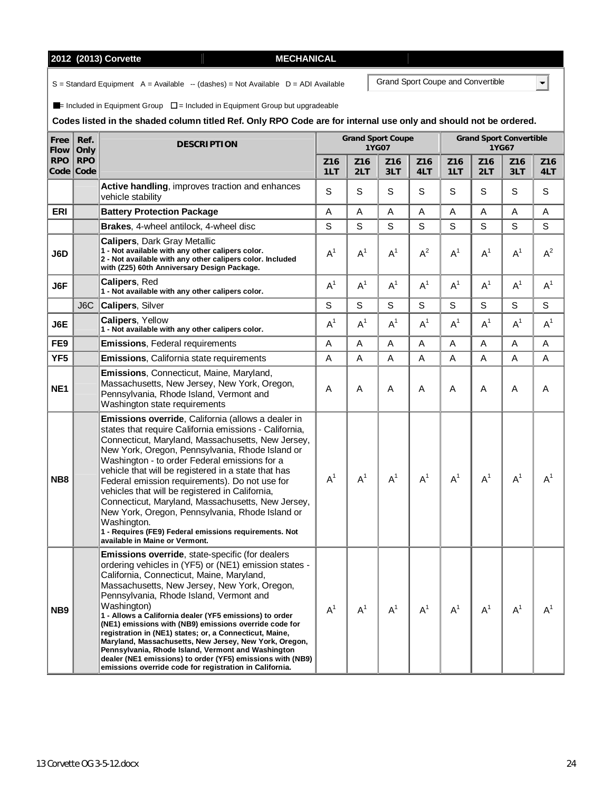# **2012 (2013) Corvette MECHANICAL IN**

 $S =$  Standard Equipment  $A =$  Available  $-$  (dashes) = Not Available  $D =$  ADI Available

 $\blacksquare$ = Included in Equipment Group  $\square$  = Included in Equipment Group but upgradeable

# **Codes listed in the shaded column titled Ref. Only RPO Code are for internal use only and should not be ordered.**

| Free<br>Flow    | Ref.<br>Only            | <b>DESCRIPTION</b>                                                                                                                                                                                                                                                                                                                                                                                                                                                                                                                                                                                                                                                                       |                | <b>Grand Sport Coupe</b><br>1YG07 |                        |                        | <b>Grand Sport Convertible</b><br>1YG67 |            |                        |                |
|-----------------|-------------------------|------------------------------------------------------------------------------------------------------------------------------------------------------------------------------------------------------------------------------------------------------------------------------------------------------------------------------------------------------------------------------------------------------------------------------------------------------------------------------------------------------------------------------------------------------------------------------------------------------------------------------------------------------------------------------------------|----------------|-----------------------------------|------------------------|------------------------|-----------------------------------------|------------|------------------------|----------------|
| <b>RPO</b>      | <b>RPO</b><br>Code Code |                                                                                                                                                                                                                                                                                                                                                                                                                                                                                                                                                                                                                                                                                          | Z16<br>1LT     | Z16<br>2LT                        | Z <sub>16</sub><br>3LT | Z <sub>16</sub><br>4LT | Z <sub>16</sub><br>1LT                  | Z16<br>2LT | Z <sub>16</sub><br>3LT | Z16<br>4LT     |
|                 |                         | Active handling, improves traction and enhances<br>vehicle stability                                                                                                                                                                                                                                                                                                                                                                                                                                                                                                                                                                                                                     | S              | S                                 | S                      | S                      | S                                       | S          | S                      | S              |
| <b>ERI</b>      |                         | <b>Battery Protection Package</b>                                                                                                                                                                                                                                                                                                                                                                                                                                                                                                                                                                                                                                                        | Α              | A                                 | Α                      | Α                      | A                                       | A          | Α                      | A              |
|                 |                         | Brakes, 4-wheel antilock, 4-wheel disc                                                                                                                                                                                                                                                                                                                                                                                                                                                                                                                                                                                                                                                   | S              | S                                 | S                      | S                      | S                                       | S          | S                      | $\mathsf S$    |
| J6D             |                         | <b>Calipers, Dark Gray Metallic</b><br>1 - Not available with any other calipers color.<br>2 - Not available with any other calipers color. Included<br>with (Z25) 60th Anniversary Design Package.                                                                                                                                                                                                                                                                                                                                                                                                                                                                                      | A <sup>1</sup> | $A^1$                             | $A^1$                  | $A^2$                  | $A^1$                                   | $A^1$      | $A^1$                  | $A^2$          |
| J6F             |                         | <b>Calipers, Red</b><br>1 - Not available with any other calipers color.                                                                                                                                                                                                                                                                                                                                                                                                                                                                                                                                                                                                                 | $A^1$          | $A^1$                             | $A^1$                  | $A^1$                  | $A^1$                                   | $A^1$      | $A^1$                  | A <sup>1</sup> |
|                 | J6C                     | Calipers, Silver                                                                                                                                                                                                                                                                                                                                                                                                                                                                                                                                                                                                                                                                         | S              | S                                 | S                      | S                      | S                                       | S          | S                      | $\mathbf S$    |
| J6E             |                         | <b>Calipers, Yellow</b><br>1 - Not available with any other calipers color.                                                                                                                                                                                                                                                                                                                                                                                                                                                                                                                                                                                                              | A <sup>1</sup> | $A^1$                             | A <sup>1</sup>         | $A^1$                  | $A^1$                                   | $A^1$      | $A^1$                  | A <sup>1</sup> |
| FE9             |                         | <b>Emissions, Federal requirements</b>                                                                                                                                                                                                                                                                                                                                                                                                                                                                                                                                                                                                                                                   | A              | A                                 | A                      | Α                      | A                                       | A          | A                      | A              |
| YF <sub>5</sub> |                         | <b>Emissions, California state requirements</b>                                                                                                                                                                                                                                                                                                                                                                                                                                                                                                                                                                                                                                          | A              | A                                 | A                      | Α                      | Α                                       | A          | A                      | A              |
| NE <sub>1</sub> |                         | <b>Emissions, Connecticut, Maine, Maryland,</b><br>Massachusetts, New Jersey, New York, Oregon,<br>Pennsylvania, Rhode Island, Vermont and<br>Washington state requirements                                                                                                                                                                                                                                                                                                                                                                                                                                                                                                              | A              | A                                 | A                      | Α                      | Α                                       | A          | Α                      | A              |
| NB8             |                         | Emissions override, California (allows a dealer in<br>states that require California emissions - California,<br>Connecticut, Maryland, Massachusetts, New Jersey,<br>New York, Oregon, Pennsylvania, Rhode Island or<br>Washington - to order Federal emissions for a<br>vehicle that will be registered in a state that has<br>Federal emission requirements). Do not use for<br>vehicles that will be registered in California,<br>Connecticut, Maryland, Massachusetts, New Jersey,<br>New York, Oregon, Pennsylvania, Rhode Island or<br>Washington.<br>1 - Requires (FE9) Federal emissions requirements. Not<br>available in Maine or Vermont.                                     | A <sup>1</sup> | $A^1$                             | $A^1$                  | A <sup>1</sup>         | $A^1$                                   | $A^1$      | $A^1$                  | $A^1$          |
| NB <sub>9</sub> |                         | Emissions override, state-specific (for dealers<br>ordering vehicles in (YF5) or (NE1) emission states -<br>California, Connecticut, Maine, Maryland,<br>Massachusetts, New Jersey, New York, Oregon,<br>Pennsylvania, Rhode Island, Vermont and<br>Washington)<br>1 - Allows a California dealer (YF5 emissions) to order<br>(NE1) emissions with (NB9) emissions override code for<br>registration in (NE1) states; or, a Connecticut, Maine,<br>Maryland, Massachusetts, New Jersey, New York, Oregon,<br>Pennsylvania, Rhode Island, Vermont and Washington<br>dealer (NE1 emissions) to order (YF5) emissions with (NB9)<br>emissions override code for registration in California. | $A^1$          | A <sup>1</sup>                    | $A^1$                  | $A^1$                  | $A^1$                                   | $A^1$      | $A^1$                  | $A^1$          |

Grand Sport Coupe and Convertible

 $\blacksquare$ 

| <b>IECHANICAL</b> |  |  |  |
|-------------------|--|--|--|
|                   |  |  |  |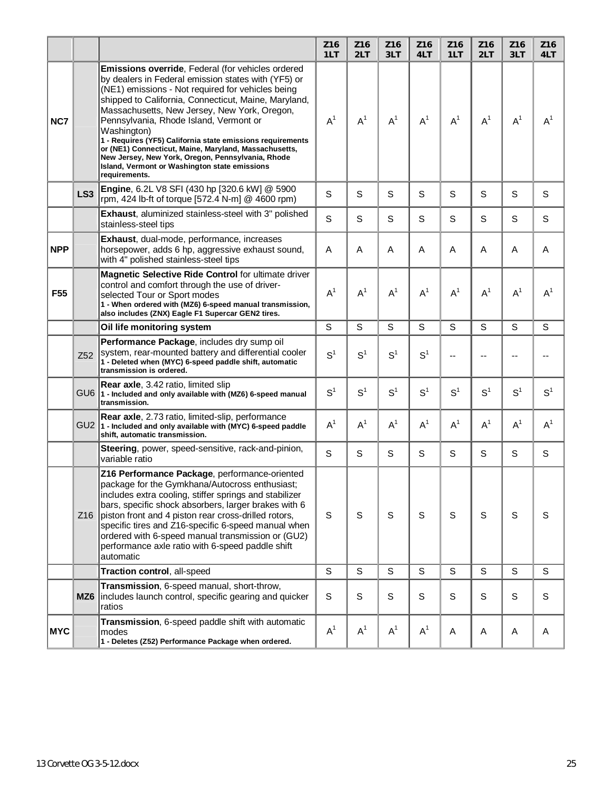|                 |                 |                                                                                                                                                                                                                                                                                                                                                                                                                                                                                                                                                                              | Z <sub>16</sub><br>1LT | Z16<br>2LT     | Z <sub>16</sub><br>3LT | Z <sub>16</sub><br>4LT | Z <sub>16</sub><br>1LT | Z <sub>16</sub><br>2LT | Z <sub>16</sub><br>3LT | Z16<br>4LT     |
|-----------------|-----------------|------------------------------------------------------------------------------------------------------------------------------------------------------------------------------------------------------------------------------------------------------------------------------------------------------------------------------------------------------------------------------------------------------------------------------------------------------------------------------------------------------------------------------------------------------------------------------|------------------------|----------------|------------------------|------------------------|------------------------|------------------------|------------------------|----------------|
| NC7             |                 | Emissions override, Federal (for vehicles ordered<br>by dealers in Federal emission states with (YF5) or<br>(NE1) emissions - Not required for vehicles being<br>shipped to California, Connecticut, Maine, Maryland,<br>Massachusetts, New Jersey, New York, Oregon,<br>Pennsylvania, Rhode Island, Vermont or<br>Washington)<br>1 - Requires (YF5) California state emissions requirements<br>or (NE1) Connecticut, Maine, Maryland, Massachusetts,<br>New Jersey, New York, Oregon, Pennsylvania, Rhode<br>Island, Vermont or Washington state emissions<br>requirements. | $A^1$                  | $A^1$          | $A^1$                  | $A^1$                  | $A^1$                  | $A^1$                  | $A^1$                  | $A^1$          |
|                 | LS <sub>3</sub> | Engine, 6.2L V8 SFI (430 hp [320.6 kW] @ 5900<br>rpm, 424 lb-ft of torque [572.4 N-m] @ 4600 rpm)                                                                                                                                                                                                                                                                                                                                                                                                                                                                            | S                      | S              | S                      | S                      | S                      | S                      | S                      | S              |
|                 |                 | Exhaust, aluminized stainless-steel with 3" polished<br>stainless-steel tips                                                                                                                                                                                                                                                                                                                                                                                                                                                                                                 | S                      | S              | S                      | S                      | S                      | S                      | S                      | S              |
| <b>NPP</b>      |                 | Exhaust, dual-mode, performance, increases<br>horsepower, adds 6 hp, aggressive exhaust sound,<br>with 4" polished stainless-steel tips                                                                                                                                                                                                                                                                                                                                                                                                                                      | A                      | A              | A                      | A                      | A                      | A                      | Α                      | A              |
| F <sub>55</sub> |                 | Magnetic Selective Ride Control for ultimate driver<br>control and comfort through the use of driver-<br>selected Tour or Sport modes<br>1 - When ordered with (MZ6) 6-speed manual transmission,<br>also includes (ZNX) Eagle F1 Supercar GEN2 tires.                                                                                                                                                                                                                                                                                                                       | $A^1$                  | $A^1$          | $A^1$                  | $A^1$                  | $A^1$                  | $A^1$                  | $A^1$                  | $A^1$          |
|                 |                 | Oil life monitoring system                                                                                                                                                                                                                                                                                                                                                                                                                                                                                                                                                   | S                      | S              | S                      | S                      | S                      | S                      | S                      | S              |
|                 | Z <sub>52</sub> | Performance Package, includes dry sump oil<br>system, rear-mounted battery and differential cooler<br>1 - Deleted when (MYC) 6-speed paddle shift, automatic<br>transmission is ordered.                                                                                                                                                                                                                                                                                                                                                                                     | S <sup>1</sup>         | S <sup>1</sup> | S <sup>1</sup>         | S <sup>1</sup>         |                        |                        | --                     |                |
|                 |                 | <b>Rear axle, 3.42 ratio, limited slip</b><br>GU6 1 - Included and only available with (MZ6) 6-speed manual<br>transmission.                                                                                                                                                                                                                                                                                                                                                                                                                                                 | S <sup>1</sup>         | S <sup>1</sup> | S <sup>1</sup>         | S <sup>1</sup>         | S <sup>1</sup>         | S <sup>1</sup>         | S <sup>1</sup>         | S <sup>1</sup> |
|                 |                 | Rear axle, 2.73 ratio, limited-slip, performance<br>GU2 1 - Included and only available with (MYC) 6-speed paddle<br>shift, automatic transmission.                                                                                                                                                                                                                                                                                                                                                                                                                          | $A^1$                  | $A^1$          | $A^1$                  | $A^1$                  | $A^1$                  | $A^1$                  | $A^1$                  | $A^1$          |
|                 |                 | Steering, power, speed-sensitive, rack-and-pinion,<br>variable ratio                                                                                                                                                                                                                                                                                                                                                                                                                                                                                                         | S                      | S              | S                      | S                      | S                      | S                      | S                      | S              |
|                 | Z <sub>16</sub> | Z16 Performance Package, performance-oriented<br>package for the Gymkhana/Autocross enthusiast;<br>includes extra cooling, stiffer springs and stabilizer<br>bars, specific shock absorbers, larger brakes with 6<br>piston front and 4 piston rear cross-drilled rotors,<br>specific tires and Z16-specific 6-speed manual when<br>ordered with 6-speed manual transmission or (GU2)<br>performance axle ratio with 6-speed paddle shift<br>automatic                                                                                                                       | $\mathbb S$            | S              | $\mathsf S$            | $\mathsf S$            | $\mathbf S$            | S                      | S                      | S              |
|                 |                 | Traction control, all-speed                                                                                                                                                                                                                                                                                                                                                                                                                                                                                                                                                  | S                      | S              | $\mathsf{s}$           | $\mathbf S$            | $\mathsf{s}$           | S                      | S                      | S              |
|                 | MZ <sub>6</sub> | Transmission, 6-speed manual, short-throw,<br>includes launch control, specific gearing and quicker<br>ratios                                                                                                                                                                                                                                                                                                                                                                                                                                                                | S                      | $\mathsf S$    | S                      | S                      | $\mathsf S$            | S                      | S                      | S              |
| <b>MYC</b>      |                 | Transmission, 6-speed paddle shift with automatic<br>modes<br>1 - Deletes (Z52) Performance Package when ordered.                                                                                                                                                                                                                                                                                                                                                                                                                                                            | $A^1$                  | A <sup>1</sup> | A <sup>1</sup>         | $A^1$                  | Α                      | A                      | Α                      | A              |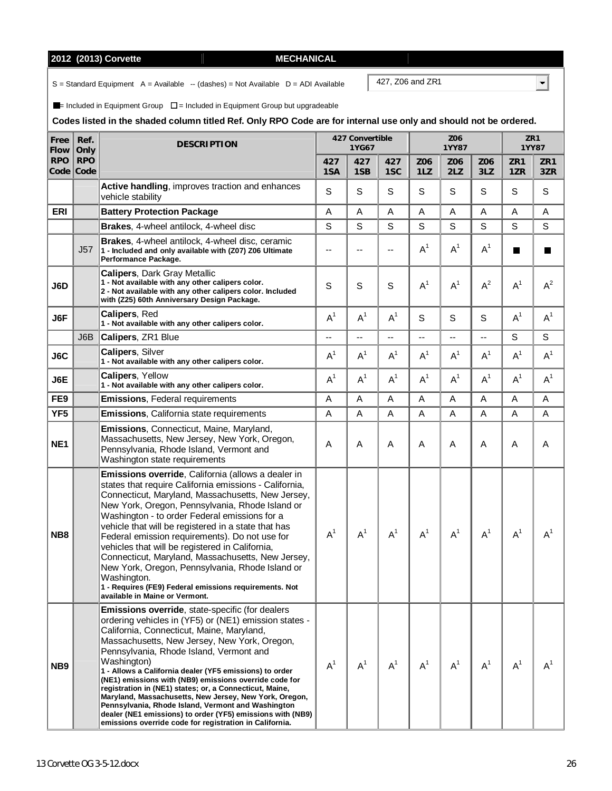# **2012 (2013) Corvette MECHANICAL**

 $S =$  Standard Equipment  $A =$  Available  $-$  (dashes) = Not Available  $D =$  ADI Available

 $\blacksquare$ = Included in Equipment Group  $\square$  = Included in Equipment Group but upgradeable

### **Codes listed in the shaded column titled Ref. Only RPO Code are for internal use only and should not be ordered.**

| Free<br><b>Flow</b> | Ref.<br>Only       | <b>DESCRIPTION</b>                                                                                                                                                                                                                                                                                                                                                                                                                                                                                                                                                                                                                                                                              |                | 427 Convertible<br>1YG67 |                          |            | Z06<br><b>1YY87</b> |            |            | ZR1<br>1YY87   |
|---------------------|--------------------|-------------------------------------------------------------------------------------------------------------------------------------------------------------------------------------------------------------------------------------------------------------------------------------------------------------------------------------------------------------------------------------------------------------------------------------------------------------------------------------------------------------------------------------------------------------------------------------------------------------------------------------------------------------------------------------------------|----------------|--------------------------|--------------------------|------------|---------------------|------------|------------|----------------|
| <b>RPO</b><br>Code  | <b>RPO</b><br>Code |                                                                                                                                                                                                                                                                                                                                                                                                                                                                                                                                                                                                                                                                                                 | 427<br>1SA     | 427<br>1SB               | 427<br>1SC               | Z06<br>1LZ | Z06<br>2LZ          | Z06<br>3LZ | ZR1<br>1ZR | ZR1<br>3ZR     |
|                     |                    | Active handling, improves traction and enhances<br>vehicle stability                                                                                                                                                                                                                                                                                                                                                                                                                                                                                                                                                                                                                            | S              | S                        | S                        | S          | $\mathbf S$         | S          | S          | S              |
| <b>ERI</b>          |                    | <b>Battery Protection Package</b>                                                                                                                                                                                                                                                                                                                                                                                                                                                                                                                                                                                                                                                               | A              | A                        | A                        | A          | A                   | Α          | A          | A              |
|                     |                    | Brakes, 4-wheel antilock, 4-wheel disc                                                                                                                                                                                                                                                                                                                                                                                                                                                                                                                                                                                                                                                          | S              | S                        | S                        | S          | S                   | S          | S          | S              |
|                     | J57                | Brakes, 4-wheel antilock, 4-wheel disc, ceramic<br>1 - Included and only available with (Z07) Z06 Ultimate<br>Performance Package.                                                                                                                                                                                                                                                                                                                                                                                                                                                                                                                                                              | $-$            | $\overline{\phantom{a}}$ | $\overline{\phantom{a}}$ | $A^1$      | $A^1$               | $A^1$      | H          | Ш              |
| J6D                 |                    | <b>Calipers, Dark Gray Metallic</b><br>1 - Not available with any other calipers color.<br>2 - Not available with any other calipers color. Included<br>with (Z25) 60th Anniversary Design Package.                                                                                                                                                                                                                                                                                                                                                                                                                                                                                             | S              | S                        | S                        | $A^1$      | $A^1$               | $A^2$      | $A^1$      | $A^2$          |
| J6F                 |                    | Calipers, Red<br>1 - Not available with any other calipers color.                                                                                                                                                                                                                                                                                                                                                                                                                                                                                                                                                                                                                               | $A^1$          | $A^1$                    | $A^1$                    | S          | $\mathbf S$         | S          | $A^1$      | $A^1$          |
|                     | J6B                | <b>Calipers, ZR1 Blue</b>                                                                                                                                                                                                                                                                                                                                                                                                                                                                                                                                                                                                                                                                       |                | --                       | --                       | --         |                     | --         | S          | S              |
| J6C                 |                    | <b>Calipers, Silver</b><br>1 - Not available with any other calipers color.                                                                                                                                                                                                                                                                                                                                                                                                                                                                                                                                                                                                                     | A <sup>1</sup> | $A^1$                    | A <sup>1</sup>           | $A^1$      | $A^1$               | $A^1$      | $A^1$      | A <sup>1</sup> |
| J6E                 |                    | Calipers, Yellow<br>1 - Not available with any other calipers color.                                                                                                                                                                                                                                                                                                                                                                                                                                                                                                                                                                                                                            | $A^1$          | $A^1$                    | $A^1$                    | $A^1$      | $A^1$               | $A^1$      | $A^1$      | $A^1$          |
| FE9                 |                    | <b>Emissions, Federal requirements</b>                                                                                                                                                                                                                                                                                                                                                                                                                                                                                                                                                                                                                                                          | A              | A                        | A                        | A          | A                   | A          | Α          | Α              |
| YF <sub>5</sub>     |                    | <b>Emissions, California state requirements</b>                                                                                                                                                                                                                                                                                                                                                                                                                                                                                                                                                                                                                                                 | A              | A                        | A                        | Α          | A                   | Α          | Α          | A              |
| NE <sub>1</sub>     |                    | <b>Emissions, Connecticut, Maine, Maryland,</b><br>Massachusetts, New Jersey, New York, Oregon,<br>Pennsylvania, Rhode Island, Vermont and<br>Washington state requirements                                                                                                                                                                                                                                                                                                                                                                                                                                                                                                                     | A              | A                        | Α                        | Α          | A                   | Α          | Α          | Α              |
| NB <sub>8</sub>     |                    | Emissions override, California (allows a dealer in<br>states that require California emissions - California,<br>Connecticut, Maryland, Massachusetts, New Jersey,<br>New York, Oregon, Pennsylvania, Rhode Island or<br>Washington - to order Federal emissions for a<br>vehicle that will be registered in a state that has<br>Federal emission requirements). Do not use for<br>vehicles that will be registered in California,<br>Connecticut, Maryland, Massachusetts, New Jersey,<br>New York, Oregon, Pennsylvania, Rhode Island or<br>Washington.<br>1 - Requires (FE9) Federal emissions requirements. Not<br>available in Maine or Vermont.                                            | $A^1$          | $A^1$                    | $A^1$                    | $A^1$      | $A^1$               | $A^1$      | $A^1$      | $A^1$          |
| NB <sub>9</sub>     |                    | <b>Emissions override, state-specific (for dealers</b><br>ordering vehicles in (YF5) or (NE1) emission states -<br>California, Connecticut, Maine, Maryland,<br>Massachusetts, New Jersey, New York, Oregon,<br>Pennsylvania, Rhode Island, Vermont and<br>Washington)<br>1 - Allows a California dealer (YF5 emissions) to order<br>(NE1) emissions with (NB9) emissions override code for<br>registration in (NE1) states; or, a Connecticut, Maine,<br>Maryland, Massachusetts, New Jersey, New York, Oregon,<br>Pennsylvania, Rhode Island, Vermont and Washington<br>dealer (NE1 emissions) to order (YF5) emissions with (NB9)<br>emissions override code for registration in California. | $A^1$          | A <sup>1</sup>           | $A^1$                    | $A^1$      | $A^1$               | $A^1$      | $A^1$      | $A^1$          |

427, Z06 and ZR1

 $\overline{\mathbf{F}}$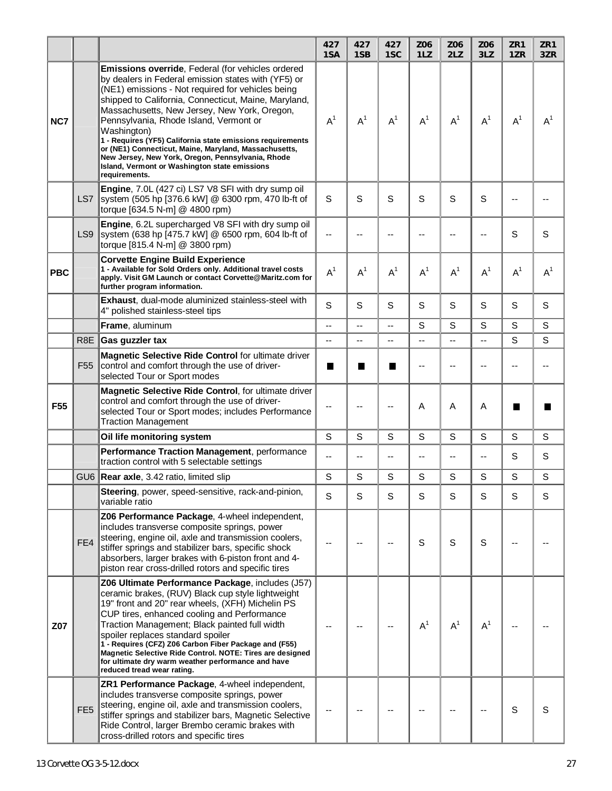|                 |                  |                                                                                                                                                                                                                                                                                                                                                                                                                                                                                                                                                                              | 427<br>1SA | 427<br>1SB                                 | 427<br>1SC               | Z06<br>1LZ  | Z06<br>2LZ               | Z06<br>3LZ | ZR1<br>1ZR | ZR1<br>3ZR |
|-----------------|------------------|------------------------------------------------------------------------------------------------------------------------------------------------------------------------------------------------------------------------------------------------------------------------------------------------------------------------------------------------------------------------------------------------------------------------------------------------------------------------------------------------------------------------------------------------------------------------------|------------|--------------------------------------------|--------------------------|-------------|--------------------------|------------|------------|------------|
| NC7             |                  | Emissions override, Federal (for vehicles ordered<br>by dealers in Federal emission states with (YF5) or<br>(NE1) emissions - Not required for vehicles being<br>shipped to California, Connecticut, Maine, Maryland,<br>Massachusetts, New Jersey, New York, Oregon,<br>Pennsylvania, Rhode Island, Vermont or<br>Washington)<br>1 - Requires (YF5) California state emissions requirements<br>or (NE1) Connecticut, Maine, Maryland, Massachusetts,<br>New Jersey, New York, Oregon, Pennsylvania, Rhode<br>Island, Vermont or Washington state emissions<br>requirements. | $A^1$      | $A^1$                                      | $A^1$                    | $A^1$       | $A^1$                    | $A^1$      | $A^1$      | $A^1$      |
|                 | LS7              | Engine, 7.0L (427 ci) LS7 V8 SFI with dry sump oil<br>system (505 hp [376.6 kW] @ 6300 rpm, 470 lb-ft of<br>torque [634.5 N-m] @ 4800 rpm)                                                                                                                                                                                                                                                                                                                                                                                                                                   | S          | S                                          | S                        | S           | S                        | S          | --         |            |
|                 | LS9              | Engine, 6.2L supercharged V8 SFI with dry sump oil<br>system (638 hp [475.7 kW] @ 6500 rpm, 604 lb-ft of<br>torque [815.4 N-m] @ 3800 rpm)                                                                                                                                                                                                                                                                                                                                                                                                                                   | $-$        | --                                         | --                       | --          | --                       |            | S          | S          |
| <b>PBC</b>      |                  | <b>Corvette Engine Build Experience</b><br>1 - Available for Sold Orders only. Additional travel costs<br>apply. Visit GM Launch or contact Corvette@Maritz.com for<br>further program information.                                                                                                                                                                                                                                                                                                                                                                          | $A^1$      | $A^1$                                      | $A^1$                    | $A^1$       | $A^1$                    | $A^1$      | $A^1$      | $A^1$      |
|                 |                  | <b>Exhaust, dual-mode aluminized stainless-steel with</b><br>4" polished stainless-steel tips                                                                                                                                                                                                                                                                                                                                                                                                                                                                                | S          | S                                          | S                        | S           | S                        | S          | S          | S          |
|                 |                  | Frame, aluminum                                                                                                                                                                                                                                                                                                                                                                                                                                                                                                                                                              | --         | Ξ.                                         | $\overline{\phantom{a}}$ | S           | S                        | S          | S          | S          |
|                 | R <sub>8</sub> E | Gas guzzler tax                                                                                                                                                                                                                                                                                                                                                                                                                                                                                                                                                              | --         | --                                         | $\overline{\phantom{a}}$ | --          | --                       | --         | S          | S          |
|                 | F <sub>55</sub>  | Magnetic Selective Ride Control for ultimate driver<br>control and comfort through the use of driver-<br>selected Tour or Sport modes                                                                                                                                                                                                                                                                                                                                                                                                                                        | ш          | <b>In the case of the case of the case</b> | H                        | --          | $-$                      | --         | --         |            |
| F <sub>55</sub> |                  | Magnetic Selective Ride Control, for ultimate driver<br>control and comfort through the use of driver-<br>selected Tour or Sport modes; includes Performance<br><b>Traction Management</b>                                                                                                                                                                                                                                                                                                                                                                                   |            |                                            | --                       | A           | A                        | А          | ш          |            |
|                 |                  | Oil life monitoring system                                                                                                                                                                                                                                                                                                                                                                                                                                                                                                                                                   | S          | S                                          | S                        | $\mathbf S$ | S                        | S          | S          | S          |
|                 |                  | Performance Traction Management, performance<br>traction control with 5 selectable settings                                                                                                                                                                                                                                                                                                                                                                                                                                                                                  | --         | --                                         | --                       | --          | $\overline{\phantom{a}}$ | --         | S          | S          |
|                 |                  | GU6 Rear axle, 3.42 ratio, limited slip                                                                                                                                                                                                                                                                                                                                                                                                                                                                                                                                      | S          | S                                          | S                        | S           | S                        | S          | S          | S          |
|                 |                  | Steering, power, speed-sensitive, rack-and-pinion,<br>variable ratio                                                                                                                                                                                                                                                                                                                                                                                                                                                                                                         | S          | S                                          | S                        | S           | S                        | S          | S          | S          |
|                 | FE4              | Z06 Performance Package, 4-wheel independent,<br>includes transverse composite springs, power<br>steering, engine oil, axle and transmission coolers,<br>stiffer springs and stabilizer bars, specific shock<br>absorbers, larger brakes with 6-piston front and 4-<br>piston rear cross-drilled rotors and specific tires                                                                                                                                                                                                                                                   |            |                                            |                          | S           | S                        | S          |            |            |
| Z07             |                  | Z06 Ultimate Performance Package, includes (J57)<br>ceramic brakes, (RUV) Black cup style lightweight<br>19" front and 20" rear wheels, (XFH) Michelin PS<br>CUP tires, enhanced cooling and Performance<br>Traction Management; Black painted full width<br>spoiler replaces standard spoiler<br>1 - Requires (CFZ) Z06 Carbon Fiber Package and (F55)<br>Magnetic Selective Ride Control. NOTE: Tires are designed<br>for ultimate dry warm weather performance and have<br>reduced tread wear rating.                                                                     |            |                                            |                          | $A^1$       | $A^1$                    | $A^1$      |            |            |
|                 | FE <sub>5</sub>  | ZR1 Performance Package, 4-wheel independent,<br>includes transverse composite springs, power<br>steering, engine oil, axle and transmission coolers,<br>stiffer springs and stabilizer bars, Magnetic Selective<br>Ride Control, larger Brembo ceramic brakes with<br>cross-drilled rotors and specific tires                                                                                                                                                                                                                                                               |            |                                            |                          |             |                          |            | S          | S          |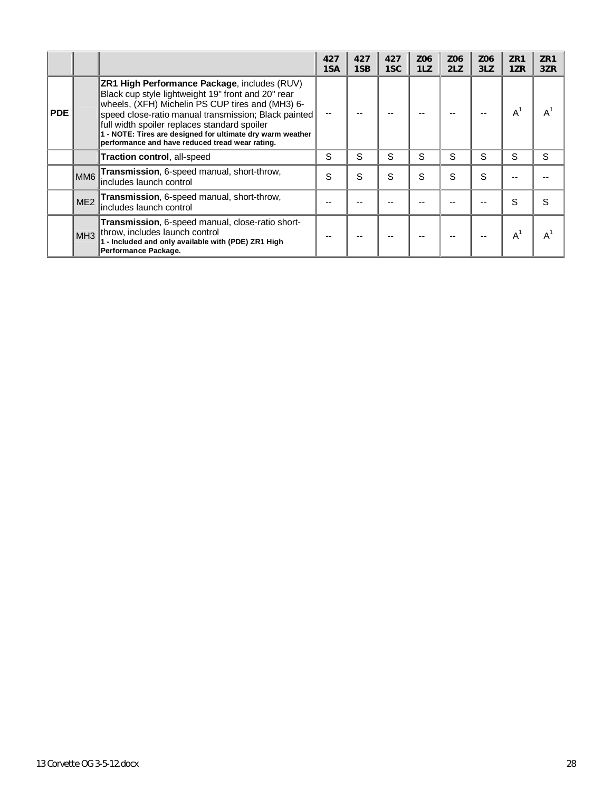|            |                 |                                                                                                                                                                                                                                                                                                                                                                                 | 427<br>1SA | 427<br>1SB | 427<br>1SC | Z06<br>1LZ | Z <sub>06</sub><br>2LZ | Z06<br>3LZ | ZR <sub>1</sub><br>1ZR | ZR <sub>1</sub><br>3ZR |
|------------|-----------------|---------------------------------------------------------------------------------------------------------------------------------------------------------------------------------------------------------------------------------------------------------------------------------------------------------------------------------------------------------------------------------|------------|------------|------------|------------|------------------------|------------|------------------------|------------------------|
| <b>PDE</b> |                 | ZR1 High Performance Package, includes (RUV)<br>Black cup style lightweight 19" front and 20" rear<br>wheels, (XFH) Michelin PS CUP tires and (MH3) 6-<br>speed close-ratio manual transmission; Black painted<br>full width spoiler replaces standard spoiler<br>1 - NOTE: Tires are designed for ultimate dry warm weather<br>performance and have reduced tread wear rating. |            |            |            |            |                        |            | $A^{\prime}$           | $A^1$                  |
|            |                 | Traction control, all-speed                                                                                                                                                                                                                                                                                                                                                     | S          | S          | S          | S          | S                      | S          | S                      | S                      |
|            | MM <sub>6</sub> | Transmission, 6-speed manual, short-throw,<br>includes launch control                                                                                                                                                                                                                                                                                                           | S          | S          | S          | S          | S                      | S          |                        |                        |
|            | ME <sub>2</sub> | Transmission, 6-speed manual, short-throw,<br>includes launch control                                                                                                                                                                                                                                                                                                           |            |            |            |            |                        |            | S                      | S                      |
|            |                 | Transmission, 6-speed manual, close-ratio short-<br>MH3 throw, includes launch control<br>1 - Included and only available with (PDE) ZR1 High<br>Performance Package.                                                                                                                                                                                                           |            |            |            |            |                        |            | $A^1$                  |                        |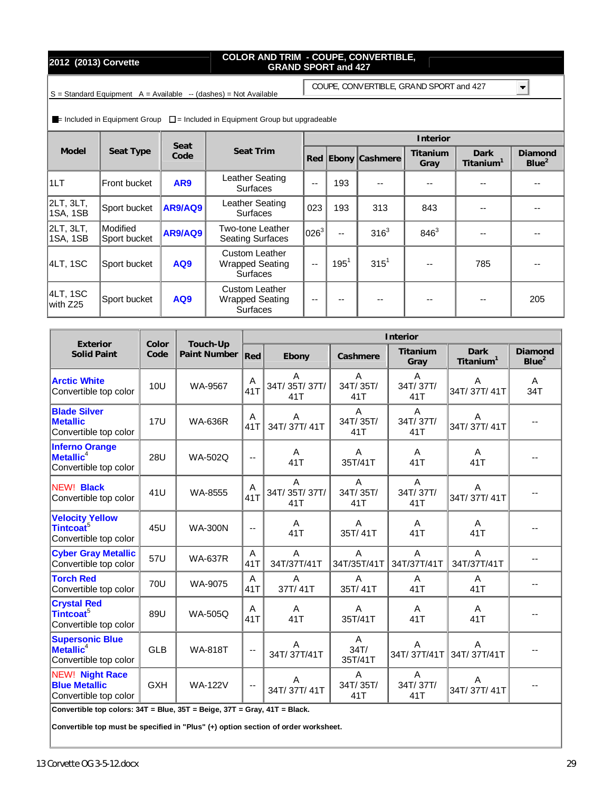## **2012 (2013) Corvette COLOR AND TRIM - COUPE, CONVERTIBLE, GRAND SPORT and 427**

COUPE, CONVERTIBLE, GRAND SPORT and 427

 $\blacksquare$ 

 $S =$  Standard Equipment  $A =$  Available  $-$  (dashes) = Not Available

 $=$  Included in Equipment Group  $\square$  = Included in Equipment Group but upgradeable

|                       |                                 | Seat           |                                                                    |         |         |                    | Interior         |                                      |                              |
|-----------------------|---------------------------------|----------------|--------------------------------------------------------------------|---------|---------|--------------------|------------------|--------------------------------------|------------------------------|
| Model                 | Seat Type                       | Code           | Seat Trim                                                          |         |         | Red Ebony Cashmere | Titanium<br>Gray | <b>Dark</b><br>Titanium <sup>1</sup> | Diamond<br>Blue <sup>2</sup> |
| 1LT                   | Front bucket                    | AR9            | Leather Seating<br><b>Surfaces</b>                                 | --      | 193     |                    |                  |                                      |                              |
| 2LT, 3LT,<br>1SA, 1SB | Sport bucket                    | AR9/AQ9        | Leather Seating<br><b>Surfaces</b>                                 | 023     | 193     | 313                | 843              |                                      |                              |
| 2LT, 3LT,<br>1SA, 1SB | <b>Modified</b><br>Sport bucket | <b>AR9/AQ9</b> | <b>Two-tone Leather</b><br><b>Seating Surfaces</b>                 | $026^3$ | $-$     | 316 <sup>3</sup>   | $846^{3}$        |                                      |                              |
| 4LT, 1SC              | Sport bucket                    | AQ9            | <b>Custom Leather</b><br><b>Wrapped Seating</b><br><b>Surfaces</b> | $-$     | $195^1$ | $315^{1}$          |                  | 785                                  |                              |
| 4LT, 1SC<br>lwith Z25 | Sport bucket                    | AQ9            | <b>Custom Leather</b><br><b>Wrapped Seating</b><br><b>Surfaces</b> | --      | $- -$   | --                 |                  |                                      | 205                          |

| Exterior                                                                    | Color      | Touch-Up       |                          | Interior                 |                           |                                   |                               |                              |  |  |  |  |
|-----------------------------------------------------------------------------|------------|----------------|--------------------------|--------------------------|---------------------------|-----------------------------------|-------------------------------|------------------------------|--|--|--|--|
| <b>Solid Paint</b>                                                          | Code       | Paint Number   | Red                      | Ebony                    | Cashmere                  | Titanium<br>Gray                  | Dark<br>Titanium <sup>1</sup> | Diamond<br>Blue <sup>2</sup> |  |  |  |  |
| <b>Arctic White</b><br>Convertible top color                                | 10U        | WA-9567        | A<br>41T                 | A<br>34T/35T/37T/<br>41T | A<br>34T/35T/<br>41T      | A<br>34T/37T/<br>41T              | A<br>34T/37T/41T              | A<br>34T                     |  |  |  |  |
| <b>Blade Silver</b><br><b>Metallic</b><br>Convertible top color             | <b>17U</b> | <b>WA-636R</b> | A<br>41T                 | Α<br>34T/37T/41T         | A<br>34T/35T/<br>41T      | $\overline{A}$<br>34T/37T/<br>41T | A<br>34T/37T/41T              |                              |  |  |  |  |
| <b>Inferno Orange</b><br>$M$ etallic <sup>4</sup><br>Convertible top color  | <b>28U</b> | <b>WA-502Q</b> | $\mathbf{u}$             | A<br>41T                 | A<br>35T/41T              | A<br>41T                          | A<br>41T                      |                              |  |  |  |  |
| NEW! Black<br>Convertible top color                                         | 41U        | WA-8555        | A<br>41T                 | A<br>34T/35T/37T/<br>41T | A<br>34T/35T/<br>41T      | $\overline{A}$<br>34T/37T/<br>41T | A<br>34T/37T/41T              |                              |  |  |  |  |
| <b>Velocity Yellow</b><br>Tintcoat <sup>5</sup><br>Convertible top color    | 45U        | <b>WA-300N</b> | $\mathbf{u}$             | A<br>41T                 | $\overline{A}$<br>35T/41T | A<br>41T                          | A<br>41T                      |                              |  |  |  |  |
| <b>Cyber Gray Metallic</b><br>Convertible top color                         | 57U        | <b>WA-637R</b> | A<br>41T                 | A<br>34T/37T/41T         | A<br>34T/35T/41T          | A<br>34T/37T/41T                  | A<br>34T/37T/41T              |                              |  |  |  |  |
| <b>Torch Red</b><br>Convertible top color                                   | <b>70U</b> | WA-9075        | A<br>41T                 | A<br>37T/41T             | A<br>35T/41T              | A<br>41T                          | A<br>41T                      |                              |  |  |  |  |
| <b>Crystal Red</b><br>Tintcoat <sup>5</sup><br>Convertible top color        | 89U        | <b>WA-505Q</b> | A<br>41T                 | A<br>41T                 | A<br>35T/41T              | A<br>41T                          | A<br>41T                      |                              |  |  |  |  |
| <b>Supersonic Blue</b><br>$M$ etallic <sup>4</sup><br>Convertible top color | <b>GLB</b> | <b>WA-818T</b> | $\overline{\phantom{a}}$ | A<br>34T/37T/41T         | A<br>34T/<br>35T/41T      | A<br>34T/37T/41T                  | A<br>34T/37T/41T              |                              |  |  |  |  |
| <b>NEW! Night Race</b><br><b>Blue Metallic</b><br>Convertible top color     | <b>GXH</b> | <b>WA-122V</b> | $\overline{\phantom{a}}$ | Α<br>34T/37T/41T         | A<br>34T/35T/<br>41T      | A<br>34T/37T/<br>41T              | A<br>34T/37T/41T              |                              |  |  |  |  |

**Convertible top colors: 34T = Blue, 35T = Beige, 37T = Gray, 41T = Black.** 

**Convertible top must be specified in "Plus" (+) option section of order worksheet.**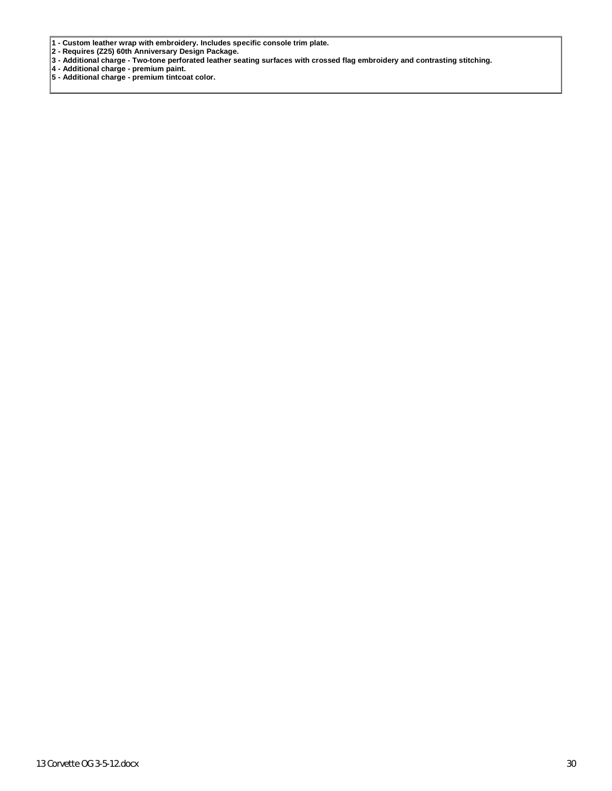- **1 - Custom leather wrap with embroidery. Includes specific console trim plate.**
- **2 Requires (Z25) 60th Anniversary Design Package.**
- **3 Additional charge Two-tone perforated leather seating surfaces with crossed flag embroidery and contrasting stitching.**
- **4 Additional charge premium paint.**
- **5 Additional charge premium tintcoat color.**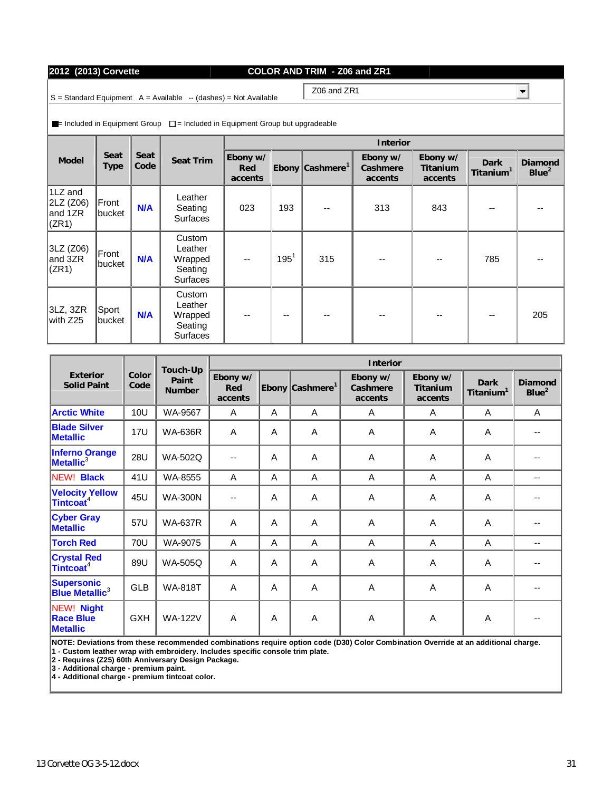## 13 Corvette OG 3-5-12.docx 31

| 2012 (2013) Corvette | COLOR AND TRIM - Z06 and ZR1 |
|----------------------|------------------------------|

Z06 and ZR1

 $S =$  Standard Equipment  $A =$  Available  $-$  (dashes) = Not Available

 $\blacksquare$ = Included in Equipment Group  $\square$  = Included in Equipment Group but upgradeable

|                                            |                     |              |                                                            |                            | Interior |                             |                                 |                                 |                               |                              |  |  |  |  |
|--------------------------------------------|---------------------|--------------|------------------------------------------------------------|----------------------------|----------|-----------------------------|---------------------------------|---------------------------------|-------------------------------|------------------------------|--|--|--|--|
| Model                                      | Seat<br><b>Type</b> | Seat<br>Code | Seat Trim                                                  | Ebony w/<br>Red<br>accents |          | Ebony Cashmere <sup>1</sup> | Ebony w/<br>Cashmere<br>accents | Ebony w/<br>Titanium<br>accents | Dark<br>Titanium <sup>1</sup> | Diamond<br>Blue <sup>2</sup> |  |  |  |  |
| 1LZ and<br> 2LZ (Z06) <br>and 1ZR<br>(ZR1) | Front<br>∥bucket    | <b>N/A</b>   | Leather<br>Seating<br><b>Surfaces</b>                      | 023                        | 193      | --                          | 313                             | 843                             |                               |                              |  |  |  |  |
| 3LZ (Z06)<br>and 3ZR<br>(CR1)              | Front<br>bucket     | <b>N/A</b>   | Custom<br>Leather<br>Wrapped<br>Seating<br><b>Surfaces</b> | --                         | $195^1$  | 315                         | --                              |                                 | 785                           |                              |  |  |  |  |
| 3LZ, 3ZR<br>with Z25                       | ∥Sport<br>∥bucket   | <b>N/A</b>   | Custom<br>Leather<br>Wrapped<br>Seating<br><b>Surfaces</b> | $- -$                      | --       | --                          | --                              | --                              | --                            | 205                          |  |  |  |  |

|                                                       |               | Touch-Up               |                            | Interior |                             |                                 |                                 |                               |                              |  |  |  |  |
|-------------------------------------------------------|---------------|------------------------|----------------------------|----------|-----------------------------|---------------------------------|---------------------------------|-------------------------------|------------------------------|--|--|--|--|
| Exterior<br><b>Solid Paint</b>                        | Color<br>Code | Paint<br><b>Number</b> | Ebony w/<br>Red<br>accents |          | Ebony Cashmere <sup>1</sup> | Ebony w/<br>Cashmere<br>accents | Ebony w/<br>Titanium<br>accents | Dark<br>Titanium <sup>1</sup> | Diamond<br>Blue <sup>2</sup> |  |  |  |  |
| <b>Arctic White</b>                                   | 10U           | WA-9567                | A                          | A        | A                           | A                               | A                               | A                             | A                            |  |  |  |  |
| <b>Blade Silver</b><br><b>Metallic</b>                | <b>17U</b>    | <b>WA-636R</b>         | A                          | A        | A                           | A                               | A                               | A                             |                              |  |  |  |  |
| <b>Inferno Orange</b><br><b>Metallic</b> $3$          | <b>28U</b>    | <b>WA-502Q</b>         | $-$                        | A        | A                           | A                               | A                               | A                             |                              |  |  |  |  |
| NEW! Black                                            | 41U           | WA-8555                | $\mathsf{A}$               | A        | A                           | A                               | A                               | A                             | --                           |  |  |  |  |
| Velocity Yellow<br>Tintcoat <sup>4</sup>              | 45U           | <b>WA-300N</b>         |                            | A        | A                           | A                               | A                               | A                             |                              |  |  |  |  |
| <b>Cyber Gray</b><br><b>Metallic</b>                  | 57U           | <b>WA-637R</b>         | $\overline{A}$             | A        | A                           | A                               | $\mathsf{A}$                    | $\overline{A}$                |                              |  |  |  |  |
| <b>Torch Red</b>                                      | 70U           | WA-9075                | A                          | A        | A                           | A                               | A                               | A                             | $-$                          |  |  |  |  |
| <b>Crystal Red</b><br>Tintcoat <sup>4</sup>           | 89U           | <b>WA-505Q</b>         | A                          | A        | A                           | A                               | A                               | A                             |                              |  |  |  |  |
| <b>Supersonic</b><br><b>Blue Metallic<sup>3</sup></b> | <b>GLB</b>    | <b>WA-818T</b>         | A                          | A        | A                           | A                               | A                               | A                             |                              |  |  |  |  |
| NEW! Night<br><b>Race Blue</b><br><b>Metallic</b>     | <b>GXH</b>    | <b>WA-122V</b>         | $\overline{A}$             | A        | A                           | A                               | Α                               | A                             |                              |  |  |  |  |

**NOTE: Deviations from these recommended combinations require option code (D30) Color Combination Override at an additional charge. 1 - Custom leather wrap with embroidery. Includes specific console trim plate.** 

**2 - Requires (Z25) 60th Anniversary Design Package.** 

**3 - Additional charge - premium paint.** 

**4 - Additional charge - premium tintcoat color.** 

ᆋ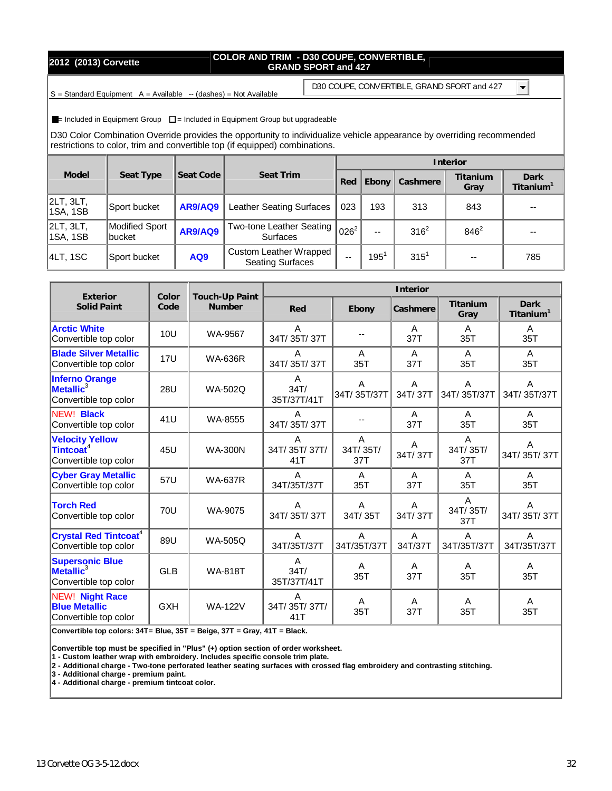### **2012 (2013) Corvette COLOR AND TRIM - D30 COUPE, CONVERTIBLE, GRAND SPORT and 427**

 $S =$  Standard Equipment  $A =$  Available  $-$  (dashes) = Not Available

D30 COUPE, CONVERTIBLE, GRAND SPORT and 427

 $\blacksquare$ 

 $\blacksquare$ = Included in Equipment Group  $\square$  = Included in Equipment Group but upgradeable

D30 Color Combination Override provides the opportunity to individualize vehicle appearance by overriding recommended restrictions to color, trim and convertible top (if equipped) combinations.

|                       |                           |           |                                                   | Interior  |               |           |                  |                               |  |  |  |
|-----------------------|---------------------------|-----------|---------------------------------------------------|-----------|---------------|-----------|------------------|-------------------------------|--|--|--|
| Model                 | Seat Type                 | Seat Code | Seat Trim                                         | Red       | Ebony         | Cashmere  | Titanium<br>Gray | Dark<br>Titanium <sup>'</sup> |  |  |  |
| 2LT, 3LT,<br>1SA, 1SB | Sport bucket              | AR9/AQ9   | Leather Seating Surfaces                          | 023       | 193           | 313       | 843              |                               |  |  |  |
| 2LT, 3LT,<br>1SA, 1SB | Modified Sport<br>lbucket | AR9/AQ9   | Two-tone Leather Seating<br><b>Surfaces</b>       | $026^{2}$ | --            | $316^2$   | $846^2$          | --                            |  |  |  |
| 4LT, 1SC              | Sport bucket              | AQ9       | Custom Leather Wrapped<br><b>Seating Surfaces</b> | $- -$     | $195^{\circ}$ | $315^{1}$ | $-$              | 785                           |  |  |  |

| Exterior                                                                 | Color      | Touch-Up Paint | Interior                 |                      |              |                                 |                                      |  |  |  |  |
|--------------------------------------------------------------------------|------------|----------------|--------------------------|----------------------|--------------|---------------------------------|--------------------------------------|--|--|--|--|
| <b>Solid Paint</b>                                                       | Code       | Number         | Red                      | Ebony                | Cashmere     | Titanium<br>Gray                | <b>Dark</b><br>Titanium <sup>1</sup> |  |  |  |  |
| <b>Arctic White</b><br>Convertible top color                             | 10U        | WA-9567        | A<br>34T/35T/37T         |                      | A<br>37T     | $\mathsf{A}$<br>35T             | $\mathsf{A}$<br>35T                  |  |  |  |  |
| <b>Blade Silver Metallic</b><br>Convertible top color                    | <b>17U</b> | <b>WA-636R</b> | Α<br>34T/35T/37T         | A<br>35T             | A<br>37T     | A<br>35T                        | A<br>35T                             |  |  |  |  |
| <b>Inferno Orange</b><br>Metallic <sup>3</sup><br>Convertible top color  | 28U        | WA-502Q        | A<br>34T/<br>35T/37T/41T | A<br>34T/35T/37T     | A<br>34T/37T | A<br>34T/35T/37T                | A<br>34T/35T/37T                     |  |  |  |  |
| <b>NEW! Black</b><br>Convertible top color                               | 41U        | WA-8555        | A<br>34T/35T/37T         |                      | A<br>37T     | A<br>35T                        | A<br>35T                             |  |  |  |  |
| <b>Velocity Yellow</b><br>Tintcoat <sup>4</sup><br>Convertible top color | 45U        | <b>WA-300N</b> | A<br>34T/35T/37T/<br>41T | A<br>34T/35T/<br>37T | Α<br>34T/37T | $\mathsf{A}$<br>34T/35T/<br>37T | A<br>34T/35T/37T                     |  |  |  |  |
| <b>Cyber Gray Metallic</b><br>Convertible top color                      | 57U        | <b>WA-637R</b> | A<br>34T/35T/37T         | A<br>35T             | A<br>37T     | $\mathsf{A}$<br>35T             | A<br>35T                             |  |  |  |  |
| <b>Torch Red</b><br>Convertible top color                                | 70U        | WA-9075        | A<br>34T/35T/37T         | A<br>34T/35T         | A<br>34T/37T | A<br>34T/35T/<br>37T            | A<br>34T/35T/37T                     |  |  |  |  |
| <b>Crystal Red Tintcoat<sup>4</sup></b><br>Convertible top color         | 89U        | <b>WA-505Q</b> | A<br>34T/35T/37T         | A<br>34T/35T/37T     | A<br>34T/37T | $\overline{A}$<br>34T/35T/37T   | A<br>34T/35T/37T                     |  |  |  |  |
| <b>Supersonic Blue</b><br>Metallic <sup>3</sup><br>Convertible top color | GLB        | <b>WA-818T</b> | A<br>34T/<br>35T/37T/41T | A<br>35T             | A<br>37T     | A<br>35T                        | A<br>35T                             |  |  |  |  |
| <b>NEW! Night Race</b><br><b>Blue Metallic</b><br>Convertible top color  | <b>GXH</b> | <b>WA-122V</b> | A<br>34T/35T/37T/<br>41T | A<br>35T             | A<br>37T     | A<br>35T                        | A<br>35T                             |  |  |  |  |

**Convertible top colors: 34T= Blue, 35T = Beige, 37T = Gray, 41T = Black.** 

**Convertible top must be specified in "Plus" (+) option section of order worksheet.**

**1 - Custom leather wrap with embroidery. Includes specific console trim plate.** 

**2 - Additional charge - Two-tone perforated leather seating surfaces with crossed flag embroidery and contrasting stitching.** 

**3 - Additional charge - premium paint.** 

**4 - Additional charge - premium tintcoat color.**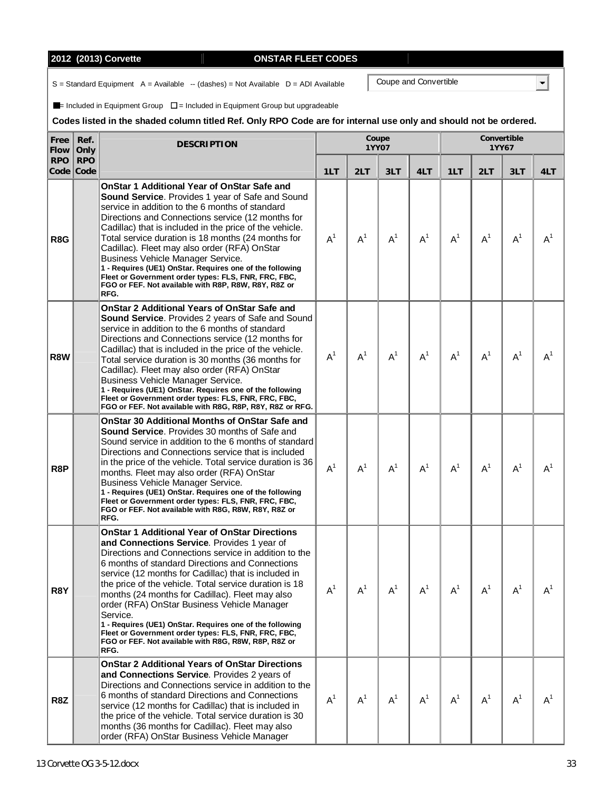# **2012 (2013) Corvette ONSTAR FLEET CODES**

 $S =$  Standard Equipment  $A =$  Available  $-$  (dashes) = Not Available  $D =$  ADI Available

 $\blacksquare$ = Included in Equipment Group  $\square$  = Included in Equipment Group but upgradeable

### **Codes listed in the shaded column titled Ref. Only RPO Code are for internal use only and should not be ordered.**

| Free<br>Flow     | Ref.<br>Only            | <b>DESCRIPTION</b>                                                                                                                                                                                                                                                                                                                                                                                                                                                                                                                                                                                                                  |       |       | Coupe<br>1YY07 |       | Convertible<br>1YY67 |       |       |       |  |
|------------------|-------------------------|-------------------------------------------------------------------------------------------------------------------------------------------------------------------------------------------------------------------------------------------------------------------------------------------------------------------------------------------------------------------------------------------------------------------------------------------------------------------------------------------------------------------------------------------------------------------------------------------------------------------------------------|-------|-------|----------------|-------|----------------------|-------|-------|-------|--|
| <b>RPO</b>       | <b>RPO</b><br>Code Code |                                                                                                                                                                                                                                                                                                                                                                                                                                                                                                                                                                                                                                     | 1LT   | 2LT   | 3LT            | 4LT   | 1LT                  | 2LT   | 3LT   | 4LT   |  |
| R8G              |                         | OnStar 1 Additional Year of OnStar Safe and<br>Sound Service. Provides 1 year of Safe and Sound<br>service in addition to the 6 months of standard<br>Directions and Connections service (12 months for<br>Cadillac) that is included in the price of the vehicle.<br>Total service duration is 18 months (24 months for<br>Cadillac). Fleet may also order (RFA) OnStar<br>Business Vehicle Manager Service.<br>1 - Requires (UE1) OnStar. Requires one of the following<br>Fleet or Government order types: FLS, FNR, FRC, FBC,<br>FGO or FEF. Not available with R8P, R8W, R8Y, R8Z or<br>RFG.                                   | $A^1$ | $A^1$ | $A^1$          | $A^1$ | $A^1$                | $A^1$ | $A^1$ | $A^1$ |  |
| <b>R8W</b>       |                         | <b>OnStar 2 Additional Years of OnStar Safe and</b><br><b>Sound Service.</b> Provides 2 years of Safe and Sound<br>service in addition to the 6 months of standard<br>Directions and Connections service (12 months for<br>Cadillac) that is included in the price of the vehicle.<br>Total service duration is 30 months (36 months for<br>Cadillac). Fleet may also order (RFA) OnStar<br>Business Vehicle Manager Service.<br>1 - Requires (UE1) OnStar. Requires one of the following<br>Fleet or Government order types: FLS, FNR, FRC, FBC,<br>FGO or FEF. Not available with R8G, R8P, R8Y, R8Z or RFG.                      | $A^1$ | $A^1$ | $A^1$          | $A^1$ | $A^1$                | $A^1$ | $A^1$ | $A^1$ |  |
| R <sub>8</sub> P |                         | <b>OnStar 30 Additional Months of OnStar Safe and</b><br>Sound Service. Provides 30 months of Safe and<br>Sound service in addition to the 6 months of standard<br>Directions and Connections service that is included<br>in the price of the vehicle. Total service duration is 36<br>months. Fleet may also order (RFA) OnStar<br>Business Vehicle Manager Service.<br>1 - Requires (UE1) OnStar. Requires one of the following<br>Fleet or Government order types: FLS, FNR, FRC, FBC,<br>FGO or FEF. Not available with R8G, R8W, R8Y, R8Z or<br>RFG.                                                                           | $A^1$ | $A^1$ | $A^1$          | $A^1$ | $A^1$                | $A^1$ | $A^1$ | $A^1$ |  |
| R8Y              |                         | <b>OnStar 1 Additional Year of OnStar Directions</b><br>and Connections Service. Provides 1 year of<br>Directions and Connections service in addition to the<br>6 months of standard Directions and Connections<br>service (12 months for Cadillac) that is included in<br>the price of the vehicle. Total service duration is 18<br>months (24 months for Cadillac). Fleet may also<br>order (RFA) OnStar Business Vehicle Manager<br>Service.<br>1 - Requires (UE1) OnStar. Requires one of the following<br>Fleet or Government order types: FLS, FNR, FRC, FBC,<br>FGO or FEF. Not available with R8G, R8W, R8P, R8Z or<br>RFG. | $A^1$ | $A^1$ | $A^1$          | $A^1$ | $A^1$                | $A^1$ | $A^1$ | $A^1$ |  |
| R8Z              |                         | <b>OnStar 2 Additional Years of OnStar Directions</b><br>and Connections Service. Provides 2 years of<br>Directions and Connections service in addition to the<br>6 months of standard Directions and Connections<br>service (12 months for Cadillac) that is included in<br>the price of the vehicle. Total service duration is 30<br>months (36 months for Cadillac). Fleet may also<br>order (RFA) OnStar Business Vehicle Manager                                                                                                                                                                                               | $A^1$ | $A^1$ | $A^1$          | $A^1$ | $A^1$                | $A^1$ | $A^1$ | $A^1$ |  |

Coupe and Convertible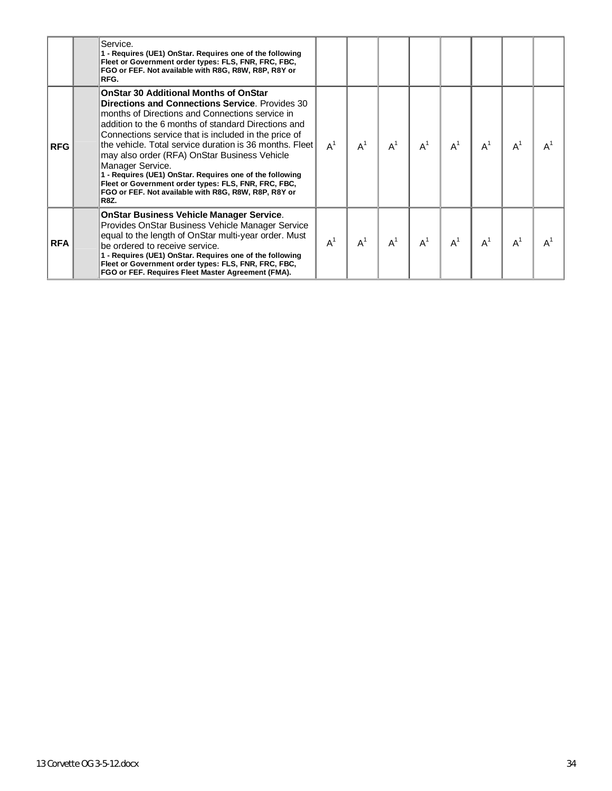|            | Service.<br>1 - Requires (UE1) OnStar. Requires one of the following<br>Fleet or Government order types: FLS, FNR, FRC, FBC,<br>FGO or FEF. Not available with R8G, R8W, R8P, R8Y or<br>RFG.                                                                                                                                                                                                                                                                                                                                                                                                       |       |       |       |       |       |       |       |                |
|------------|----------------------------------------------------------------------------------------------------------------------------------------------------------------------------------------------------------------------------------------------------------------------------------------------------------------------------------------------------------------------------------------------------------------------------------------------------------------------------------------------------------------------------------------------------------------------------------------------------|-------|-------|-------|-------|-------|-------|-------|----------------|
| <b>RFG</b> | <b>OnStar 30 Additional Months of OnStar</b><br><b>Directions and Connections Service.</b> Provides 30<br>months of Directions and Connections service in<br>addition to the 6 months of standard Directions and<br>Connections service that is included in the price of<br>the vehicle. Total service duration is 36 months. Fleet<br>may also order (RFA) OnStar Business Vehicle<br>Manager Service.<br>1 - Requires (UE1) OnStar. Requires one of the following<br>Fleet or Government order types: FLS, FNR, FRC, FBC,<br>FGO or FEF. Not available with R8G, R8W, R8P, R8Y or<br><b>R8Z.</b> | $A^1$ | $A^1$ | $A^1$ | $A^1$ | $A^1$ | $A^1$ | $A^1$ | $A^1$          |
| <b>RFA</b> | <b>OnStar Business Vehicle Manager Service.</b><br>Provides OnStar Business Vehicle Manager Service<br>equal to the length of OnStar multi-year order. Must<br>be ordered to receive service.<br>1 - Requires (UE1) OnStar. Requires one of the following<br>Fleet or Government order types: FLS, FNR, FRC, FBC,<br>FGO or FEF. Requires Fleet Master Agreement (FMA).                                                                                                                                                                                                                            | $A^1$ | $A^1$ | $A^1$ | $A^1$ | $A^1$ | $A^1$ | $A^1$ | A <sup>1</sup> |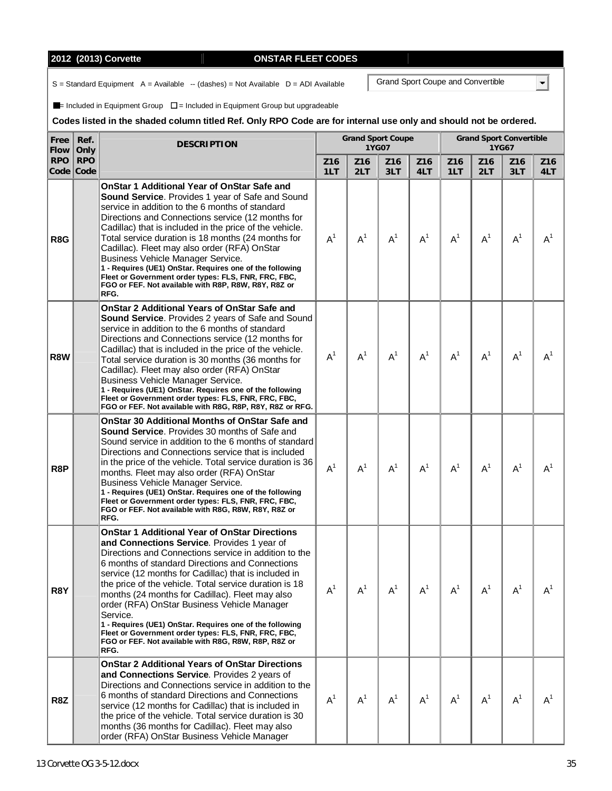# **2012 (2013) Corvette CODES CONSTAR FLEET CONST**

 $S =$  Standard Equipment  $A =$  Available  $-$  (dashes) = Not Available  $D =$  ADI Available

 $\blacksquare$ = Included in Equipment Group  $\square$  = Included in Equipment Group but upgradeable

#### **Codes listed in the shaded column titled Ref. Only RPO Code are for internal use only and should not be ordered.**

| Free<br><b>Flow</b> | Ref.<br>Only            | <b>DESCRIPTION</b>                                                                                                                                                                                                                                                                                                                                                                                                                                                                                                                                                                                                                  |                        |                        | <b>Grand Sport Coupe</b><br>1YG07 |                        | <b>Grand Sport Convertible</b><br>1YG67 |                        |                        |                        |  |
|---------------------|-------------------------|-------------------------------------------------------------------------------------------------------------------------------------------------------------------------------------------------------------------------------------------------------------------------------------------------------------------------------------------------------------------------------------------------------------------------------------------------------------------------------------------------------------------------------------------------------------------------------------------------------------------------------------|------------------------|------------------------|-----------------------------------|------------------------|-----------------------------------------|------------------------|------------------------|------------------------|--|
| <b>RPO</b>          | <b>RPO</b><br>Code Code |                                                                                                                                                                                                                                                                                                                                                                                                                                                                                                                                                                                                                                     | Z <sub>16</sub><br>1LT | Z <sub>16</sub><br>2LT | Z <sub>16</sub><br>3LT            | Z <sub>16</sub><br>4LT | Z <sub>16</sub><br>1LT                  | Z <sub>16</sub><br>2LT | Z <sub>16</sub><br>3LT | Z <sub>16</sub><br>4LT |  |
| R8G                 |                         | OnStar 1 Additional Year of OnStar Safe and<br>Sound Service. Provides 1 year of Safe and Sound<br>service in addition to the 6 months of standard<br>Directions and Connections service (12 months for<br>Cadillac) that is included in the price of the vehicle.<br>Total service duration is 18 months (24 months for<br>Cadillac). Fleet may also order (RFA) OnStar<br>Business Vehicle Manager Service.<br>1 - Requires (UE1) OnStar. Requires one of the following<br>Fleet or Government order types: FLS, FNR, FRC, FBC,<br>FGO or FEF. Not available with R8P, R8W, R8Y, R8Z or<br>RFG.                                   | $A^1$                  | $A^1$                  | $A^1$                             | $A^1$                  | A <sup>1</sup>                          | A <sup>1</sup>         | $A^1$                  | $A^1$                  |  |
| R8W                 |                         | <b>OnStar 2 Additional Years of OnStar Safe and</b><br>Sound Service. Provides 2 years of Safe and Sound<br>service in addition to the 6 months of standard<br>Directions and Connections service (12 months for<br>Cadillac) that is included in the price of the vehicle.<br>Total service duration is 30 months (36 months for<br>Cadillac). Fleet may also order (RFA) OnStar<br>Business Vehicle Manager Service.<br>1 - Requires (UE1) OnStar. Requires one of the following<br>Fleet or Government order types: FLS, FNR, FRC, FBC,<br>FGO or FEF. Not available with R8G, R8P, R8Y, R8Z or RFG.                             | $A^1$                  | $A^1$                  | A <sup>1</sup>                    | $A^1$                  | $A^1$                                   | $A^1$                  | $A^1$                  | $A^1$                  |  |
| R8P                 |                         | <b>OnStar 30 Additional Months of OnStar Safe and</b><br>Sound Service. Provides 30 months of Safe and<br>Sound service in addition to the 6 months of standard<br>Directions and Connections service that is included<br>in the price of the vehicle. Total service duration is 36<br>months. Fleet may also order (RFA) OnStar<br><b>Business Vehicle Manager Service.</b><br>1 - Requires (UE1) OnStar. Requires one of the following<br>Fleet or Government order types: FLS, FNR, FRC, FBC,<br>FGO or FEF. Not available with R8G, R8W, R8Y, R8Z or<br>RFG.                                                                    | $A^1$                  | $A^1$                  | $A^1$                             | $A^1$                  | $A^1$                                   | $A^1$                  | $A^1$                  | $A^1$                  |  |
| R8Y                 |                         | <b>OnStar 1 Additional Year of OnStar Directions</b><br>and Connections Service. Provides 1 year of<br>Directions and Connections service in addition to the<br>6 months of standard Directions and Connections<br>service (12 months for Cadillac) that is included in<br>the price of the vehicle. Total service duration is 18<br>months (24 months for Cadillac). Fleet may also<br>order (RFA) OnStar Business Vehicle Manager<br>Service.<br>1 - Requires (UE1) OnStar. Requires one of the following<br>Fleet or Government order types: FLS, FNR, FRC, FBC,<br>FGO or FEF. Not available with R8G, R8W, R8P, R8Z or<br>RFG. | $A^1$                  | $A^1$                  | $A^1$                             | $A^1$                  | $A^1$                                   | $A^1$                  | $A^1$                  | $A^1$                  |  |
| R8Z                 |                         | <b>OnStar 2 Additional Years of OnStar Directions</b><br>and Connections Service. Provides 2 years of<br>Directions and Connections service in addition to the<br>6 months of standard Directions and Connections<br>service (12 months for Cadillac) that is included in<br>the price of the vehicle. Total service duration is 30<br>months (36 months for Cadillac). Fleet may also<br>order (RFA) OnStar Business Vehicle Manager                                                                                                                                                                                               | $A^1$                  | $A^1$                  | A <sup>1</sup>                    | $A^1$                  | $A^1$                                   | $A^1$                  | $A^1$                  | $A^1$                  |  |

Grand Sport Coupe and Convertible

|--|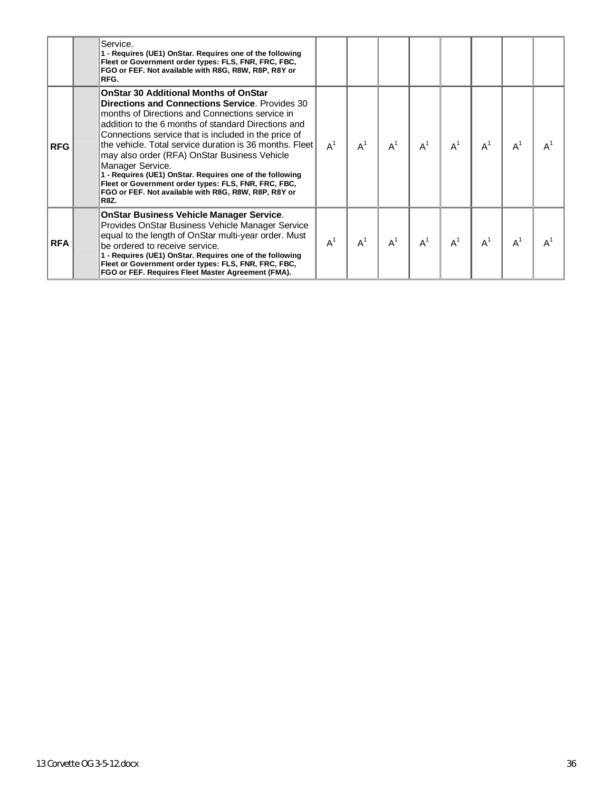|            | Service.<br>1 - Requires (UE1) OnStar. Requires one of the following<br>Fleet or Government order types: FLS, FNR, FRC, FBC,<br>FGO or FEF. Not available with R8G, R8W, R8P, R8Y or<br>RFG.                                                                                                                                                                                                                                                                                                                                                                                                       |       |       |       |                |       |       |       |       |
|------------|----------------------------------------------------------------------------------------------------------------------------------------------------------------------------------------------------------------------------------------------------------------------------------------------------------------------------------------------------------------------------------------------------------------------------------------------------------------------------------------------------------------------------------------------------------------------------------------------------|-------|-------|-------|----------------|-------|-------|-------|-------|
| <b>RFG</b> | <b>OnStar 30 Additional Months of OnStar</b><br><b>Directions and Connections Service.</b> Provides 30<br>months of Directions and Connections service in<br>addition to the 6 months of standard Directions and<br>Connections service that is included in the price of<br>the vehicle. Total service duration is 36 months. Fleet<br>may also order (RFA) OnStar Business Vehicle<br>Manager Service.<br>1 - Requires (UE1) OnStar. Requires one of the following<br>Fleet or Government order types: FLS, FNR, FRC, FBC,<br>FGO or FEF. Not available with R8G, R8W, R8P, R8Y or<br><b>R8Z.</b> | $A^1$ | $A^1$ | $A^1$ | $A^1$          | $A^1$ | $A^1$ | $A^1$ | $A^1$ |
| <b>RFA</b> | <b>OnStar Business Vehicle Manager Service.</b><br>Provides OnStar Business Vehicle Manager Service<br>equal to the length of OnStar multi-year order. Must<br>be ordered to receive service.<br>1 - Requires (UE1) OnStar. Requires one of the following<br>Fleet or Government order types: FLS, FNR, FRC, FBC,<br>FGO or FEF. Requires Fleet Master Agreement (FMA).                                                                                                                                                                                                                            | $A^1$ | $A^1$ | $A^1$ | A <sup>1</sup> | $A^1$ | $A^1$ | $A^1$ | $A^1$ |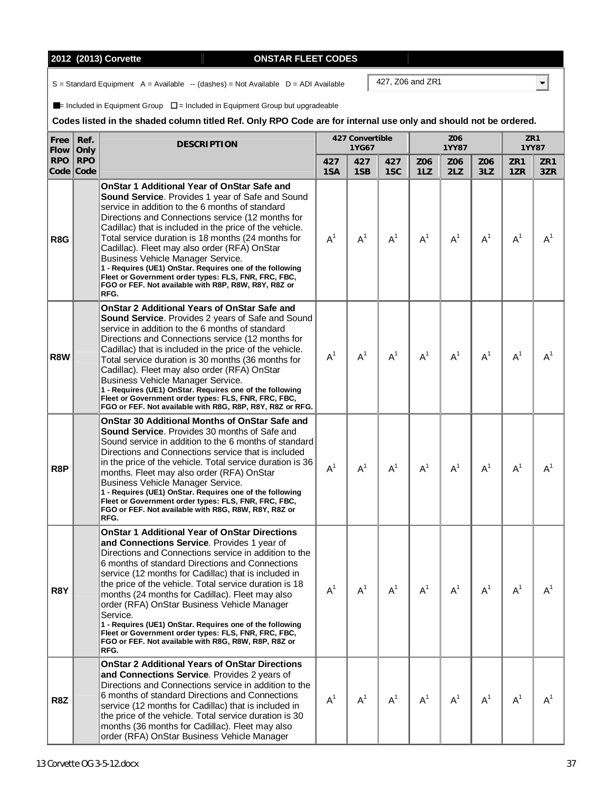# **2012 (2013) Corvette Manual Example 2012 (2013) Corvette**

 $S =$  Standard Equipment  $A =$  Available  $-$  (dashes) = Not Available  $D =$  ADI Available

 $\blacksquare$ = Included in Equipment Group  $\square$  = Included in Equipment Group but upgradeable

### **Codes listed in the shaded column titled Ref. Only RPO Code are for internal use only and should not be ordered.**

| Free<br>Flow | Ref.<br>Only            | <b>DESCRIPTION</b>                                                                                                                                                                                                                                                                                                                                                                                                                                                                                                                                                                                                                  |            | 427 Convertible<br>1YG67 |                |            | Z06<br>1YY87 | ZR1<br>1YY87 |                |                        |
|--------------|-------------------------|-------------------------------------------------------------------------------------------------------------------------------------------------------------------------------------------------------------------------------------------------------------------------------------------------------------------------------------------------------------------------------------------------------------------------------------------------------------------------------------------------------------------------------------------------------------------------------------------------------------------------------------|------------|--------------------------|----------------|------------|--------------|--------------|----------------|------------------------|
| <b>RPO</b>   | <b>RPO</b><br>Code Code |                                                                                                                                                                                                                                                                                                                                                                                                                                                                                                                                                                                                                                     | 427<br>1SA | 427<br>1SB               | 427<br>1SC     | Z06<br>1LZ | Z06<br>2LZ   | Z06<br>3LZ   | ZR1<br>1ZR     | ZR <sub>1</sub><br>3ZR |
| R8G          |                         | OnStar 1 Additional Year of OnStar Safe and<br>Sound Service. Provides 1 year of Safe and Sound<br>service in addition to the 6 months of standard<br>Directions and Connections service (12 months for<br>Cadillac) that is included in the price of the vehicle.<br>Total service duration is 18 months (24 months for<br>Cadillac). Fleet may also order (RFA) OnStar<br><b>Business Vehicle Manager Service.</b><br>1 - Requires (UE1) OnStar. Requires one of the following<br>Fleet or Government order types: FLS, FNR, FRC, FBC,<br>FGO or FEF. Not available with R8P, R8W, R8Y, R8Z or<br>RFG.                            | $A^1$      | $A^1$                    | A <sup>1</sup> | $A^1$      | $A^1$        | $A^1$        | A <sup>1</sup> | A <sup>1</sup>         |
| R8W          |                         | <b>OnStar 2 Additional Years of OnStar Safe and</b><br><b>Sound Service.</b> Provides 2 years of Safe and Sound<br>service in addition to the 6 months of standard<br>Directions and Connections service (12 months for<br>Cadillac) that is included in the price of the vehicle.<br>Total service duration is 30 months (36 months for<br>Cadillac). Fleet may also order (RFA) OnStar<br>Business Vehicle Manager Service.<br>1 - Requires (UE1) OnStar. Requires one of the following<br>Fleet or Government order types: FLS, FNR, FRC, FBC,<br>FGO or FEF. Not available with R8G, R8P, R8Y, R8Z or RFG.                      | $A^1$      | $A^1$                    | $A^1$          | $A^1$      | $A^1$        | $A^1$        | $A^1$          | A <sup>1</sup>         |
| R8P          |                         | <b>OnStar 30 Additional Months of OnStar Safe and</b><br>Sound Service. Provides 30 months of Safe and<br>Sound service in addition to the 6 months of standard<br>Directions and Connections service that is included<br>in the price of the vehicle. Total service duration is 36<br>months. Fleet may also order (RFA) OnStar<br><b>Business Vehicle Manager Service.</b><br>1 - Requires (UE1) OnStar. Requires one of the following<br>Fleet or Government order types: FLS, FNR, FRC, FBC,<br>FGO or FEF. Not available with R8G, R8W, R8Y, R8Z or<br>RFG.                                                                    | $A^1$      | $A^1$                    | $A^1$          | $A^1$      | $A^1$        | $A^1$        | $A^1$          | $A^1$                  |
| R8Y          |                         | <b>OnStar 1 Additional Year of OnStar Directions</b><br>and Connections Service. Provides 1 year of<br>Directions and Connections service in addition to the<br>6 months of standard Directions and Connections<br>service (12 months for Cadillac) that is included in<br>the price of the vehicle. Total service duration is 18<br>months (24 months for Cadillac). Fleet may also<br>order (RFA) OnStar Business Vehicle Manager<br>Service.<br>1 - Requires (UE1) OnStar. Requires one of the following<br>Fleet or Government order types: FLS, FNR, FRC, FBC,<br>FGO or FEF. Not available with R8G, R8W, R8P, R8Z or<br>RFG. | $A^1$      | $A^1$                    | $A^1$          | $A^1$      | $A^1$        | $A^1$        | $A^1$          | $A^1$                  |
| R8Z          |                         | <b>OnStar 2 Additional Years of OnStar Directions</b><br>and Connections Service. Provides 2 years of<br>Directions and Connections service in addition to the<br>6 months of standard Directions and Connections<br>service (12 months for Cadillac) that is included in<br>the price of the vehicle. Total service duration is 30<br>months (36 months for Cadillac). Fleet may also<br>order (RFA) OnStar Business Vehicle Manager                                                                                                                                                                                               | $A^1$      | $A^1$                    | $A^1$          | $A^1$      | $A^1$        | $A^1$        | $A^1$          | $A^1$                  |

427, Z06 and ZR1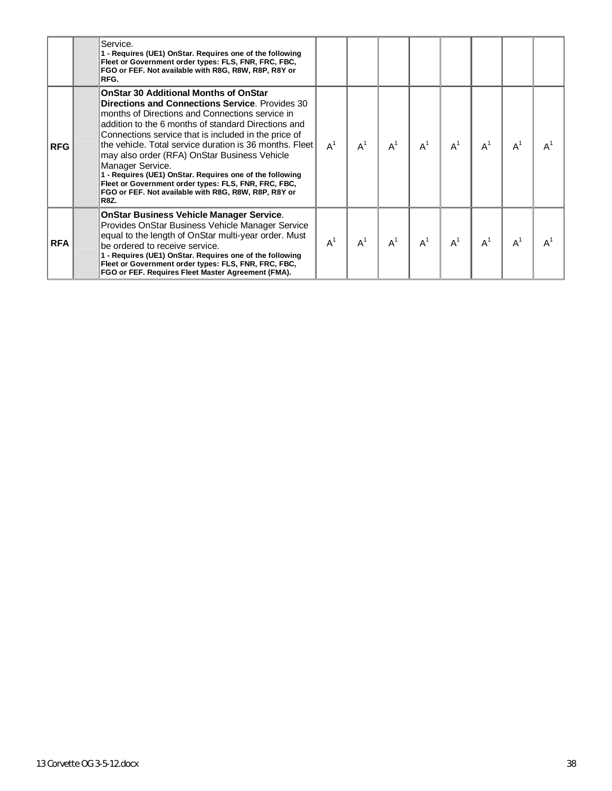|            | Service.<br>1 - Requires (UE1) OnStar. Requires one of the following<br>Fleet or Government order types: FLS, FNR, FRC, FBC,<br>FGO or FEF. Not available with R8G, R8W, R8P, R8Y or<br>RFG.                                                                                                                                                                                                                                                                                                                                                                                                       |       |       |       |                |       |       |       |       |
|------------|----------------------------------------------------------------------------------------------------------------------------------------------------------------------------------------------------------------------------------------------------------------------------------------------------------------------------------------------------------------------------------------------------------------------------------------------------------------------------------------------------------------------------------------------------------------------------------------------------|-------|-------|-------|----------------|-------|-------|-------|-------|
| <b>RFG</b> | <b>OnStar 30 Additional Months of OnStar</b><br><b>Directions and Connections Service.</b> Provides 30<br>months of Directions and Connections service in<br>addition to the 6 months of standard Directions and<br>Connections service that is included in the price of<br>the vehicle. Total service duration is 36 months. Fleet<br>may also order (RFA) OnStar Business Vehicle<br>Manager Service.<br>1 - Requires (UE1) OnStar. Requires one of the following<br>Fleet or Government order types: FLS, FNR, FRC, FBC,<br>FGO or FEF. Not available with R8G, R8W, R8P, R8Y or<br><b>R8Z.</b> | $A^1$ | $A^1$ | $A^1$ | $A^1$          | $A^1$ | $A^1$ | $A^1$ | $A^1$ |
| <b>RFA</b> | <b>OnStar Business Vehicle Manager Service.</b><br>Provides OnStar Business Vehicle Manager Service<br>equal to the length of OnStar multi-year order. Must<br>be ordered to receive service.<br>1 - Requires (UE1) OnStar. Requires one of the following<br>Fleet or Government order types: FLS, FNR, FRC, FBC,<br>FGO or FEF. Requires Fleet Master Agreement (FMA).                                                                                                                                                                                                                            | $A^1$ | $A^1$ | $A^1$ | A <sup>1</sup> | $A^1$ | $A^1$ | $A^1$ | $A^1$ |